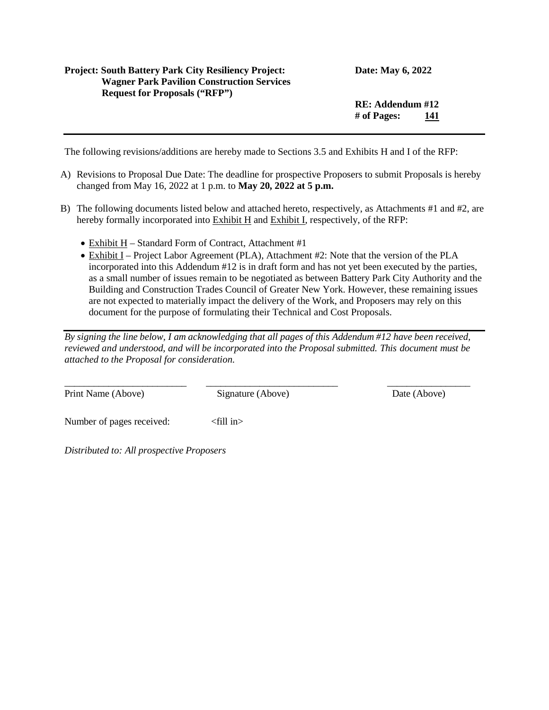#### **Project: South Battery Park City Resiliency Project: Date: May 6, 2022 Wagner Park Pavilion Construction Services Request for Proposals ("RFP")**

**RE: Addendum #12 # of Pages: 141**

The following revisions/additions are hereby made to Sections 3.5 and Exhibits H and I of the RFP:

- A) Revisions to Proposal Due Date: The deadline for prospective Proposers to submit Proposals is hereby changed from May 16, 2022 at 1 p.m. to **May 20, 2022 at 5 p.m.**
- B) The following documents listed below and attached hereto, respectively, as Attachments #1 and #2, are hereby formally incorporated into Exhibit H and Exhibit I, respectively, of the RFP:
	- Exhibit H Standard Form of Contract, Attachment #1
	- Exhibit I Project Labor Agreement (PLA), Attachment #2: Note that the version of the PLA incorporated into this Addendum #12 is in draft form and has not yet been executed by the parties, as a small number of issues remain to be negotiated as between Battery Park City Authority and the Building and Construction Trades Council of Greater New York. However, these remaining issues are not expected to materially impact the delivery of the Work, and Proposers may rely on this document for the purpose of formulating their Technical and Cost Proposals.

*By signing the line below, I am acknowledging that all pages of this Addendum #12 have been received, reviewed and understood, and will be incorporated into the Proposal submitted. This document must be attached to the Proposal for consideration.*

Print Name (Above) Signature (Above) Date (Above)

\_\_\_\_\_\_\_\_\_\_\_\_\_\_\_\_\_\_\_\_\_\_\_\_\_ \_\_\_\_\_\_\_\_\_\_\_\_\_\_\_\_\_\_\_\_\_\_\_\_\_\_\_ \_\_\_\_\_\_\_\_\_\_\_\_\_\_\_\_\_

Number of pages received:  $\langle$  fill in  $\rangle$ 

*Distributed to: All prospective Proposers*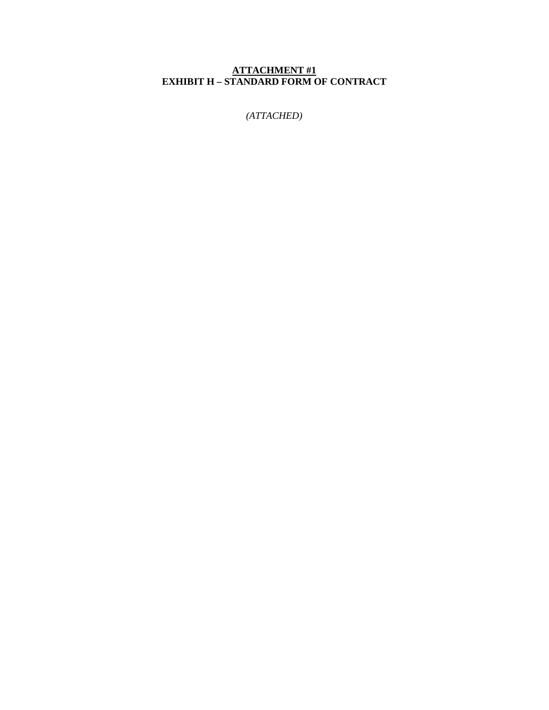#### **ATTACHMENT #1 EXHIBIT H – STANDARD FORM OF CONTRACT**

*(ATTACHED)*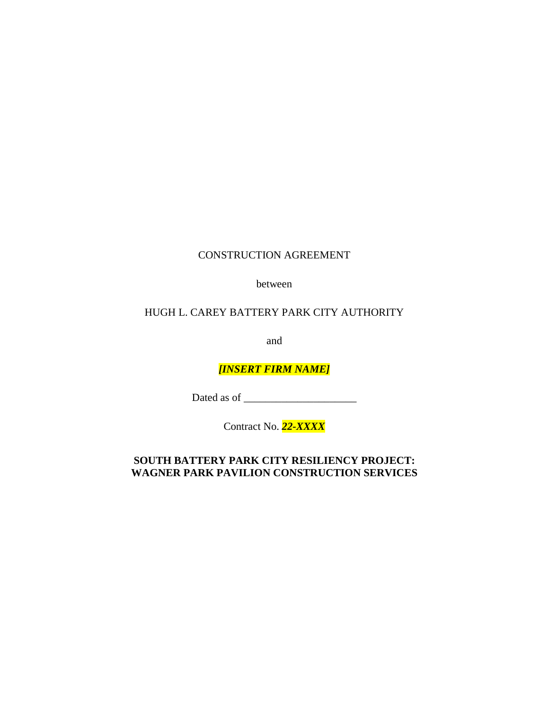#### CONSTRUCTION AGREEMENT

between

#### HUGH L. CAREY BATTERY PARK CITY AUTHORITY

and

*[INSERT FIRM NAME]*

Dated as of \_\_\_\_\_\_\_\_\_\_\_\_\_\_\_\_\_\_\_\_\_

Contract No. *22-XXXX*

#### **SOUTH BATTERY PARK CITY RESILIENCY PROJECT: WAGNER PARK PAVILION CONSTRUCTION SERVICES**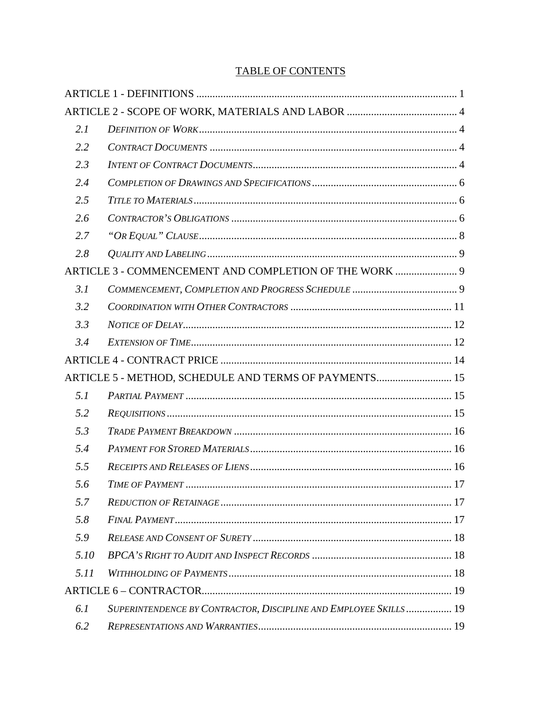# **TABLE OF CONTENTS**

| 2.1  |                                                                   |  |
|------|-------------------------------------------------------------------|--|
| 2.2  |                                                                   |  |
| 2.3  |                                                                   |  |
| 2.4  |                                                                   |  |
| 2.5  |                                                                   |  |
| 2.6  |                                                                   |  |
| 2.7  |                                                                   |  |
| 2.8  |                                                                   |  |
|      | ARTICLE 3 - COMMENCEMENT AND COMPLETION OF THE WORK  9            |  |
| 3.1  |                                                                   |  |
| 3.2  |                                                                   |  |
| 3.3  |                                                                   |  |
| 3.4  |                                                                   |  |
|      |                                                                   |  |
|      | ARTICLE 5 - METHOD, SCHEDULE AND TERMS OF PAYMENTS 15             |  |
| 5.1  |                                                                   |  |
| 5.2  |                                                                   |  |
| 5.3  |                                                                   |  |
| 5.4  |                                                                   |  |
| 5.5  |                                                                   |  |
| 5.6  |                                                                   |  |
| 5.7  |                                                                   |  |
| 5.8  |                                                                   |  |
| 5.9  |                                                                   |  |
| 5.10 |                                                                   |  |
| 5.11 |                                                                   |  |
|      |                                                                   |  |
| 6.1  | SUPERINTENDENCE BY CONTRACTOR, DISCIPLINE AND EMPLOYEE SKILLS  19 |  |
| 6.2  |                                                                   |  |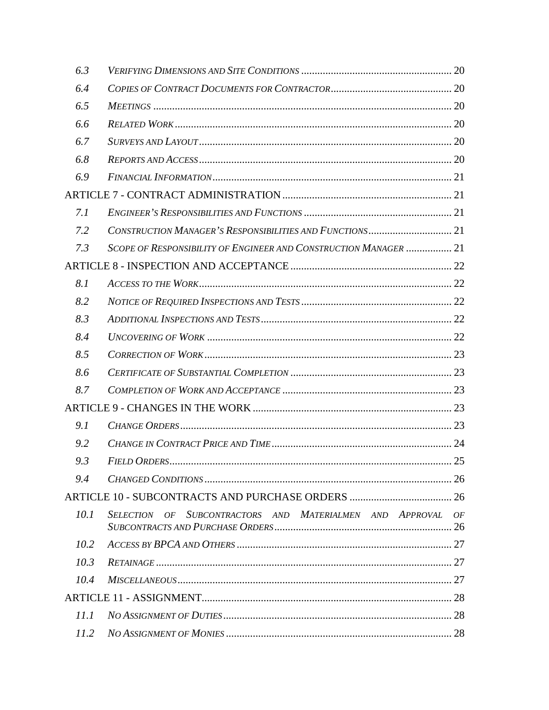| 6.3  |                                                                  |    |
|------|------------------------------------------------------------------|----|
| 6.4  |                                                                  |    |
| 6.5  |                                                                  |    |
| 6.6  |                                                                  |    |
| 6.7  |                                                                  |    |
| 6.8  |                                                                  |    |
| 6.9  |                                                                  |    |
|      |                                                                  |    |
| 7.1  |                                                                  |    |
| 7.2  |                                                                  |    |
| 7.3  | SCOPE OF RESPONSIBILITY OF ENGINEER AND CONSTRUCTION MANAGER  21 |    |
|      |                                                                  |    |
| 8.1  |                                                                  |    |
| 8.2  |                                                                  |    |
| 8.3  |                                                                  |    |
| 8.4  |                                                                  |    |
| 8.5  |                                                                  |    |
| 8.6  |                                                                  |    |
| 8.7  |                                                                  |    |
|      |                                                                  |    |
| 9.1  |                                                                  |    |
| 9.2  |                                                                  |    |
| 9.3  |                                                                  |    |
| 9.4  |                                                                  |    |
|      |                                                                  |    |
| 10.1 | SELECTION OF SUBCONTRACTORS AND MATERIALMEN AND APPROVAL         | OF |
| 10.2 |                                                                  |    |
| 10.3 |                                                                  |    |
| 10.4 |                                                                  |    |
|      |                                                                  |    |
| 11.1 |                                                                  |    |
| 11.2 |                                                                  |    |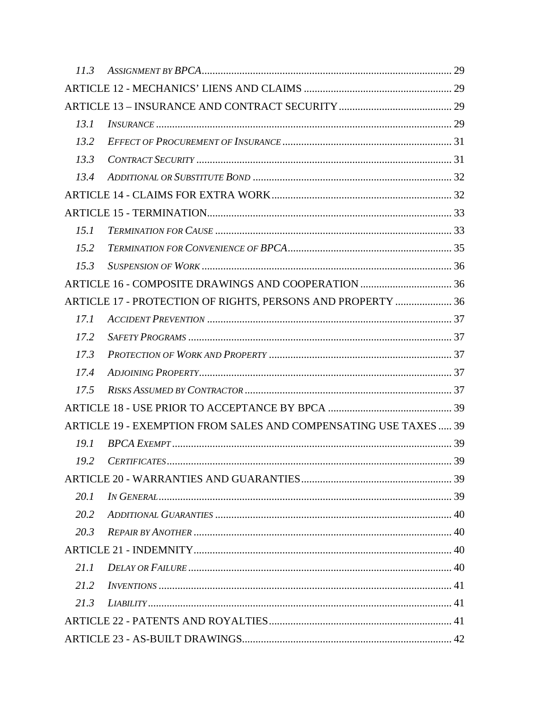| 11.3        |                                                                  |  |
|-------------|------------------------------------------------------------------|--|
|             |                                                                  |  |
|             |                                                                  |  |
| 13.1        |                                                                  |  |
| 13.2        |                                                                  |  |
| 13.3        |                                                                  |  |
| 13.4        |                                                                  |  |
|             |                                                                  |  |
|             |                                                                  |  |
| 15.1        |                                                                  |  |
| 15.2        |                                                                  |  |
| 15.3        |                                                                  |  |
|             |                                                                  |  |
|             | ARTICLE 17 - PROTECTION OF RIGHTS, PERSONS AND PROPERTY  36      |  |
| 17.1        |                                                                  |  |
| 17.2        |                                                                  |  |
| 17.3        |                                                                  |  |
| 17.4        |                                                                  |  |
| 17.5        |                                                                  |  |
|             |                                                                  |  |
|             | ARTICLE 19 - EXEMPTION FROM SALES AND COMPENSATING USE TAXES  39 |  |
| 19.1        |                                                                  |  |
|             |                                                                  |  |
|             |                                                                  |  |
| <i>20.1</i> |                                                                  |  |
| 20.2        |                                                                  |  |
| 20.3        |                                                                  |  |
|             |                                                                  |  |
| 21.1        |                                                                  |  |
| 21.2        |                                                                  |  |
| 21.3        |                                                                  |  |
|             |                                                                  |  |
|             |                                                                  |  |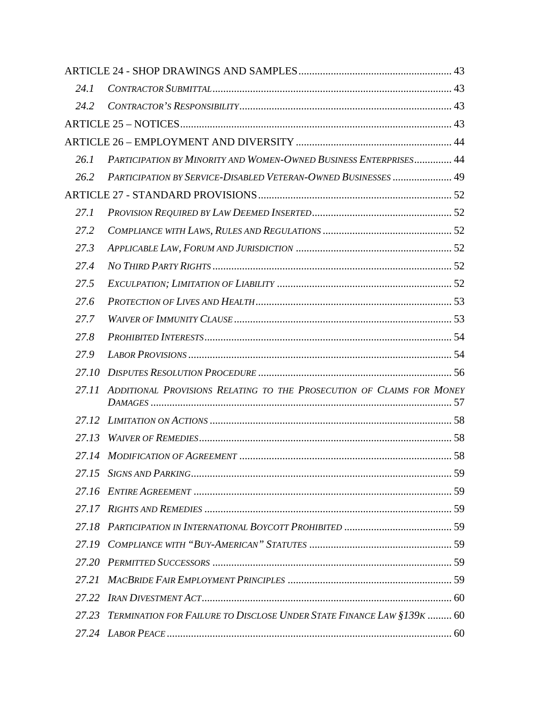| 24.1  |                                                                       |  |
|-------|-----------------------------------------------------------------------|--|
| 24.2  |                                                                       |  |
|       |                                                                       |  |
|       |                                                                       |  |
| 26.1  | PARTICIPATION BY MINORITY AND WOMEN-OWNED BUSINESS ENTERPRISES 44     |  |
| 26.2  | PARTICIPATION BY SERVICE-DISABLED VETERAN-OWNED BUSINESSES  49        |  |
|       |                                                                       |  |
| 27.1  |                                                                       |  |
| 27.2  |                                                                       |  |
| 27.3  |                                                                       |  |
| 27.4  |                                                                       |  |
| 27.5  |                                                                       |  |
| 27.6  |                                                                       |  |
| 27.7  |                                                                       |  |
| 27.8  |                                                                       |  |
| 27.9  |                                                                       |  |
| 27.10 |                                                                       |  |
| 27.11 | ADDITIONAL PROVISIONS RELATING TO THE PROSECUTION OF CLAIMS FOR MONEY |  |
| 27.12 |                                                                       |  |
| 27.13 |                                                                       |  |
|       |                                                                       |  |
| 27.15 |                                                                       |  |
| 27.16 |                                                                       |  |
| 27.17 |                                                                       |  |
| 27.18 |                                                                       |  |
| 27.19 |                                                                       |  |
| 27.20 |                                                                       |  |
| 27.21 |                                                                       |  |
| 27.22 |                                                                       |  |
| 27.23 | TERMINATION FOR FAILURE TO DISCLOSE UNDER STATE FINANCE LAW §139K  60 |  |
|       |                                                                       |  |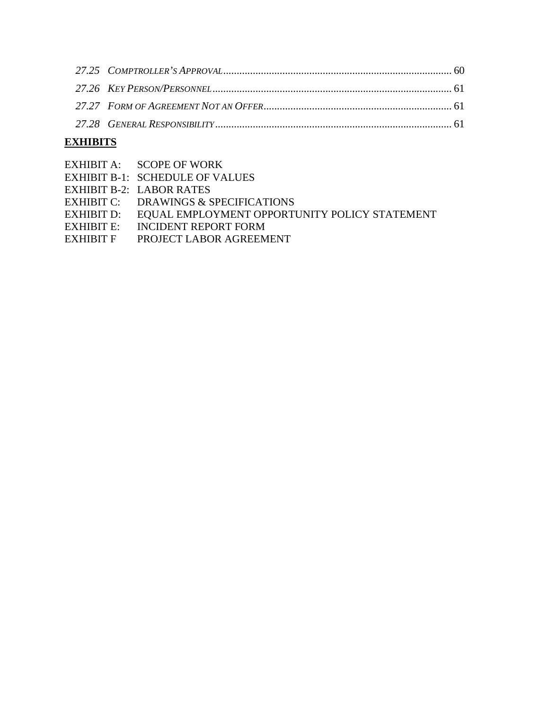# **EXHIBITS**

| EXHIBIT A: SCOPE OF WORK                                 |
|----------------------------------------------------------|
| EXHIBIT B-1: SCHEDULE OF VALUES                          |
| <b>EXHIBIT B-2: LABOR RATES</b>                          |
| EXHIBIT C: DRAWINGS & SPECIFICATIONS                     |
| EXHIBIT D: EQUAL EMPLOYMENT OPPORTUNITY POLICY STATEMENT |
| EXHIBIT E: INCIDENT REPORT FORM                          |
| EXHIBIT F PROJECT LABOR AGREEMENT                        |
|                                                          |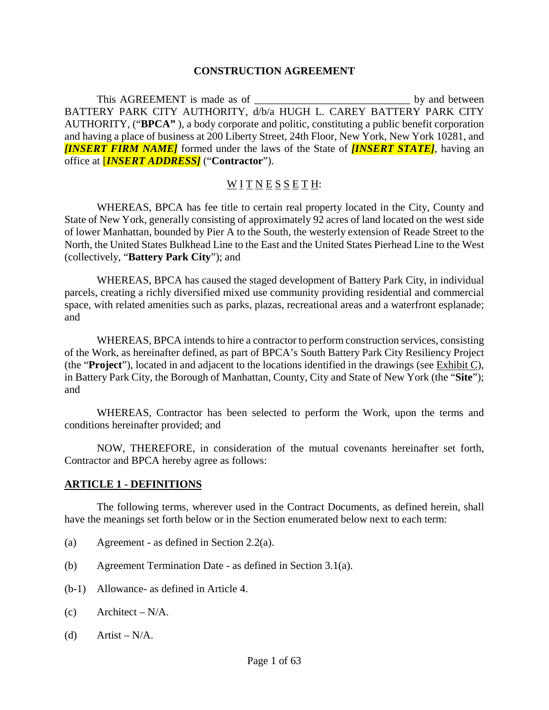#### **CONSTRUCTION AGREEMENT**

This AGREEMENT is made as of by and between BATTERY PARK CITY AUTHORITY, d/b/a HUGH L. CAREY BATTERY PARK CITY AUTHORITY, ("**BPCA"** ), a body corporate and politic, constituting a public benefit corporation and having a place of business at 200 Liberty Street, 24th Floor, New York, New York 10281, and *[INSERT FIRM NAME]* formed under the laws of the State of *[INSERT STATE]*, having an office at [*INSERT ADDRESS]* ("**Contractor**").

### $\underline{W}$  <u>I</u> T N E S S E T H:

WHEREAS, BPCA has fee title to certain real property located in the City, County and State of New York, generally consisting of approximately 92 acres of land located on the west side of lower Manhattan, bounded by Pier A to the South, the westerly extension of Reade Street to the North, the United States Bulkhead Line to the East and the United States Pierhead Line to the West (collectively, "**Battery Park City**"); and

WHEREAS, BPCA has caused the staged development of Battery Park City, in individual parcels, creating a richly diversified mixed use community providing residential and commercial space, with related amenities such as parks, plazas, recreational areas and a waterfront esplanade; and

WHEREAS, BPCA intends to hire a contractor to perform construction services, consisting of the Work, as hereinafter defined, as part of BPCA's South Battery Park City Resiliency Project (the "**Project**"), located in and adjacent to the locations identified in the drawings (see Exhibit C), in Battery Park City, the Borough of Manhattan, County, City and State of New York (the "**Site**"); and

WHEREAS, Contractor has been selected to perform the Work, upon the terms and conditions hereinafter provided; and

NOW, THEREFORE, in consideration of the mutual covenants hereinafter set forth, Contractor and BPCA hereby agree as follows:

#### <span id="page-8-0"></span>**ARTICLE 1 - DEFINITIONS**

The following terms, wherever used in the Contract Documents, as defined herein, shall have the meanings set forth below or in the Section enumerated below next to each term:

- (a) Agreement as defined in Section 2.2(a).
- (b) Agreement Termination Date as defined in Section 3.1(a).
- (b-1) Allowance- as defined in Article 4.
- $(c)$  Architect N/A.
- (d)  $Artist N/A$ .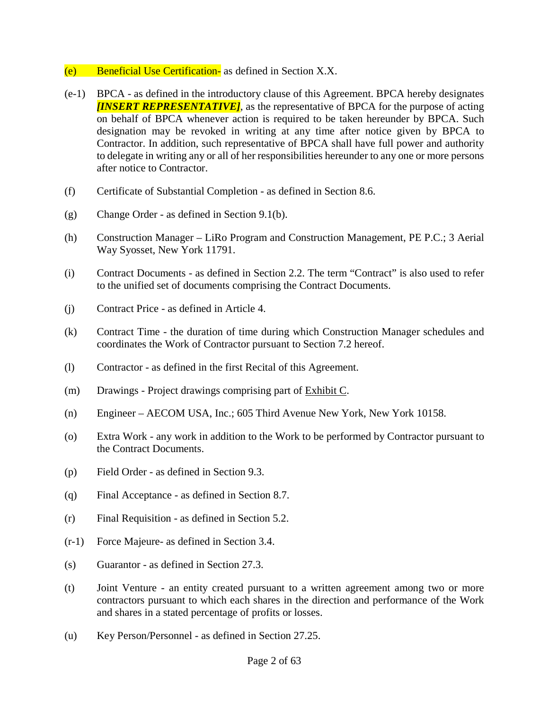- (e) Beneficial Use Certification- as defined in Section X.X.
- (e-1) BPCA as defined in the introductory clause of this Agreement. BPCA hereby designates *[INSERT REPRESENTATIVE]*, as the representative of BPCA for the purpose of acting on behalf of BPCA whenever action is required to be taken hereunder by BPCA. Such designation may be revoked in writing at any time after notice given by BPCA to Contractor. In addition, such representative of BPCA shall have full power and authority to delegate in writing any or all of her responsibilities hereunder to any one or more persons after notice to Contractor.
- (f) Certificate of Substantial Completion as defined in Section 8.6.
- (g) Change Order as defined in Section 9.1(b).
- (h) Construction Manager LiRo Program and Construction Management, PE P.C.; 3 Aerial Way Syosset, New York 11791.
- (i) Contract Documents as defined in Section 2.2. The term "Contract" is also used to refer to the unified set of documents comprising the Contract Documents.
- (j) Contract Price as defined in Article 4.
- (k) Contract Time the duration of time during which Construction Manager schedules and coordinates the Work of Contractor pursuant to Section 7.2 hereof.
- (l) Contractor as defined in the first Recital of this Agreement.
- (m) Drawings Project drawings comprising part of Exhibit C.
- (n) Engineer AECOM USA, Inc.; 605 Third Avenue New York, New York 10158.
- (o) Extra Work any work in addition to the Work to be performed by Contractor pursuant to the Contract Documents.
- (p) Field Order as defined in Section 9.3.
- (q) Final Acceptance as defined in Section 8.7.
- (r) Final Requisition as defined in Section 5.2.
- (r-1) Force Majeure- as defined in Section 3.4.
- (s) Guarantor as defined in Section 27.3.
- (t) Joint Venture an entity created pursuant to a written agreement among two or more contractors pursuant to which each shares in the direction and performance of the Work and shares in a stated percentage of profits or losses.
- (u) Key Person/Personnel as defined in Section 27.25.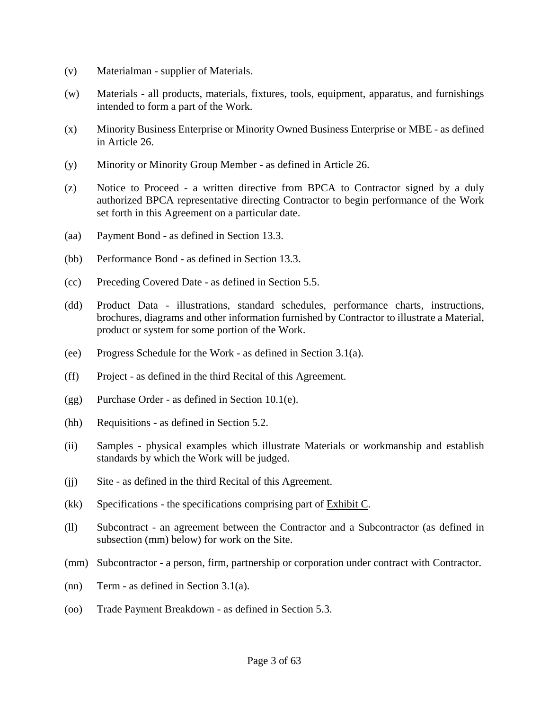- (v) Materialman supplier of Materials.
- (w) Materials all products, materials, fixtures, tools, equipment, apparatus, and furnishings intended to form a part of the Work.
- (x) Minority Business Enterprise or Minority Owned Business Enterprise or MBE as defined in Article 26.
- (y) Minority or Minority Group Member as defined in Article 26.
- (z) Notice to Proceed a written directive from BPCA to Contractor signed by a duly authorized BPCA representative directing Contractor to begin performance of the Work set forth in this Agreement on a particular date.
- (aa) Payment Bond as defined in Section 13.3.
- (bb) Performance Bond as defined in Section 13.3.
- (cc) Preceding Covered Date as defined in Section 5.5.
- (dd) Product Data illustrations, standard schedules, performance charts, instructions, brochures, diagrams and other information furnished by Contractor to illustrate a Material, product or system for some portion of the Work.
- (ee) Progress Schedule for the Work as defined in Section 3.1(a).
- (ff) Project as defined in the third Recital of this Agreement.
- (gg) Purchase Order as defined in Section 10.1(e).
- (hh) Requisitions as defined in Section 5.2.
- (ii) Samples physical examples which illustrate Materials or workmanship and establish standards by which the Work will be judged.
- (jj) Site as defined in the third Recital of this Agreement.
- (kk) Specifications the specifications comprising part of Exhibit C.
- (ll) Subcontract an agreement between the Contractor and a Subcontractor (as defined in subsection (mm) below) for work on the Site.
- (mm) Subcontractor a person, firm, partnership or corporation under contract with Contractor.
- (nn) Term as defined in Section 3.1(a).
- (oo) Trade Payment Breakdown as defined in Section 5.3.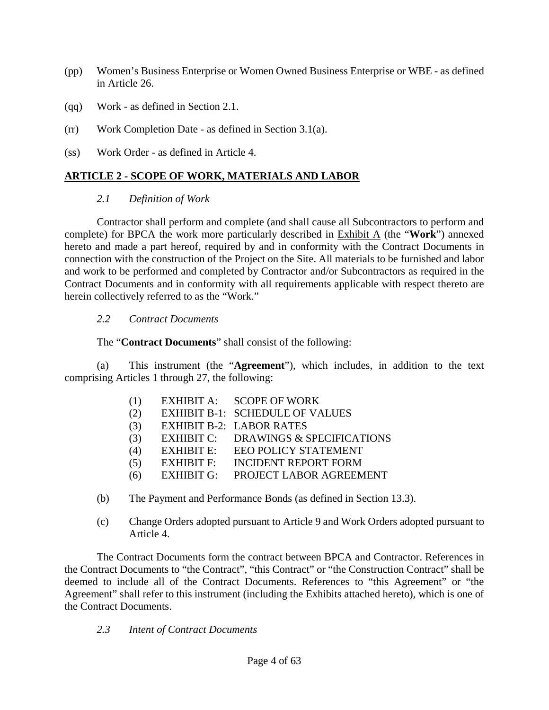- (pp) Women's Business Enterprise or Women Owned Business Enterprise or WBE as defined in Article 26.
- (qq) Work as defined in Section 2.1.
- (rr) Work Completion Date as defined in Section 3.1(a).
- (ss) Work Order as defined in Article 4.

### <span id="page-11-1"></span><span id="page-11-0"></span>**ARTICLE 2 - SCOPE OF WORK, MATERIALS AND LABOR**

### *2.1 Definition of Work*

Contractor shall perform and complete (and shall cause all Subcontractors to perform and complete) for BPCA the work more particularly described in Exhibit A (the "**Work**") annexed hereto and made a part hereof, required by and in conformity with the Contract Documents in connection with the construction of the Project on the Site. All materials to be furnished and labor and work to be performed and completed by Contractor and/or Subcontractors as required in the Contract Documents and in conformity with all requirements applicable with respect thereto are herein collectively referred to as the "Work."

#### <span id="page-11-2"></span>*2.2 Contract Documents*

The "**Contract Documents**" shall consist of the following:

(a) This instrument (the "**Agreement**"), which includes, in addition to the text comprising Articles 1 through 27, the following:

- (1) EXHIBIT A: SCOPE OF WORK
- (2) EXHIBIT B-1: SCHEDULE OF VALUES
- (3) EXHIBIT B-2: LABOR RATES
- (3) EXHIBIT C: DRAWINGS & SPECIFICATIONS
- (4) EXHIBIT E: EEO POLICY STATEMENT
- (5) EXHIBIT F: INCIDENT REPORT FORM
- (6) EXHIBIT G: PROJECT LABOR AGREEMENT
- (b) The Payment and Performance Bonds (as defined in Section 13.3).
- (c) Change Orders adopted pursuant to Article 9 and Work Orders adopted pursuant to Article 4.

The Contract Documents form the contract between BPCA and Contractor. References in the Contract Documents to "the Contract", "this Contract" or "the Construction Contract" shall be deemed to include all of the Contract Documents. References to "this Agreement" or "the Agreement" shall refer to this instrument (including the Exhibits attached hereto), which is one of the Contract Documents.

<span id="page-11-3"></span>*2.3 Intent of Contract Documents*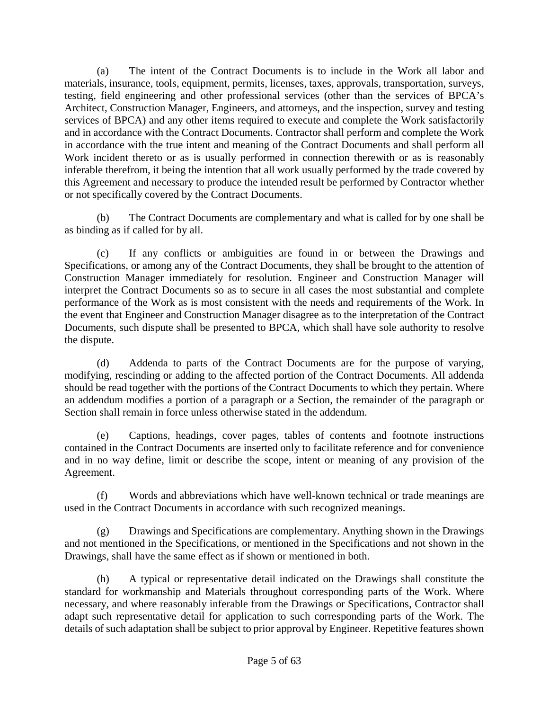(a) The intent of the Contract Documents is to include in the Work all labor and materials, insurance, tools, equipment, permits, licenses, taxes, approvals, transportation, surveys, testing, field engineering and other professional services (other than the services of BPCA's Architect, Construction Manager, Engineers, and attorneys, and the inspection, survey and testing services of BPCA) and any other items required to execute and complete the Work satisfactorily and in accordance with the Contract Documents. Contractor shall perform and complete the Work in accordance with the true intent and meaning of the Contract Documents and shall perform all Work incident thereto or as is usually performed in connection therewith or as is reasonably inferable therefrom, it being the intention that all work usually performed by the trade covered by this Agreement and necessary to produce the intended result be performed by Contractor whether or not specifically covered by the Contract Documents.

(b) The Contract Documents are complementary and what is called for by one shall be as binding as if called for by all.

(c) If any conflicts or ambiguities are found in or between the Drawings and Specifications, or among any of the Contract Documents, they shall be brought to the attention of Construction Manager immediately for resolution. Engineer and Construction Manager will interpret the Contract Documents so as to secure in all cases the most substantial and complete performance of the Work as is most consistent with the needs and requirements of the Work. In the event that Engineer and Construction Manager disagree as to the interpretation of the Contract Documents, such dispute shall be presented to BPCA, which shall have sole authority to resolve the dispute.

(d) Addenda to parts of the Contract Documents are for the purpose of varying, modifying, rescinding or adding to the affected portion of the Contract Documents. All addenda should be read together with the portions of the Contract Documents to which they pertain. Where an addendum modifies a portion of a paragraph or a Section, the remainder of the paragraph or Section shall remain in force unless otherwise stated in the addendum.

(e) Captions, headings, cover pages, tables of contents and footnote instructions contained in the Contract Documents are inserted only to facilitate reference and for convenience and in no way define, limit or describe the scope, intent or meaning of any provision of the Agreement.

(f) Words and abbreviations which have well-known technical or trade meanings are used in the Contract Documents in accordance with such recognized meanings.

(g) Drawings and Specifications are complementary. Anything shown in the Drawings and not mentioned in the Specifications, or mentioned in the Specifications and not shown in the Drawings, shall have the same effect as if shown or mentioned in both.

(h) A typical or representative detail indicated on the Drawings shall constitute the standard for workmanship and Materials throughout corresponding parts of the Work. Where necessary, and where reasonably inferable from the Drawings or Specifications, Contractor shall adapt such representative detail for application to such corresponding parts of the Work. The details of such adaptation shall be subject to prior approval by Engineer. Repetitive features shown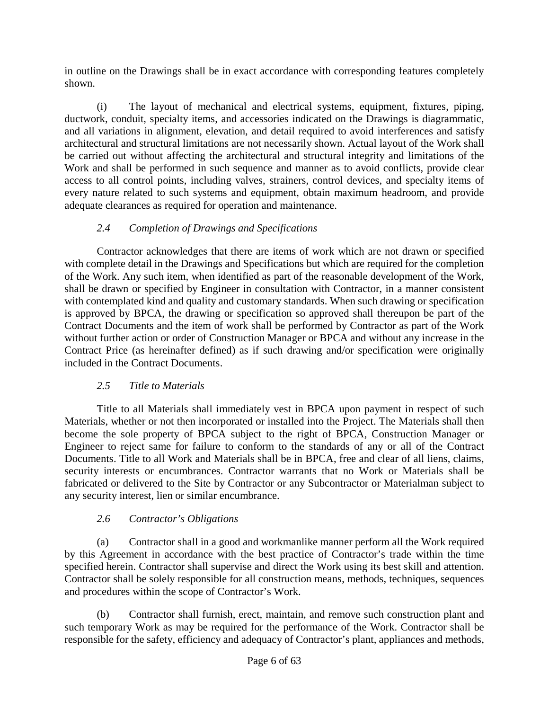in outline on the Drawings shall be in exact accordance with corresponding features completely shown.

(i) The layout of mechanical and electrical systems, equipment, fixtures, piping, ductwork, conduit, specialty items, and accessories indicated on the Drawings is diagrammatic, and all variations in alignment, elevation, and detail required to avoid interferences and satisfy architectural and structural limitations are not necessarily shown. Actual layout of the Work shall be carried out without affecting the architectural and structural integrity and limitations of the Work and shall be performed in such sequence and manner as to avoid conflicts, provide clear access to all control points, including valves, strainers, control devices, and specialty items of every nature related to such systems and equipment, obtain maximum headroom, and provide adequate clearances as required for operation and maintenance.

# *2.4 Completion of Drawings and Specifications*

<span id="page-13-0"></span>Contractor acknowledges that there are items of work which are not drawn or specified with complete detail in the Drawings and Specifications but which are required for the completion of the Work. Any such item, when identified as part of the reasonable development of the Work, shall be drawn or specified by Engineer in consultation with Contractor, in a manner consistent with contemplated kind and quality and customary standards. When such drawing or specification is approved by BPCA, the drawing or specification so approved shall thereupon be part of the Contract Documents and the item of work shall be performed by Contractor as part of the Work without further action or order of Construction Manager or BPCA and without any increase in the Contract Price (as hereinafter defined) as if such drawing and/or specification were originally included in the Contract Documents.

# *2.5 Title to Materials*

<span id="page-13-1"></span>Title to all Materials shall immediately vest in BPCA upon payment in respect of such Materials, whether or not then incorporated or installed into the Project. The Materials shall then become the sole property of BPCA subject to the right of BPCA, Construction Manager or Engineer to reject same for failure to conform to the standards of any or all of the Contract Documents. Title to all Work and Materials shall be in BPCA, free and clear of all liens, claims, security interests or encumbrances. Contractor warrants that no Work or Materials shall be fabricated or delivered to the Site by Contractor or any Subcontractor or Materialman subject to any security interest, lien or similar encumbrance.

### *2.6 Contractor's Obligations*

<span id="page-13-2"></span>(a) Contractor shall in a good and workmanlike manner perform all the Work required by this Agreement in accordance with the best practice of Contractor's trade within the time specified herein. Contractor shall supervise and direct the Work using its best skill and attention. Contractor shall be solely responsible for all construction means, methods, techniques, sequences and procedures within the scope of Contractor's Work.

(b) Contractor shall furnish, erect, maintain, and remove such construction plant and such temporary Work as may be required for the performance of the Work. Contractor shall be responsible for the safety, efficiency and adequacy of Contractor's plant, appliances and methods,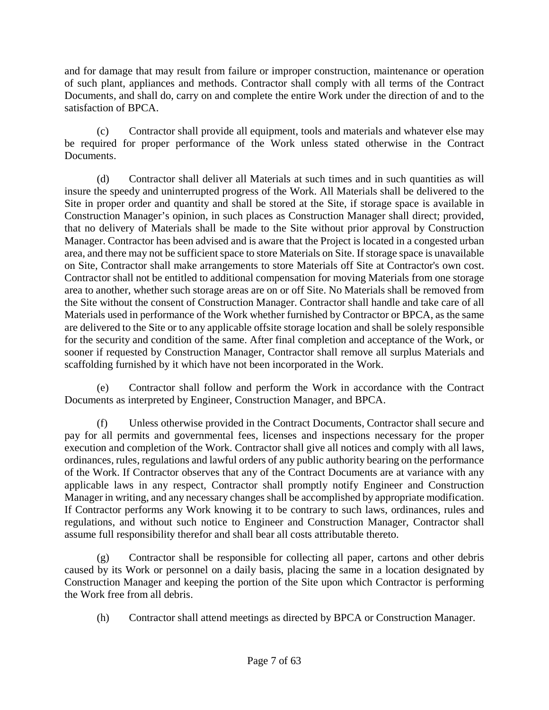and for damage that may result from failure or improper construction, maintenance or operation of such plant, appliances and methods. Contractor shall comply with all terms of the Contract Documents, and shall do, carry on and complete the entire Work under the direction of and to the satisfaction of BPCA.

(c) Contractor shall provide all equipment, tools and materials and whatever else may be required for proper performance of the Work unless stated otherwise in the Contract Documents.

(d) Contractor shall deliver all Materials at such times and in such quantities as will insure the speedy and uninterrupted progress of the Work. All Materials shall be delivered to the Site in proper order and quantity and shall be stored at the Site, if storage space is available in Construction Manager's opinion, in such places as Construction Manager shall direct; provided, that no delivery of Materials shall be made to the Site without prior approval by Construction Manager. Contractor has been advised and is aware that the Project is located in a congested urban area, and there may not be sufficient space to store Materials on Site. If storage space is unavailable on Site, Contractor shall make arrangements to store Materials off Site at Contractor's own cost. Contractor shall not be entitled to additional compensation for moving Materials from one storage area to another, whether such storage areas are on or off Site. No Materials shall be removed from the Site without the consent of Construction Manager. Contractor shall handle and take care of all Materials used in performance of the Work whether furnished by Contractor or BPCA, as the same are delivered to the Site or to any applicable offsite storage location and shall be solely responsible for the security and condition of the same. After final completion and acceptance of the Work, or sooner if requested by Construction Manager, Contractor shall remove all surplus Materials and scaffolding furnished by it which have not been incorporated in the Work.

(e) Contractor shall follow and perform the Work in accordance with the Contract Documents as interpreted by Engineer, Construction Manager, and BPCA.

(f) Unless otherwise provided in the Contract Documents, Contractor shall secure and pay for all permits and governmental fees, licenses and inspections necessary for the proper execution and completion of the Work. Contractor shall give all notices and comply with all laws, ordinances, rules, regulations and lawful orders of any public authority bearing on the performance of the Work. If Contractor observes that any of the Contract Documents are at variance with any applicable laws in any respect, Contractor shall promptly notify Engineer and Construction Manager in writing, and any necessary changes shall be accomplished by appropriate modification. If Contractor performs any Work knowing it to be contrary to such laws, ordinances, rules and regulations, and without such notice to Engineer and Construction Manager, Contractor shall assume full responsibility therefor and shall bear all costs attributable thereto.

(g) Contractor shall be responsible for collecting all paper, cartons and other debris caused by its Work or personnel on a daily basis, placing the same in a location designated by Construction Manager and keeping the portion of the Site upon which Contractor is performing the Work free from all debris.

(h) Contractor shall attend meetings as directed by BPCA or Construction Manager.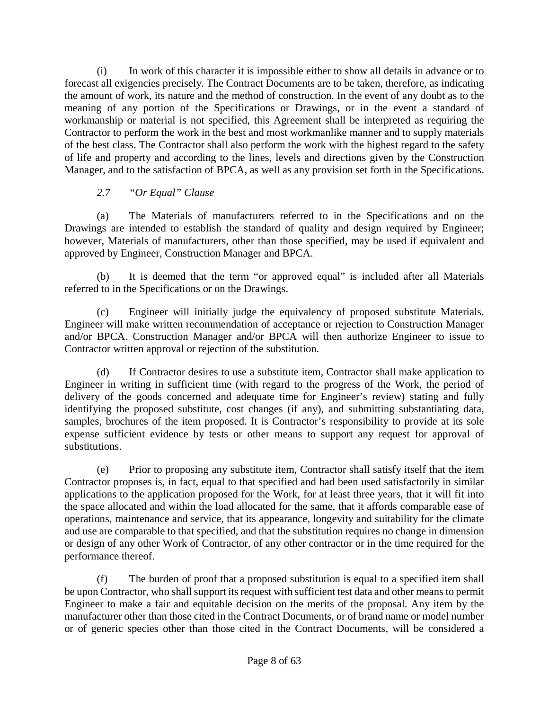(i) In work of this character it is impossible either to show all details in advance or to forecast all exigencies precisely. The Contract Documents are to be taken, therefore, as indicating the amount of work, its nature and the method of construction. In the event of any doubt as to the meaning of any portion of the Specifications or Drawings, or in the event a standard of workmanship or material is not specified, this Agreement shall be interpreted as requiring the Contractor to perform the work in the best and most workmanlike manner and to supply materials of the best class. The Contractor shall also perform the work with the highest regard to the safety of life and property and according to the lines, levels and directions given by the Construction Manager, and to the satisfaction of BPCA, as well as any provision set forth in the Specifications.

## *2.7 "Or Equal" Clause*

<span id="page-15-0"></span>(a) The Materials of manufacturers referred to in the Specifications and on the Drawings are intended to establish the standard of quality and design required by Engineer; however, Materials of manufacturers, other than those specified, may be used if equivalent and approved by Engineer, Construction Manager and BPCA.

(b) It is deemed that the term "or approved equal" is included after all Materials referred to in the Specifications or on the Drawings.

(c) Engineer will initially judge the equivalency of proposed substitute Materials. Engineer will make written recommendation of acceptance or rejection to Construction Manager and/or BPCA. Construction Manager and/or BPCA will then authorize Engineer to issue to Contractor written approval or rejection of the substitution.

(d) If Contractor desires to use a substitute item, Contractor shall make application to Engineer in writing in sufficient time (with regard to the progress of the Work, the period of delivery of the goods concerned and adequate time for Engineer's review) stating and fully identifying the proposed substitute, cost changes (if any), and submitting substantiating data, samples, brochures of the item proposed. It is Contractor's responsibility to provide at its sole expense sufficient evidence by tests or other means to support any request for approval of substitutions.

(e) Prior to proposing any substitute item, Contractor shall satisfy itself that the item Contractor proposes is, in fact, equal to that specified and had been used satisfactorily in similar applications to the application proposed for the Work, for at least three years, that it will fit into the space allocated and within the load allocated for the same, that it affords comparable ease of operations, maintenance and service, that its appearance, longevity and suitability for the climate and use are comparable to that specified, and that the substitution requires no change in dimension or design of any other Work of Contractor, of any other contractor or in the time required for the performance thereof.

(f) The burden of proof that a proposed substitution is equal to a specified item shall be upon Contractor, who shall support its request with sufficient test data and other means to permit Engineer to make a fair and equitable decision on the merits of the proposal. Any item by the manufacturer other than those cited in the Contract Documents, or of brand name or model number or of generic species other than those cited in the Contract Documents, will be considered a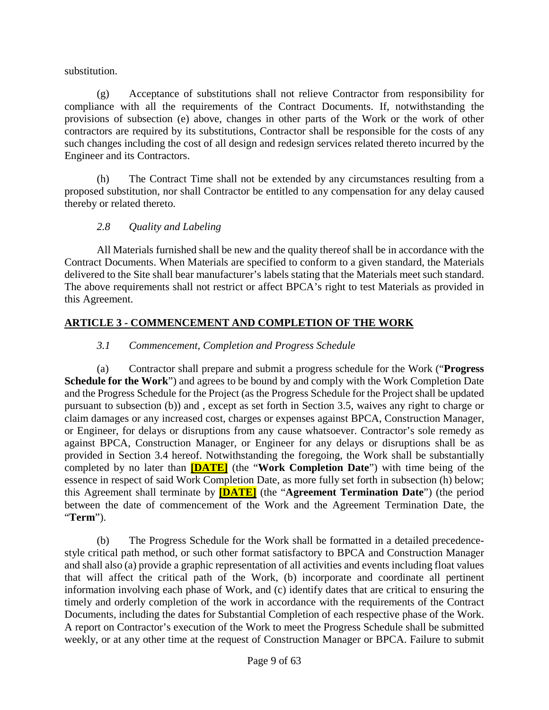substitution.

(g) Acceptance of substitutions shall not relieve Contractor from responsibility for compliance with all the requirements of the Contract Documents. If, notwithstanding the provisions of subsection (e) above, changes in other parts of the Work or the work of other contractors are required by its substitutions, Contractor shall be responsible for the costs of any such changes including the cost of all design and redesign services related thereto incurred by the Engineer and its Contractors.

(h) The Contract Time shall not be extended by any circumstances resulting from a proposed substitution, nor shall Contractor be entitled to any compensation for any delay caused thereby or related thereto.

## *2.8 Quality and Labeling*

<span id="page-16-0"></span>All Materials furnished shall be new and the quality thereof shall be in accordance with the Contract Documents. When Materials are specified to conform to a given standard, the Materials delivered to the Site shall bear manufacturer's labels stating that the Materials meet such standard. The above requirements shall not restrict or affect BPCA's right to test Materials as provided in this Agreement.

# <span id="page-16-2"></span><span id="page-16-1"></span>**ARTICLE 3 - COMMENCEMENT AND COMPLETION OF THE WORK**

# *3.1 Commencement, Completion and Progress Schedule*

(a) Contractor shall prepare and submit a progress schedule for the Work ("**Progress Schedule for the Work**") and agrees to be bound by and comply with the Work Completion Date and the Progress Schedule for the Project (as the Progress Schedule for the Project shall be updated pursuant to subsection (b)) and , except as set forth in Section 3.5, waives any right to charge or claim damages or any increased cost, charges or expenses against BPCA, Construction Manager, or Engineer, for delays or disruptions from any cause whatsoever. Contractor's sole remedy as against BPCA, Construction Manager, or Engineer for any delays or disruptions shall be as provided in Section 3.4 hereof. Notwithstanding the foregoing, the Work shall be substantially completed by no later than **[DATE]** (the "**Work Completion Date**") with time being of the essence in respect of said Work Completion Date, as more fully set forth in subsection (h) below; this Agreement shall terminate by **[DATE]** (the "**Agreement Termination Date**") (the period between the date of commencement of the Work and the Agreement Termination Date, the "**Term**").

(b) The Progress Schedule for the Work shall be formatted in a detailed precedencestyle critical path method, or such other format satisfactory to BPCA and Construction Manager and shall also (a) provide a graphic representation of all activities and events including float values that will affect the critical path of the Work, (b) incorporate and coordinate all pertinent information involving each phase of Work, and (c) identify dates that are critical to ensuring the timely and orderly completion of the work in accordance with the requirements of the Contract Documents, including the dates for Substantial Completion of each respective phase of the Work. A report on Contractor's execution of the Work to meet the Progress Schedule shall be submitted weekly, or at any other time at the request of Construction Manager or BPCA. Failure to submit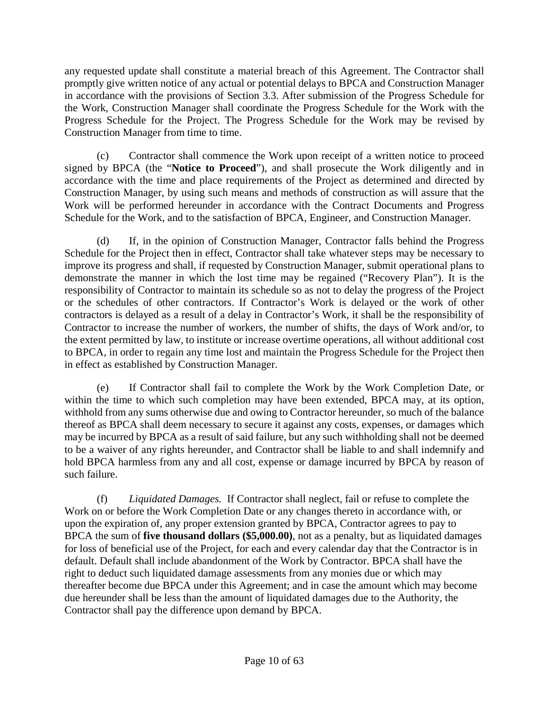any requested update shall constitute a material breach of this Agreement. The Contractor shall promptly give written notice of any actual or potential delays to BPCA and Construction Manager in accordance with the provisions of Section 3.3. After submission of the Progress Schedule for the Work, Construction Manager shall coordinate the Progress Schedule for the Work with the Progress Schedule for the Project. The Progress Schedule for the Work may be revised by Construction Manager from time to time.

(c) Contractor shall commence the Work upon receipt of a written notice to proceed signed by BPCA (the "**Notice to Proceed**"), and shall prosecute the Work diligently and in accordance with the time and place requirements of the Project as determined and directed by Construction Manager, by using such means and methods of construction as will assure that the Work will be performed hereunder in accordance with the Contract Documents and Progress Schedule for the Work, and to the satisfaction of BPCA, Engineer, and Construction Manager.

(d) If, in the opinion of Construction Manager, Contractor falls behind the Progress Schedule for the Project then in effect, Contractor shall take whatever steps may be necessary to improve its progress and shall, if requested by Construction Manager, submit operational plans to demonstrate the manner in which the lost time may be regained ("Recovery Plan"). It is the responsibility of Contractor to maintain its schedule so as not to delay the progress of the Project or the schedules of other contractors. If Contractor's Work is delayed or the work of other contractors is delayed as a result of a delay in Contractor's Work, it shall be the responsibility of Contractor to increase the number of workers, the number of shifts, the days of Work and/or, to the extent permitted by law, to institute or increase overtime operations, all without additional cost to BPCA, in order to regain any time lost and maintain the Progress Schedule for the Project then in effect as established by Construction Manager.

(e) If Contractor shall fail to complete the Work by the Work Completion Date, or within the time to which such completion may have been extended, BPCA may, at its option, withhold from any sums otherwise due and owing to Contractor hereunder, so much of the balance thereof as BPCA shall deem necessary to secure it against any costs, expenses, or damages which may be incurred by BPCA as a result of said failure, but any such withholding shall not be deemed to be a waiver of any rights hereunder, and Contractor shall be liable to and shall indemnify and hold BPCA harmless from any and all cost, expense or damage incurred by BPCA by reason of such failure.

(f) *Liquidated Damages.* If Contractor shall neglect, fail or refuse to complete the Work on or before the Work Completion Date or any changes thereto in accordance with, or upon the expiration of, any proper extension granted by BPCA, Contractor agrees to pay to BPCA the sum of **five thousand dollars (\$5,000.00)**, not as a penalty, but as liquidated damages for loss of beneficial use of the Project, for each and every calendar day that the Contractor is in default. Default shall include abandonment of the Work by Contractor. BPCA shall have the right to deduct such liquidated damage assessments from any monies due or which may thereafter become due BPCA under this Agreement; and in case the amount which may become due hereunder shall be less than the amount of liquidated damages due to the Authority, the Contractor shall pay the difference upon demand by BPCA.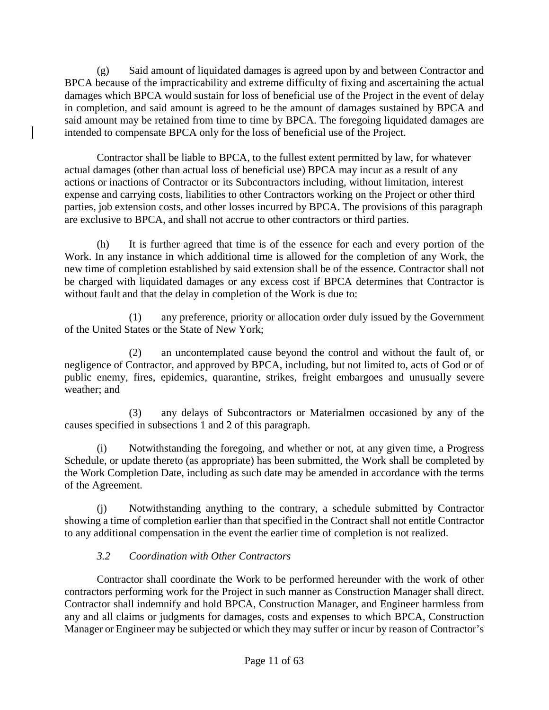(g) Said amount of liquidated damages is agreed upon by and between Contractor and BPCA because of the impracticability and extreme difficulty of fixing and ascertaining the actual damages which BPCA would sustain for loss of beneficial use of the Project in the event of delay in completion, and said amount is agreed to be the amount of damages sustained by BPCA and said amount may be retained from time to time by BPCA. The foregoing liquidated damages are intended to compensate BPCA only for the loss of beneficial use of the Project.

Contractor shall be liable to BPCA, to the fullest extent permitted by law, for whatever actual damages (other than actual loss of beneficial use) BPCA may incur as a result of any actions or inactions of Contractor or its Subcontractors including, without limitation, interest expense and carrying costs, liabilities to other Contractors working on the Project or other third parties, job extension costs, and other losses incurred by BPCA. The provisions of this paragraph are exclusive to BPCA, and shall not accrue to other contractors or third parties.

(h) It is further agreed that time is of the essence for each and every portion of the Work. In any instance in which additional time is allowed for the completion of any Work, the new time of completion established by said extension shall be of the essence. Contractor shall not be charged with liquidated damages or any excess cost if BPCA determines that Contractor is without fault and that the delay in completion of the Work is due to:

(1) any preference, priority or allocation order duly issued by the Government of the United States or the State of New York;

(2) an uncontemplated cause beyond the control and without the fault of, or negligence of Contractor, and approved by BPCA, including, but not limited to, acts of God or of public enemy, fires, epidemics, quarantine, strikes, freight embargoes and unusually severe weather; and

(3) any delays of Subcontractors or Materialmen occasioned by any of the causes specified in subsections 1 and 2 of this paragraph.

(i) Notwithstanding the foregoing, and whether or not, at any given time, a Progress Schedule, or update thereto (as appropriate) has been submitted, the Work shall be completed by the Work Completion Date, including as such date may be amended in accordance with the terms of the Agreement.

(j) Notwithstanding anything to the contrary, a schedule submitted by Contractor showing a time of completion earlier than that specified in the Contract shall not entitle Contractor to any additional compensation in the event the earlier time of completion is not realized.

# *3.2 Coordination with Other Contractors*

<span id="page-18-0"></span>Contractor shall coordinate the Work to be performed hereunder with the work of other contractors performing work for the Project in such manner as Construction Manager shall direct. Contractor shall indemnify and hold BPCA, Construction Manager, and Engineer harmless from any and all claims or judgments for damages, costs and expenses to which BPCA, Construction Manager or Engineer may be subjected or which they may suffer or incur by reason of Contractor's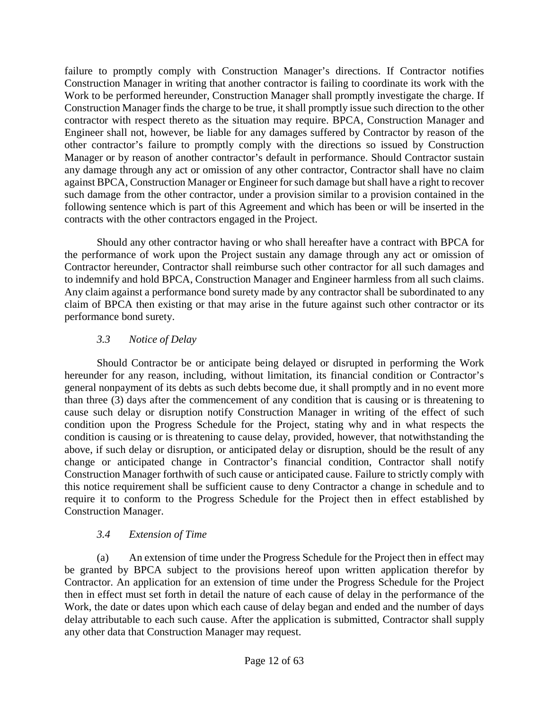failure to promptly comply with Construction Manager's directions. If Contractor notifies Construction Manager in writing that another contractor is failing to coordinate its work with the Work to be performed hereunder, Construction Manager shall promptly investigate the charge. If Construction Manager finds the charge to be true, it shall promptly issue such direction to the other contractor with respect thereto as the situation may require. BPCA, Construction Manager and Engineer shall not, however, be liable for any damages suffered by Contractor by reason of the other contractor's failure to promptly comply with the directions so issued by Construction Manager or by reason of another contractor's default in performance. Should Contractor sustain any damage through any act or omission of any other contractor, Contractor shall have no claim against BPCA, Construction Manager or Engineer for such damage but shall have a right to recover such damage from the other contractor, under a provision similar to a provision contained in the following sentence which is part of this Agreement and which has been or will be inserted in the contracts with the other contractors engaged in the Project.

Should any other contractor having or who shall hereafter have a contract with BPCA for the performance of work upon the Project sustain any damage through any act or omission of Contractor hereunder, Contractor shall reimburse such other contractor for all such damages and to indemnify and hold BPCA, Construction Manager and Engineer harmless from all such claims. Any claim against a performance bond surety made by any contractor shall be subordinated to any claim of BPCA then existing or that may arise in the future against such other contractor or its performance bond surety.

### *3.3 Notice of Delay*

<span id="page-19-0"></span>Should Contractor be or anticipate being delayed or disrupted in performing the Work hereunder for any reason, including, without limitation, its financial condition or Contractor's general nonpayment of its debts as such debts become due, it shall promptly and in no event more than three (3) days after the commencement of any condition that is causing or is threatening to cause such delay or disruption notify Construction Manager in writing of the effect of such condition upon the Progress Schedule for the Project, stating why and in what respects the condition is causing or is threatening to cause delay, provided, however, that notwithstanding the above, if such delay or disruption, or anticipated delay or disruption, should be the result of any change or anticipated change in Contractor's financial condition, Contractor shall notify Construction Manager forthwith of such cause or anticipated cause. Failure to strictly comply with this notice requirement shall be sufficient cause to deny Contractor a change in schedule and to require it to conform to the Progress Schedule for the Project then in effect established by Construction Manager.

### *3.4 Extension of Time*

<span id="page-19-1"></span>(a) An extension of time under the Progress Schedule for the Project then in effect may be granted by BPCA subject to the provisions hereof upon written application therefor by Contractor. An application for an extension of time under the Progress Schedule for the Project then in effect must set forth in detail the nature of each cause of delay in the performance of the Work, the date or dates upon which each cause of delay began and ended and the number of days delay attributable to each such cause. After the application is submitted, Contractor shall supply any other data that Construction Manager may request.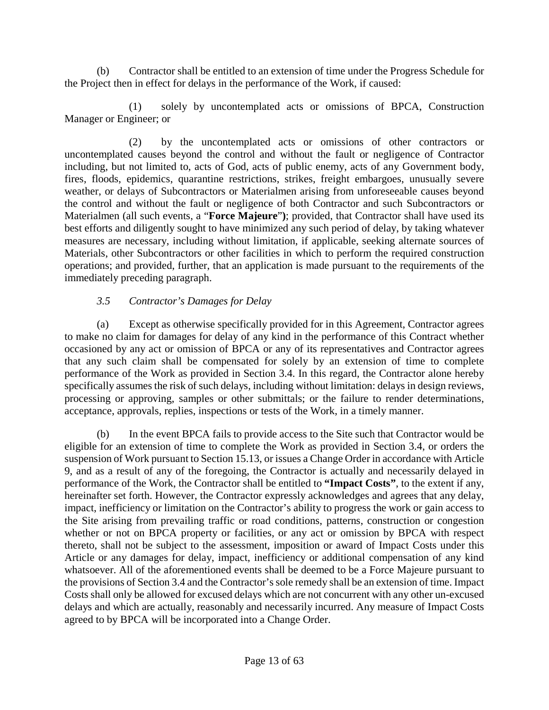(b) Contractor shall be entitled to an extension of time under the Progress Schedule for the Project then in effect for delays in the performance of the Work, if caused:

(1) solely by uncontemplated acts or omissions of BPCA, Construction Manager or Engineer; or

(2) by the uncontemplated acts or omissions of other contractors or uncontemplated causes beyond the control and without the fault or negligence of Contractor including, but not limited to, acts of God, acts of public enemy, acts of any Government body, fires, floods, epidemics, quarantine restrictions, strikes, freight embargoes, unusually severe weather, or delays of Subcontractors or Materialmen arising from unforeseeable causes beyond the control and without the fault or negligence of both Contractor and such Subcontractors or Materialmen (all such events, a "**Force Majeure**"**)**; provided, that Contractor shall have used its best efforts and diligently sought to have minimized any such period of delay, by taking whatever measures are necessary, including without limitation, if applicable, seeking alternate sources of Materials, other Subcontractors or other facilities in which to perform the required construction operations; and provided, further, that an application is made pursuant to the requirements of the immediately preceding paragraph.

### *3.5 Contractor's Damages for Delay*

(a) Except as otherwise specifically provided for in this Agreement, Contractor agrees to make no claim for damages for delay of any kind in the performance of this Contract whether occasioned by any act or omission of BPCA or any of its representatives and Contractor agrees that any such claim shall be compensated for solely by an extension of time to complete performance of the Work as provided in Section 3.4. In this regard, the Contractor alone hereby specifically assumes the risk of such delays, including without limitation: delays in design reviews, processing or approving, samples or other submittals; or the failure to render determinations, acceptance, approvals, replies, inspections or tests of the Work, in a timely manner.

(b) In the event BPCA fails to provide access to the Site such that Contractor would be eligible for an extension of time to complete the Work as provided in Section 3.4, or orders the suspension of Work pursuant to Section 15.13, or issues a Change Order in accordance with Article 9, and as a result of any of the foregoing, the Contractor is actually and necessarily delayed in performance of the Work, the Contractor shall be entitled to **"Impact Costs"**, to the extent if any, hereinafter set forth. However, the Contractor expressly acknowledges and agrees that any delay, impact, inefficiency or limitation on the Contractor's ability to progress the work or gain access to the Site arising from prevailing traffic or road conditions, patterns, construction or congestion whether or not on BPCA property or facilities, or any act or omission by BPCA with respect thereto, shall not be subject to the assessment, imposition or award of Impact Costs under this Article or any damages for delay, impact, inefficiency or additional compensation of any kind whatsoever. All of the aforementioned events shall be deemed to be a Force Majeure pursuant to the provisions of Section 3.4 and the Contractor's sole remedy shall be an extension of time. Impact Costs shall only be allowed for excused delays which are not concurrent with any other un-excused delays and which are actually, reasonably and necessarily incurred. Any measure of Impact Costs agreed to by BPCA will be incorporated into a Change Order.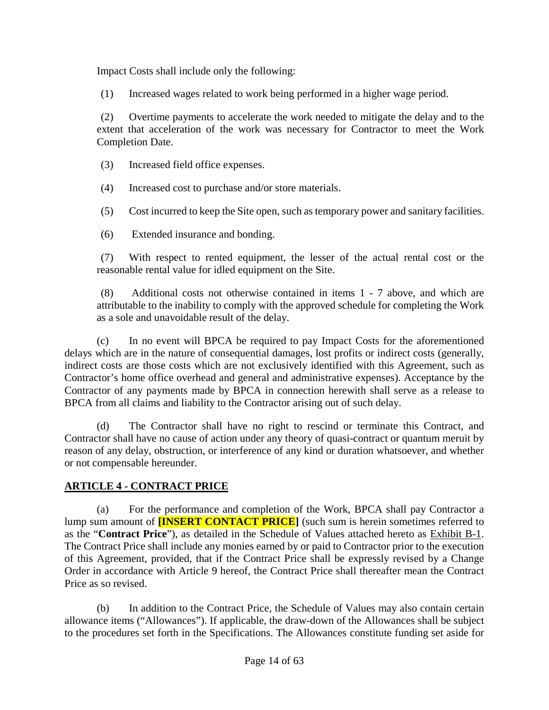Impact Costs shall include only the following:

(1) Increased wages related to work being performed in a higher wage period.

(2) Overtime payments to accelerate the work needed to mitigate the delay and to the extent that acceleration of the work was necessary for Contractor to meet the Work Completion Date.

(3) Increased field office expenses.

(4) Increased cost to purchase and/or store materials.

(5) Cost incurred to keep the Site open, such as temporary power and sanitary facilities.

(6) Extended insurance and bonding.

(7) With respect to rented equipment, the lesser of the actual rental cost or the reasonable rental value for idled equipment on the Site.

(8) Additional costs not otherwise contained in items 1 - 7 above, and which are attributable to the inability to comply with the approved schedule for completing the Work as a sole and unavoidable result of the delay.

(c) In no event will BPCA be required to pay Impact Costs for the aforementioned delays which are in the nature of consequential damages, lost profits or indirect costs (generally, indirect costs are those costs which are not exclusively identified with this Agreement, such as Contractor's home office overhead and general and administrative expenses). Acceptance by the Contractor of any payments made by BPCA in connection herewith shall serve as a release to BPCA from all claims and liability to the Contractor arising out of such delay.

(d) The Contractor shall have no right to rescind or terminate this Contract, and Contractor shall have no cause of action under any theory of quasi-contract or quantum meruit by reason of any delay, obstruction, or interference of any kind or duration whatsoever, and whether or not compensable hereunder.

### <span id="page-21-0"></span>**ARTICLE 4 - CONTRACT PRICE**

(a) For the performance and completion of the Work, BPCA shall pay Contractor a lump sum amount of **[INSERT CONTACT PRICE]** (such sum is herein sometimes referred to as the "**Contract Price**"), as detailed in the Schedule of Values attached hereto as Exhibit B-1. The Contract Price shall include any monies earned by or paid to Contractor prior to the execution of this Agreement, provided, that if the Contract Price shall be expressly revised by a Change Order in accordance with Article 9 hereof, the Contract Price shall thereafter mean the Contract Price as so revised.

(b) In addition to the Contract Price, the Schedule of Values may also contain certain allowance items ("Allowances"). If applicable, the draw-down of the Allowances shall be subject to the procedures set forth in the Specifications. The Allowances constitute funding set aside for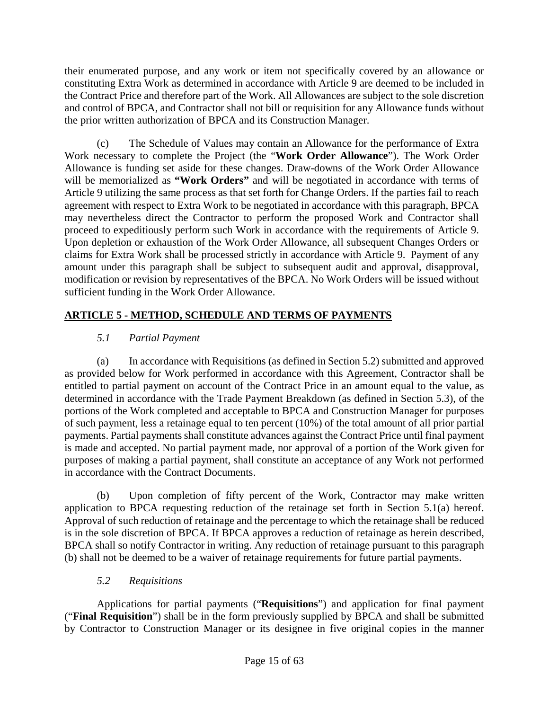their enumerated purpose, and any work or item not specifically covered by an allowance or constituting Extra Work as determined in accordance with Article 9 are deemed to be included in the Contract Price and therefore part of the Work. All Allowances are subject to the sole discretion and control of BPCA, and Contractor shall not bill or requisition for any Allowance funds without the prior written authorization of BPCA and its Construction Manager.

(c) The Schedule of Values may contain an Allowance for the performance of Extra Work necessary to complete the Project (the "**Work Order Allowance**"). The Work Order Allowance is funding set aside for these changes. Draw-downs of the Work Order Allowance will be memorialized as **"Work Orders"** and will be negotiated in accordance with terms of Article 9 utilizing the same process as that set forth for Change Orders. If the parties fail to reach agreement with respect to Extra Work to be negotiated in accordance with this paragraph, BPCA may nevertheless direct the Contractor to perform the proposed Work and Contractor shall proceed to expeditiously perform such Work in accordance with the requirements of Article 9. Upon depletion or exhaustion of the Work Order Allowance, all subsequent Changes Orders or claims for Extra Work shall be processed strictly in accordance with Article 9. Payment of any amount under this paragraph shall be subject to subsequent audit and approval, disapproval, modification or revision by representatives of the BPCA. No Work Orders will be issued without sufficient funding in the Work Order Allowance.

# <span id="page-22-1"></span><span id="page-22-0"></span>**ARTICLE 5 - METHOD, SCHEDULE AND TERMS OF PAYMENTS**

# *5.1 Partial Payment*

(a) In accordance with Requisitions (as defined in Section 5.2) submitted and approved as provided below for Work performed in accordance with this Agreement, Contractor shall be entitled to partial payment on account of the Contract Price in an amount equal to the value, as determined in accordance with the Trade Payment Breakdown (as defined in Section 5.3), of the portions of the Work completed and acceptable to BPCA and Construction Manager for purposes of such payment, less a retainage equal to ten percent (10%) of the total amount of all prior partial payments. Partial payments shall constitute advances against the Contract Price until final payment is made and accepted. No partial payment made, nor approval of a portion of the Work given for purposes of making a partial payment, shall constitute an acceptance of any Work not performed in accordance with the Contract Documents.

(b) Upon completion of fifty percent of the Work, Contractor may make written application to BPCA requesting reduction of the retainage set forth in Section 5.1(a) hereof. Approval of such reduction of retainage and the percentage to which the retainage shall be reduced is in the sole discretion of BPCA. If BPCA approves a reduction of retainage as herein described, BPCA shall so notify Contractor in writing. Any reduction of retainage pursuant to this paragraph (b) shall not be deemed to be a waiver of retainage requirements for future partial payments.

# *5.2 Requisitions*

<span id="page-22-2"></span>Applications for partial payments ("**Requisitions**") and application for final payment ("**Final Requisition**") shall be in the form previously supplied by BPCA and shall be submitted by Contractor to Construction Manager or its designee in five original copies in the manner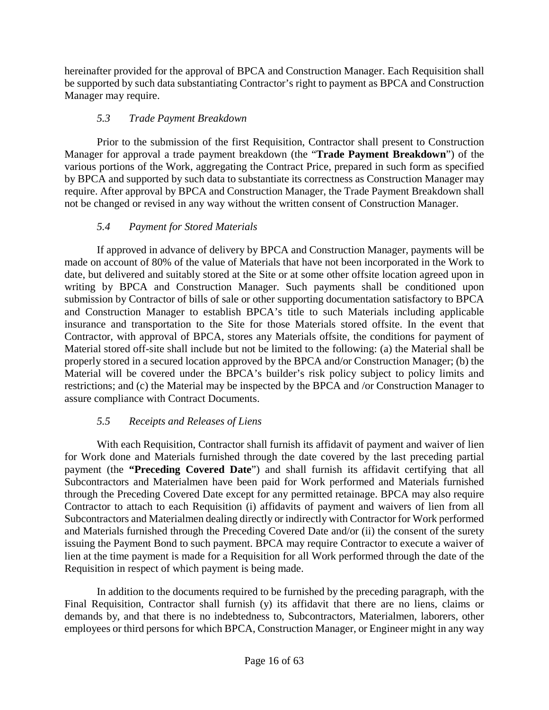hereinafter provided for the approval of BPCA and Construction Manager. Each Requisition shall be supported by such data substantiating Contractor's right to payment as BPCA and Construction Manager may require.

## *5.3 Trade Payment Breakdown*

<span id="page-23-0"></span>Prior to the submission of the first Requisition, Contractor shall present to Construction Manager for approval a trade payment breakdown (the "**Trade Payment Breakdown**") of the various portions of the Work, aggregating the Contract Price, prepared in such form as specified by BPCA and supported by such data to substantiate its correctness as Construction Manager may require. After approval by BPCA and Construction Manager, the Trade Payment Breakdown shall not be changed or revised in any way without the written consent of Construction Manager.

# *5.4 Payment for Stored Materials*

<span id="page-23-1"></span>If approved in advance of delivery by BPCA and Construction Manager, payments will be made on account of 80% of the value of Materials that have not been incorporated in the Work to date, but delivered and suitably stored at the Site or at some other offsite location agreed upon in writing by BPCA and Construction Manager. Such payments shall be conditioned upon submission by Contractor of bills of sale or other supporting documentation satisfactory to BPCA and Construction Manager to establish BPCA's title to such Materials including applicable insurance and transportation to the Site for those Materials stored offsite. In the event that Contractor, with approval of BPCA, stores any Materials offsite, the conditions for payment of Material stored off-site shall include but not be limited to the following: (a) the Material shall be properly stored in a secured location approved by the BPCA and/or Construction Manager; (b) the Material will be covered under the BPCA's builder's risk policy subject to policy limits and restrictions; and (c) the Material may be inspected by the BPCA and /or Construction Manager to assure compliance with Contract Documents.

# *5.5 Receipts and Releases of Liens*

<span id="page-23-2"></span>With each Requisition, Contractor shall furnish its affidavit of payment and waiver of lien for Work done and Materials furnished through the date covered by the last preceding partial payment (the **"Preceding Covered Date**") and shall furnish its affidavit certifying that all Subcontractors and Materialmen have been paid for Work performed and Materials furnished through the Preceding Covered Date except for any permitted retainage. BPCA may also require Contractor to attach to each Requisition (i) affidavits of payment and waivers of lien from all Subcontractors and Materialmen dealing directly or indirectly with Contractor for Work performed and Materials furnished through the Preceding Covered Date and/or (ii) the consent of the surety issuing the Payment Bond to such payment. BPCA may require Contractor to execute a waiver of lien at the time payment is made for a Requisition for all Work performed through the date of the Requisition in respect of which payment is being made.

In addition to the documents required to be furnished by the preceding paragraph, with the Final Requisition, Contractor shall furnish (y) its affidavit that there are no liens, claims or demands by, and that there is no indebtedness to, Subcontractors, Materialmen, laborers, other employees or third persons for which BPCA, Construction Manager, or Engineer might in any way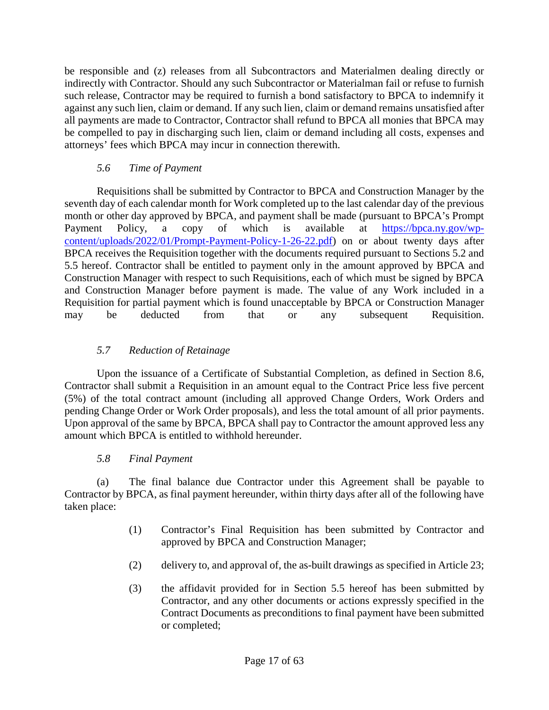be responsible and (z) releases from all Subcontractors and Materialmen dealing directly or indirectly with Contractor. Should any such Subcontractor or Materialman fail or refuse to furnish such release, Contractor may be required to furnish a bond satisfactory to BPCA to indemnify it against any such lien, claim or demand. If any such lien, claim or demand remains unsatisfied after all payments are made to Contractor, Contractor shall refund to BPCA all monies that BPCA may be compelled to pay in discharging such lien, claim or demand including all costs, expenses and attorneys' fees which BPCA may incur in connection therewith.

## *5.6 Time of Payment*

<span id="page-24-0"></span>Requisitions shall be submitted by Contractor to BPCA and Construction Manager by the seventh day of each calendar month for Work completed up to the last calendar day of the previous month or other day approved by BPCA, and payment shall be made (pursuant to BPCA's Prompt Payment Policy, a copy of which is available at [https://bpca.ny.gov/wp](https://bpca.ny.gov/wp-content/uploads/2022/01/Prompt-Payment-Policy-1-26-22.pdf)[content/uploads/2022/01/Prompt-Payment-Policy-1-26-22.pdf\)](https://bpca.ny.gov/wp-content/uploads/2022/01/Prompt-Payment-Policy-1-26-22.pdf) on or about twenty days after BPCA receives the Requisition together with the documents required pursuant to Sections 5.2 and 5.5 hereof. Contractor shall be entitled to payment only in the amount approved by BPCA and Construction Manager with respect to such Requisitions, each of which must be signed by BPCA and Construction Manager before payment is made. The value of any Work included in a Requisition for partial payment which is found unacceptable by BPCA or Construction Manager may be deducted from that or any subsequent Requisition.

## *5.7 Reduction of Retainage*

<span id="page-24-1"></span>Upon the issuance of a Certificate of Substantial Completion, as defined in Section 8.6, Contractor shall submit a Requisition in an amount equal to the Contract Price less five percent (5%) of the total contract amount (including all approved Change Orders, Work Orders and pending Change Order or Work Order proposals), and less the total amount of all prior payments. Upon approval of the same by BPCA, BPCA shall pay to Contractor the amount approved less any amount which BPCA is entitled to withhold hereunder.

*5.8 Final Payment*

<span id="page-24-2"></span>(a) The final balance due Contractor under this Agreement shall be payable to Contractor by BPCA, as final payment hereunder, within thirty days after all of the following have taken place:

- (1) Contractor's Final Requisition has been submitted by Contractor and approved by BPCA and Construction Manager;
- (2) delivery to, and approval of, the as-built drawings as specified in Article 23;
- (3) the affidavit provided for in Section 5.5 hereof has been submitted by Contractor, and any other documents or actions expressly specified in the Contract Documents as preconditions to final payment have been submitted or completed;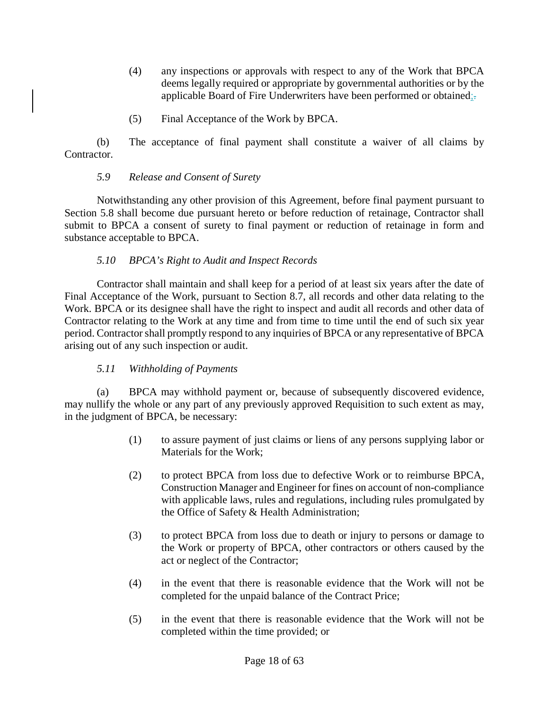- (4) any inspections or approvals with respect to any of the Work that BPCA deems legally required or appropriate by governmental authorities or by the applicable Board of Fire Underwriters have been performed or obtained;.
- (5) Final Acceptance of the Work by BPCA.

(b) The acceptance of final payment shall constitute a waiver of all claims by Contractor.

#### *5.9 Release and Consent of Surety*

<span id="page-25-0"></span>Notwithstanding any other provision of this Agreement, before final payment pursuant to Section 5.8 shall become due pursuant hereto or before reduction of retainage, Contractor shall submit to BPCA a consent of surety to final payment or reduction of retainage in form and substance acceptable to BPCA.

### *5.10 BPCA's Right to Audit and Inspect Records*

<span id="page-25-1"></span>Contractor shall maintain and shall keep for a period of at least six years after the date of Final Acceptance of the Work, pursuant to Section 8.7, all records and other data relating to the Work. BPCA or its designee shall have the right to inspect and audit all records and other data of Contractor relating to the Work at any time and from time to time until the end of such six year period. Contractor shall promptly respond to any inquiries of BPCA or any representative of BPCA arising out of any such inspection or audit.

### *5.11 Withholding of Payments*

<span id="page-25-2"></span>(a) BPCA may withhold payment or, because of subsequently discovered evidence, may nullify the whole or any part of any previously approved Requisition to such extent as may, in the judgment of BPCA, be necessary:

- (1) to assure payment of just claims or liens of any persons supplying labor or Materials for the Work;
- (2) to protect BPCA from loss due to defective Work or to reimburse BPCA, Construction Manager and Engineer for fines on account of non-compliance with applicable laws, rules and regulations, including rules promulgated by the Office of Safety & Health Administration;
- (3) to protect BPCA from loss due to death or injury to persons or damage to the Work or property of BPCA, other contractors or others caused by the act or neglect of the Contractor;
- (4) in the event that there is reasonable evidence that the Work will not be completed for the unpaid balance of the Contract Price;
- (5) in the event that there is reasonable evidence that the Work will not be completed within the time provided; or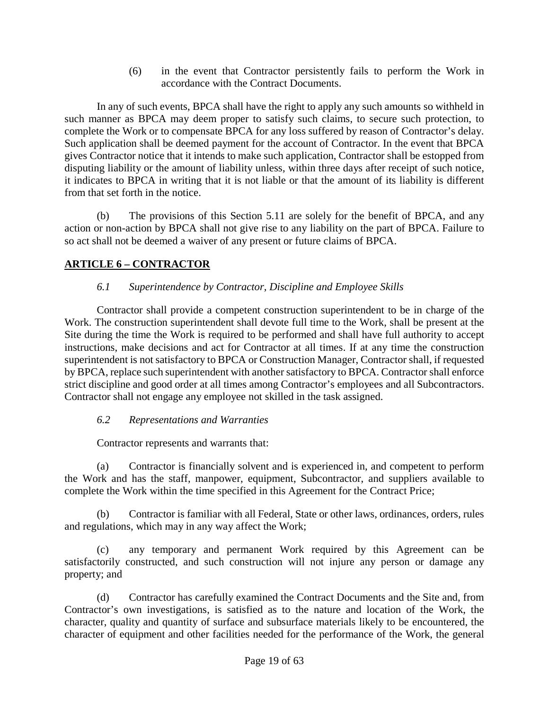(6) in the event that Contractor persistently fails to perform the Work in accordance with the Contract Documents.

In any of such events, BPCA shall have the right to apply any such amounts so withheld in such manner as BPCA may deem proper to satisfy such claims, to secure such protection, to complete the Work or to compensate BPCA for any loss suffered by reason of Contractor's delay. Such application shall be deemed payment for the account of Contractor. In the event that BPCA gives Contractor notice that it intends to make such application, Contractor shall be estopped from disputing liability or the amount of liability unless, within three days after receipt of such notice, it indicates to BPCA in writing that it is not liable or that the amount of its liability is different from that set forth in the notice.

(b) The provisions of this Section 5.11 are solely for the benefit of BPCA, and any action or non-action by BPCA shall not give rise to any liability on the part of BPCA. Failure to so act shall not be deemed a waiver of any present or future claims of BPCA.

## <span id="page-26-1"></span><span id="page-26-0"></span>**ARTICLE 6 – CONTRACTOR**

## *6.1 Superintendence by Contractor, Discipline and Employee Skills*

Contractor shall provide a competent construction superintendent to be in charge of the Work. The construction superintendent shall devote full time to the Work, shall be present at the Site during the time the Work is required to be performed and shall have full authority to accept instructions, make decisions and act for Contractor at all times. If at any time the construction superintendent is not satisfactory to BPCA or Construction Manager, Contractor shall, if requested by BPCA, replace such superintendent with another satisfactory to BPCA. Contractor shall enforce strict discipline and good order at all times among Contractor's employees and all Subcontractors. Contractor shall not engage any employee not skilled in the task assigned.

### <span id="page-26-2"></span>*6.2 Representations and Warranties*

Contractor represents and warrants that:

(a) Contractor is financially solvent and is experienced in, and competent to perform the Work and has the staff, manpower, equipment, Subcontractor, and suppliers available to complete the Work within the time specified in this Agreement for the Contract Price;

(b) Contractor is familiar with all Federal, State or other laws, ordinances, orders, rules and regulations, which may in any way affect the Work;

(c) any temporary and permanent Work required by this Agreement can be satisfactorily constructed, and such construction will not injure any person or damage any property; and

(d) Contractor has carefully examined the Contract Documents and the Site and, from Contractor's own investigations, is satisfied as to the nature and location of the Work, the character, quality and quantity of surface and subsurface materials likely to be encountered, the character of equipment and other facilities needed for the performance of the Work, the general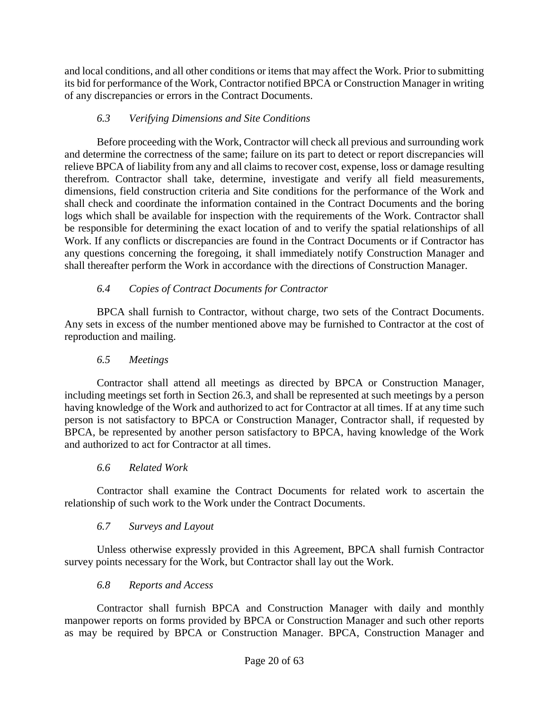and local conditions, and all other conditions or items that may affect the Work. Prior to submitting its bid for performance of the Work, Contractor notified BPCA or Construction Manager in writing of any discrepancies or errors in the Contract Documents.

### *6.3 Verifying Dimensions and Site Conditions*

<span id="page-27-0"></span>Before proceeding with the Work, Contractor will check all previous and surrounding work and determine the correctness of the same; failure on its part to detect or report discrepancies will relieve BPCA of liability from any and all claims to recover cost, expense, loss or damage resulting therefrom. Contractor shall take, determine, investigate and verify all field measurements, dimensions, field construction criteria and Site conditions for the performance of the Work and shall check and coordinate the information contained in the Contract Documents and the boring logs which shall be available for inspection with the requirements of the Work. Contractor shall be responsible for determining the exact location of and to verify the spatial relationships of all Work. If any conflicts or discrepancies are found in the Contract Documents or if Contractor has any questions concerning the foregoing, it shall immediately notify Construction Manager and shall thereafter perform the Work in accordance with the directions of Construction Manager.

### *6.4 Copies of Contract Documents for Contractor*

<span id="page-27-1"></span>BPCA shall furnish to Contractor, without charge, two sets of the Contract Documents. Any sets in excess of the number mentioned above may be furnished to Contractor at the cost of reproduction and mailing.

#### *6.5 Meetings*

<span id="page-27-2"></span>Contractor shall attend all meetings as directed by BPCA or Construction Manager, including meetings set forth in Section 26.3, and shall be represented at such meetings by a person having knowledge of the Work and authorized to act for Contractor at all times. If at any time such person is not satisfactory to BPCA or Construction Manager, Contractor shall, if requested by BPCA, be represented by another person satisfactory to BPCA, having knowledge of the Work and authorized to act for Contractor at all times.

#### *6.6 Related Work*

<span id="page-27-3"></span>Contractor shall examine the Contract Documents for related work to ascertain the relationship of such work to the Work under the Contract Documents.

#### *6.7 Surveys and Layout*

<span id="page-27-4"></span>Unless otherwise expressly provided in this Agreement, BPCA shall furnish Contractor survey points necessary for the Work, but Contractor shall lay out the Work.

#### *6.8 Reports and Access*

<span id="page-27-5"></span>Contractor shall furnish BPCA and Construction Manager with daily and monthly manpower reports on forms provided by BPCA or Construction Manager and such other reports as may be required by BPCA or Construction Manager. BPCA, Construction Manager and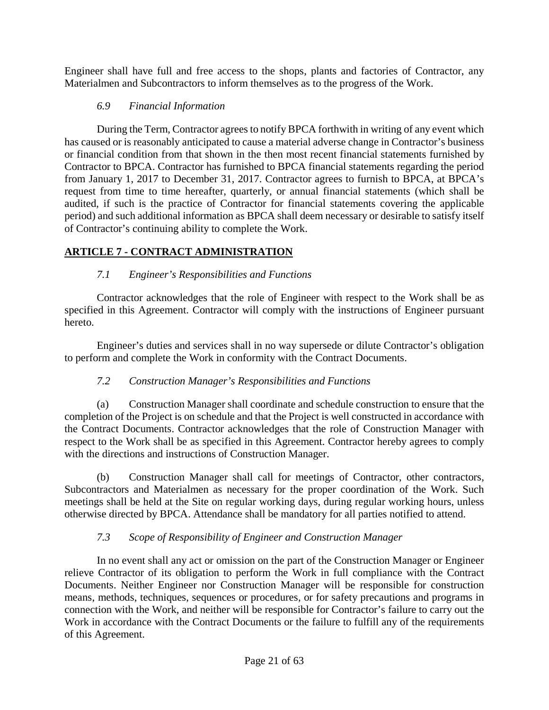Engineer shall have full and free access to the shops, plants and factories of Contractor, any Materialmen and Subcontractors to inform themselves as to the progress of the Work.

## *6.9 Financial Information*

<span id="page-28-0"></span>During the Term, Contractor agrees to notify BPCA forthwith in writing of any event which has caused or is reasonably anticipated to cause a material adverse change in Contractor's business or financial condition from that shown in the then most recent financial statements furnished by Contractor to BPCA. Contractor has furnished to BPCA financial statements regarding the period from January 1, 2017 to December 31, 2017. Contractor agrees to furnish to BPCA, at BPCA's request from time to time hereafter, quarterly, or annual financial statements (which shall be audited, if such is the practice of Contractor for financial statements covering the applicable period) and such additional information as BPCA shall deem necessary or desirable to satisfy itself of Contractor's continuing ability to complete the Work.

# <span id="page-28-2"></span><span id="page-28-1"></span>**ARTICLE 7 - CONTRACT ADMINISTRATION**

# *7.1 Engineer's Responsibilities and Functions*

Contractor acknowledges that the role of Engineer with respect to the Work shall be as specified in this Agreement. Contractor will comply with the instructions of Engineer pursuant hereto.

Engineer's duties and services shall in no way supersede or dilute Contractor's obligation to perform and complete the Work in conformity with the Contract Documents.

# *7.2 Construction Manager's Responsibilities and Functions*

<span id="page-28-3"></span>(a) Construction Manager shall coordinate and schedule construction to ensure that the completion of the Project is on schedule and that the Project is well constructed in accordance with the Contract Documents. Contractor acknowledges that the role of Construction Manager with respect to the Work shall be as specified in this Agreement. Contractor hereby agrees to comply with the directions and instructions of Construction Manager.

(b) Construction Manager shall call for meetings of Contractor, other contractors, Subcontractors and Materialmen as necessary for the proper coordination of the Work. Such meetings shall be held at the Site on regular working days, during regular working hours, unless otherwise directed by BPCA. Attendance shall be mandatory for all parties notified to attend.

# *7.3 Scope of Responsibility of Engineer and Construction Manager*

<span id="page-28-4"></span>In no event shall any act or omission on the part of the Construction Manager or Engineer relieve Contractor of its obligation to perform the Work in full compliance with the Contract Documents. Neither Engineer nor Construction Manager will be responsible for construction means, methods, techniques, sequences or procedures, or for safety precautions and programs in connection with the Work, and neither will be responsible for Contractor's failure to carry out the Work in accordance with the Contract Documents or the failure to fulfill any of the requirements of this Agreement.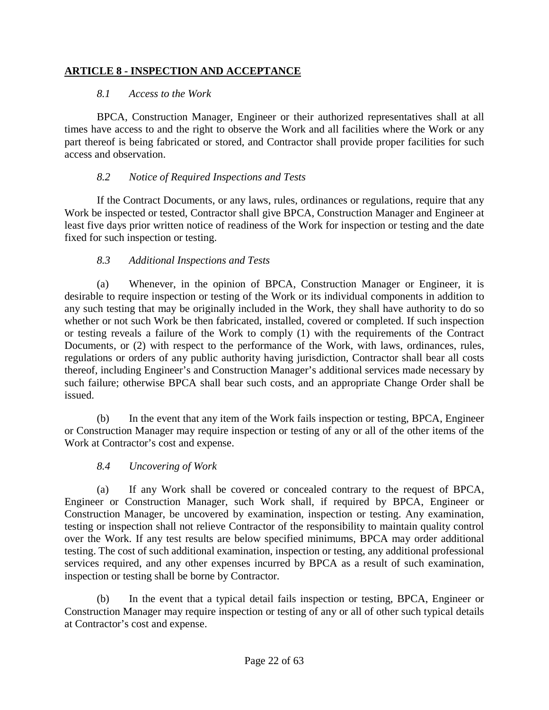### <span id="page-29-1"></span><span id="page-29-0"></span>**ARTICLE 8 - INSPECTION AND ACCEPTANCE**

#### *8.1 Access to the Work*

BPCA, Construction Manager, Engineer or their authorized representatives shall at all times have access to and the right to observe the Work and all facilities where the Work or any part thereof is being fabricated or stored, and Contractor shall provide proper facilities for such access and observation.

#### *8.2 Notice of Required Inspections and Tests*

<span id="page-29-2"></span>If the Contract Documents, or any laws, rules, ordinances or regulations, require that any Work be inspected or tested, Contractor shall give BPCA, Construction Manager and Engineer at least five days prior written notice of readiness of the Work for inspection or testing and the date fixed for such inspection or testing.

#### *8.3 Additional Inspections and Tests*

<span id="page-29-3"></span>(a) Whenever, in the opinion of BPCA, Construction Manager or Engineer, it is desirable to require inspection or testing of the Work or its individual components in addition to any such testing that may be originally included in the Work, they shall have authority to do so whether or not such Work be then fabricated, installed, covered or completed. If such inspection or testing reveals a failure of the Work to comply (1) with the requirements of the Contract Documents, or (2) with respect to the performance of the Work, with laws, ordinances, rules, regulations or orders of any public authority having jurisdiction, Contractor shall bear all costs thereof, including Engineer's and Construction Manager's additional services made necessary by such failure; otherwise BPCA shall bear such costs, and an appropriate Change Order shall be issued.

(b) In the event that any item of the Work fails inspection or testing, BPCA, Engineer or Construction Manager may require inspection or testing of any or all of the other items of the Work at Contractor's cost and expense.

#### *8.4 Uncovering of Work*

<span id="page-29-4"></span>(a) If any Work shall be covered or concealed contrary to the request of BPCA, Engineer or Construction Manager, such Work shall, if required by BPCA, Engineer or Construction Manager, be uncovered by examination, inspection or testing. Any examination, testing or inspection shall not relieve Contractor of the responsibility to maintain quality control over the Work. If any test results are below specified minimums, BPCA may order additional testing. The cost of such additional examination, inspection or testing, any additional professional services required, and any other expenses incurred by BPCA as a result of such examination, inspection or testing shall be borne by Contractor.

(b) In the event that a typical detail fails inspection or testing, BPCA, Engineer or Construction Manager may require inspection or testing of any or all of other such typical details at Contractor's cost and expense.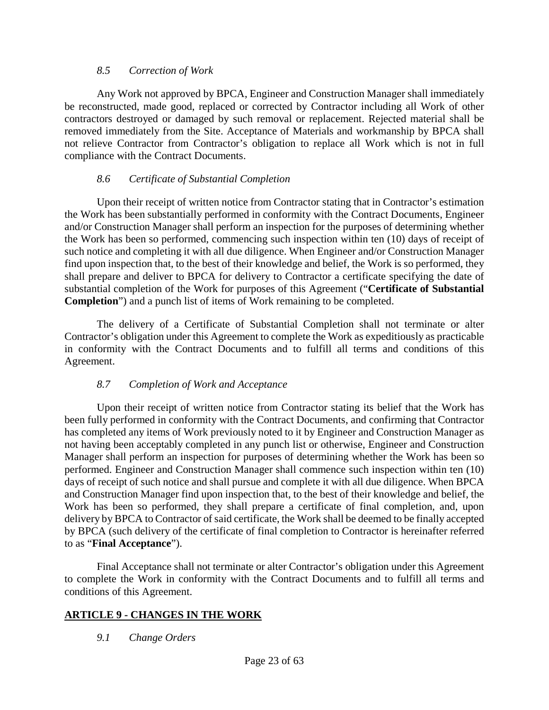#### *8.5 Correction of Work*

<span id="page-30-0"></span>Any Work not approved by BPCA, Engineer and Construction Manager shall immediately be reconstructed, made good, replaced or corrected by Contractor including all Work of other contractors destroyed or damaged by such removal or replacement. Rejected material shall be removed immediately from the Site. Acceptance of Materials and workmanship by BPCA shall not relieve Contractor from Contractor's obligation to replace all Work which is not in full compliance with the Contract Documents.

### *8.6 Certificate of Substantial Completion*

<span id="page-30-1"></span>Upon their receipt of written notice from Contractor stating that in Contractor's estimation the Work has been substantially performed in conformity with the Contract Documents, Engineer and/or Construction Manager shall perform an inspection for the purposes of determining whether the Work has been so performed, commencing such inspection within ten (10) days of receipt of such notice and completing it with all due diligence. When Engineer and/or Construction Manager find upon inspection that, to the best of their knowledge and belief, the Work is so performed, they shall prepare and deliver to BPCA for delivery to Contractor a certificate specifying the date of substantial completion of the Work for purposes of this Agreement ("**Certificate of Substantial Completion**") and a punch list of items of Work remaining to be completed.

The delivery of a Certificate of Substantial Completion shall not terminate or alter Contractor's obligation under this Agreement to complete the Work as expeditiously as practicable in conformity with the Contract Documents and to fulfill all terms and conditions of this Agreement.

### *8.7 Completion of Work and Acceptance*

<span id="page-30-2"></span>Upon their receipt of written notice from Contractor stating its belief that the Work has been fully performed in conformity with the Contract Documents, and confirming that Contractor has completed any items of Work previously noted to it by Engineer and Construction Manager as not having been acceptably completed in any punch list or otherwise, Engineer and Construction Manager shall perform an inspection for purposes of determining whether the Work has been so performed. Engineer and Construction Manager shall commence such inspection within ten (10) days of receipt of such notice and shall pursue and complete it with all due diligence. When BPCA and Construction Manager find upon inspection that, to the best of their knowledge and belief, the Work has been so performed, they shall prepare a certificate of final completion, and, upon delivery by BPCA to Contractor of said certificate, the Work shall be deemed to be finally accepted by BPCA (such delivery of the certificate of final completion to Contractor is hereinafter referred to as "**Final Acceptance**").

Final Acceptance shall not terminate or alter Contractor's obligation under this Agreement to complete the Work in conformity with the Contract Documents and to fulfill all terms and conditions of this Agreement.

### <span id="page-30-4"></span><span id="page-30-3"></span>**ARTICLE 9 - CHANGES IN THE WORK**

### *9.1 Change Orders*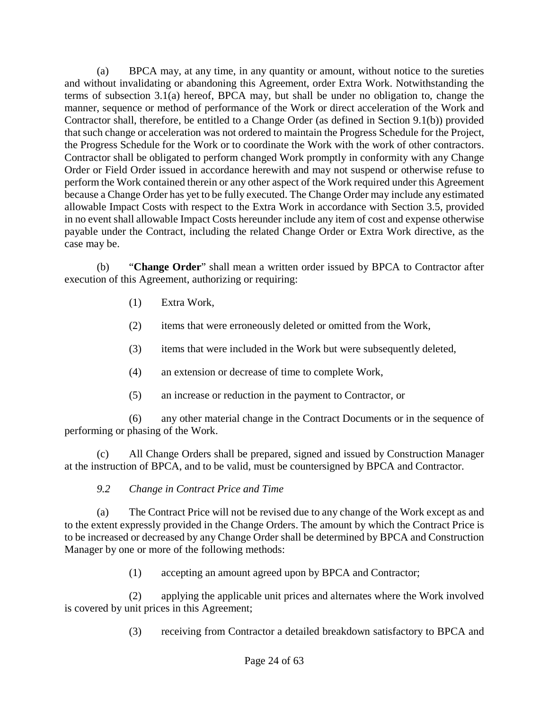(a) BPCA may, at any time, in any quantity or amount, without notice to the sureties and without invalidating or abandoning this Agreement, order Extra Work. Notwithstanding the terms of subsection 3.1(a) hereof, BPCA may, but shall be under no obligation to, change the manner, sequence or method of performance of the Work or direct acceleration of the Work and Contractor shall, therefore, be entitled to a Change Order (as defined in Section 9.1(b)) provided that such change or acceleration was not ordered to maintain the Progress Schedule for the Project, the Progress Schedule for the Work or to coordinate the Work with the work of other contractors. Contractor shall be obligated to perform changed Work promptly in conformity with any Change Order or Field Order issued in accordance herewith and may not suspend or otherwise refuse to perform the Work contained therein or any other aspect of the Work required under this Agreement because a Change Order has yet to be fully executed. The Change Order may include any estimated allowable Impact Costs with respect to the Extra Work in accordance with Section 3.5, provided in no event shall allowable Impact Costs hereunder include any item of cost and expense otherwise payable under the Contract, including the related Change Order or Extra Work directive, as the case may be.

(b) "**Change Order**" shall mean a written order issued by BPCA to Contractor after execution of this Agreement, authorizing or requiring:

- (1) Extra Work,
- (2) items that were erroneously deleted or omitted from the Work,
- (3) items that were included in the Work but were subsequently deleted,
- (4) an extension or decrease of time to complete Work,
- (5) an increase or reduction in the payment to Contractor, or

(6) any other material change in the Contract Documents or in the sequence of performing or phasing of the Work.

(c) All Change Orders shall be prepared, signed and issued by Construction Manager at the instruction of BPCA, and to be valid, must be countersigned by BPCA and Contractor.

*9.2 Change in Contract Price and Time*

<span id="page-31-0"></span>(a) The Contract Price will not be revised due to any change of the Work except as and to the extent expressly provided in the Change Orders. The amount by which the Contract Price is to be increased or decreased by any Change Order shall be determined by BPCA and Construction Manager by one or more of the following methods:

(1) accepting an amount agreed upon by BPCA and Contractor;

(2) applying the applicable unit prices and alternates where the Work involved is covered by unit prices in this Agreement;

(3) receiving from Contractor a detailed breakdown satisfactory to BPCA and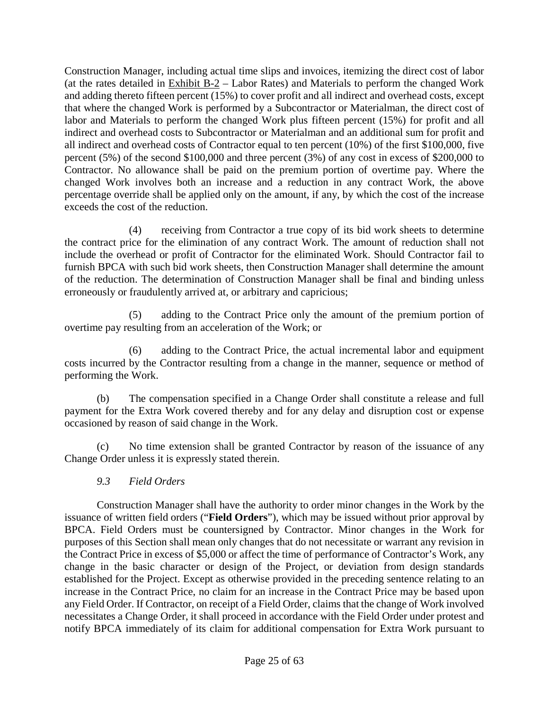Construction Manager, including actual time slips and invoices, itemizing the direct cost of labor (at the rates detailed in  $Exhibit B-2$  – Labor Rates) and Materials to perform the changed Work and adding thereto fifteen percent  $(15%)$  to cover profit and all indirect and overhead costs, except that where the changed Work is performed by a Subcontractor or Materialman, the direct cost of labor and Materials to perform the changed Work plus fifteen percent (15%) for profit and all indirect and overhead costs to Subcontractor or Materialman and an additional sum for profit and all indirect and overhead costs of Contractor equal to ten percent (10%) of the first \$100,000, five percent (5%) of the second \$100,000 and three percent (3%) of any cost in excess of \$200,000 to Contractor. No allowance shall be paid on the premium portion of overtime pay. Where the changed Work involves both an increase and a reduction in any contract Work, the above percentage override shall be applied only on the amount, if any, by which the cost of the increase exceeds the cost of the reduction.

(4) receiving from Contractor a true copy of its bid work sheets to determine the contract price for the elimination of any contract Work. The amount of reduction shall not include the overhead or profit of Contractor for the eliminated Work. Should Contractor fail to furnish BPCA with such bid work sheets, then Construction Manager shall determine the amount of the reduction. The determination of Construction Manager shall be final and binding unless erroneously or fraudulently arrived at, or arbitrary and capricious;

(5) adding to the Contract Price only the amount of the premium portion of overtime pay resulting from an acceleration of the Work; or

(6) adding to the Contract Price, the actual incremental labor and equipment costs incurred by the Contractor resulting from a change in the manner, sequence or method of performing the Work.

(b) The compensation specified in a Change Order shall constitute a release and full payment for the Extra Work covered thereby and for any delay and disruption cost or expense occasioned by reason of said change in the Work.

(c) No time extension shall be granted Contractor by reason of the issuance of any Change Order unless it is expressly stated therein.

*9.3 Field Orders*

<span id="page-32-0"></span>Construction Manager shall have the authority to order minor changes in the Work by the issuance of written field orders ("**Field Orders**"), which may be issued without prior approval by BPCA. Field Orders must be countersigned by Contractor. Minor changes in the Work for purposes of this Section shall mean only changes that do not necessitate or warrant any revision in the Contract Price in excess of \$5,000 or affect the time of performance of Contractor's Work, any change in the basic character or design of the Project, or deviation from design standards established for the Project. Except as otherwise provided in the preceding sentence relating to an increase in the Contract Price, no claim for an increase in the Contract Price may be based upon any Field Order. If Contractor, on receipt of a Field Order, claims that the change of Work involved necessitates a Change Order, it shall proceed in accordance with the Field Order under protest and notify BPCA immediately of its claim for additional compensation for Extra Work pursuant to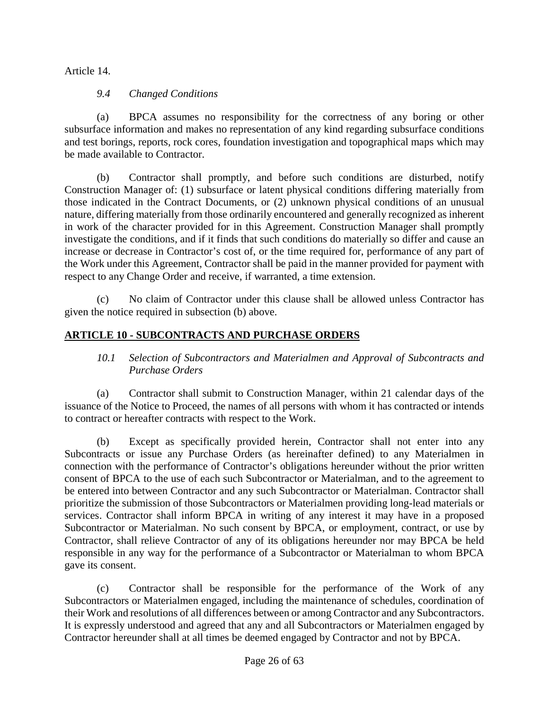#### <span id="page-33-0"></span>Article 14.

#### *9.4 Changed Conditions*

(a) BPCA assumes no responsibility for the correctness of any boring or other subsurface information and makes no representation of any kind regarding subsurface conditions and test borings, reports, rock cores, foundation investigation and topographical maps which may be made available to Contractor.

(b) Contractor shall promptly, and before such conditions are disturbed, notify Construction Manager of: (1) subsurface or latent physical conditions differing materially from those indicated in the Contract Documents, or (2) unknown physical conditions of an unusual nature, differing materially from those ordinarily encountered and generally recognized as inherent in work of the character provided for in this Agreement. Construction Manager shall promptly investigate the conditions, and if it finds that such conditions do materially so differ and cause an increase or decrease in Contractor's cost of, or the time required for, performance of any part of the Work under this Agreement, Contractor shall be paid in the manner provided for payment with respect to any Change Order and receive, if warranted, a time extension.

No claim of Contractor under this clause shall be allowed unless Contractor has given the notice required in subsection (b) above.

### <span id="page-33-2"></span><span id="page-33-1"></span>**ARTICLE 10 - SUBCONTRACTS AND PURCHASE ORDERS**

#### *10.1 Selection of Subcontractors and Materialmen and Approval of Subcontracts and Purchase Orders*

(a) Contractor shall submit to Construction Manager, within 21 calendar days of the issuance of the Notice to Proceed, the names of all persons with whom it has contracted or intends to contract or hereafter contracts with respect to the Work.

(b) Except as specifically provided herein, Contractor shall not enter into any Subcontracts or issue any Purchase Orders (as hereinafter defined) to any Materialmen in connection with the performance of Contractor's obligations hereunder without the prior written consent of BPCA to the use of each such Subcontractor or Materialman, and to the agreement to be entered into between Contractor and any such Subcontractor or Materialman. Contractor shall prioritize the submission of those Subcontractors or Materialmen providing long-lead materials or services. Contractor shall inform BPCA in writing of any interest it may have in a proposed Subcontractor or Materialman. No such consent by BPCA, or employment, contract, or use by Contractor, shall relieve Contractor of any of its obligations hereunder nor may BPCA be held responsible in any way for the performance of a Subcontractor or Materialman to whom BPCA gave its consent.

(c) Contractor shall be responsible for the performance of the Work of any Subcontractors or Materialmen engaged, including the maintenance of schedules, coordination of their Work and resolutions of all differences between or among Contractor and any Subcontractors. It is expressly understood and agreed that any and all Subcontractors or Materialmen engaged by Contractor hereunder shall at all times be deemed engaged by Contractor and not by BPCA.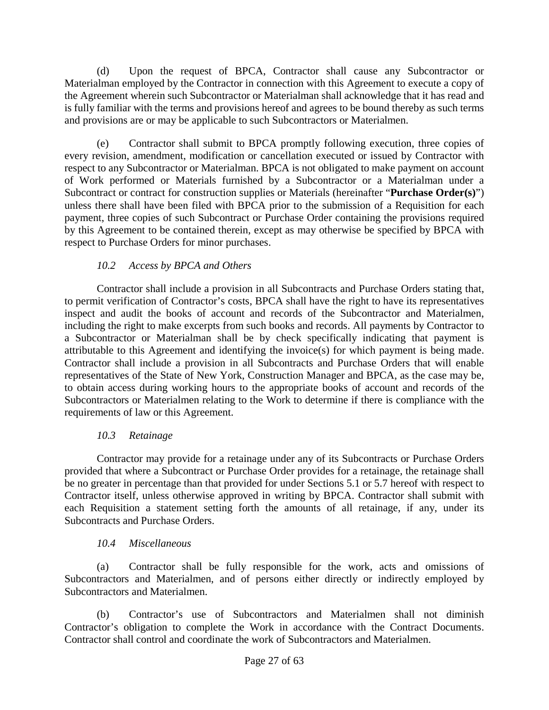(d) Upon the request of BPCA, Contractor shall cause any Subcontractor or Materialman employed by the Contractor in connection with this Agreement to execute a copy of the Agreement wherein such Subcontractor or Materialman shall acknowledge that it has read and is fully familiar with the terms and provisions hereof and agrees to be bound thereby as such terms and provisions are or may be applicable to such Subcontractors or Materialmen.

(e) Contractor shall submit to BPCA promptly following execution, three copies of every revision, amendment, modification or cancellation executed or issued by Contractor with respect to any Subcontractor or Materialman. BPCA is not obligated to make payment on account of Work performed or Materials furnished by a Subcontractor or a Materialman under a Subcontract or contract for construction supplies or Materials (hereinafter "**Purchase Order(s)**") unless there shall have been filed with BPCA prior to the submission of a Requisition for each payment, three copies of such Subcontract or Purchase Order containing the provisions required by this Agreement to be contained therein, except as may otherwise be specified by BPCA with respect to Purchase Orders for minor purchases.

### *10.2 Access by BPCA and Others*

<span id="page-34-0"></span>Contractor shall include a provision in all Subcontracts and Purchase Orders stating that, to permit verification of Contractor's costs, BPCA shall have the right to have its representatives inspect and audit the books of account and records of the Subcontractor and Materialmen, including the right to make excerpts from such books and records. All payments by Contractor to a Subcontractor or Materialman shall be by check specifically indicating that payment is attributable to this Agreement and identifying the invoice(s) for which payment is being made. Contractor shall include a provision in all Subcontracts and Purchase Orders that will enable representatives of the State of New York, Construction Manager and BPCA, as the case may be, to obtain access during working hours to the appropriate books of account and records of the Subcontractors or Materialmen relating to the Work to determine if there is compliance with the requirements of law or this Agreement.

### *10.3 Retainage*

<span id="page-34-1"></span>Contractor may provide for a retainage under any of its Subcontracts or Purchase Orders provided that where a Subcontract or Purchase Order provides for a retainage, the retainage shall be no greater in percentage than that provided for under Sections 5.1 or 5.7 hereof with respect to Contractor itself, unless otherwise approved in writing by BPCA. Contractor shall submit with each Requisition a statement setting forth the amounts of all retainage, if any, under its Subcontracts and Purchase Orders.

### *10.4 Miscellaneous*

<span id="page-34-2"></span>(a) Contractor shall be fully responsible for the work, acts and omissions of Subcontractors and Materialmen, and of persons either directly or indirectly employed by Subcontractors and Materialmen.

(b) Contractor's use of Subcontractors and Materialmen shall not diminish Contractor's obligation to complete the Work in accordance with the Contract Documents. Contractor shall control and coordinate the work of Subcontractors and Materialmen.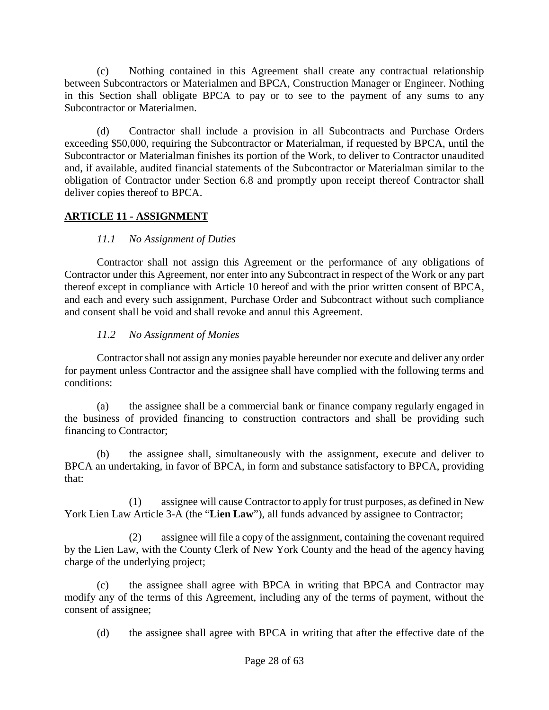(c) Nothing contained in this Agreement shall create any contractual relationship between Subcontractors or Materialmen and BPCA, Construction Manager or Engineer. Nothing in this Section shall obligate BPCA to pay or to see to the payment of any sums to any Subcontractor or Materialmen.

(d) Contractor shall include a provision in all Subcontracts and Purchase Orders exceeding \$50,000, requiring the Subcontractor or Materialman, if requested by BPCA, until the Subcontractor or Materialman finishes its portion of the Work, to deliver to Contractor unaudited and, if available, audited financial statements of the Subcontractor or Materialman similar to the obligation of Contractor under Section 6.8 and promptly upon receipt thereof Contractor shall deliver copies thereof to BPCA.

### <span id="page-35-1"></span><span id="page-35-0"></span>**ARTICLE 11 - ASSIGNMENT**

## *11.1 No Assignment of Duties*

Contractor shall not assign this Agreement or the performance of any obligations of Contractor under this Agreement, nor enter into any Subcontract in respect of the Work or any part thereof except in compliance with Article 10 hereof and with the prior written consent of BPCA, and each and every such assignment, Purchase Order and Subcontract without such compliance and consent shall be void and shall revoke and annul this Agreement.

## *11.2 No Assignment of Monies*

<span id="page-35-2"></span>Contractor shall not assign any monies payable hereunder nor execute and deliver any order for payment unless Contractor and the assignee shall have complied with the following terms and conditions:

(a) the assignee shall be a commercial bank or finance company regularly engaged in the business of provided financing to construction contractors and shall be providing such financing to Contractor;

(b) the assignee shall, simultaneously with the assignment, execute and deliver to BPCA an undertaking, in favor of BPCA, in form and substance satisfactory to BPCA, providing that:

(1) assignee will cause Contractor to apply for trust purposes, as defined in New York Lien Law Article 3-A (the "**Lien Law**"), all funds advanced by assignee to Contractor;

(2) assignee will file a copy of the assignment, containing the covenant required by the Lien Law, with the County Clerk of New York County and the head of the agency having charge of the underlying project;

(c) the assignee shall agree with BPCA in writing that BPCA and Contractor may modify any of the terms of this Agreement, including any of the terms of payment, without the consent of assignee;

(d) the assignee shall agree with BPCA in writing that after the effective date of the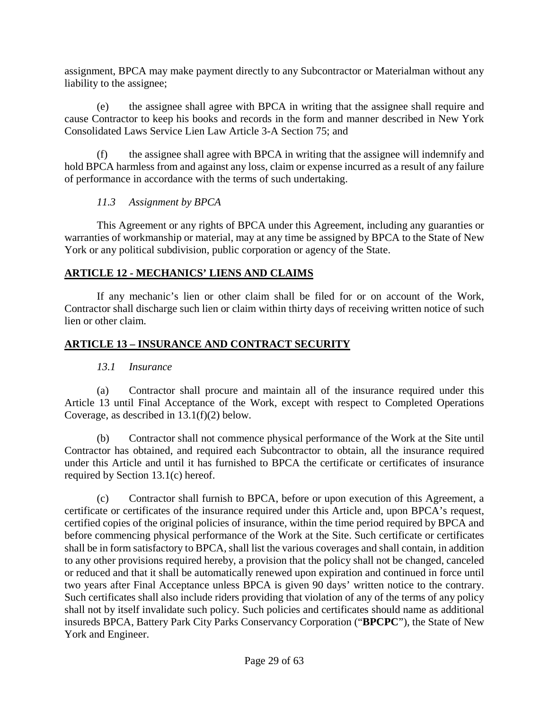assignment, BPCA may make payment directly to any Subcontractor or Materialman without any liability to the assignee;

(e) the assignee shall agree with BPCA in writing that the assignee shall require and cause Contractor to keep his books and records in the form and manner described in New York Consolidated Laws Service Lien Law Article 3-A Section 75; and

(f) the assignee shall agree with BPCA in writing that the assignee will indemnify and hold BPCA harmless from and against any loss, claim or expense incurred as a result of any failure of performance in accordance with the terms of such undertaking.

*11.3 Assignment by BPCA*

This Agreement or any rights of BPCA under this Agreement, including any guaranties or warranties of workmanship or material, may at any time be assigned by BPCA to the State of New York or any political subdivision, public corporation or agency of the State.

### **ARTICLE 12 - MECHANICS' LIENS AND CLAIMS**

If any mechanic's lien or other claim shall be filed for or on account of the Work, Contractor shall discharge such lien or claim within thirty days of receiving written notice of such lien or other claim.

### **ARTICLE 13 – INSURANCE AND CONTRACT SECURITY**

#### *13.1 Insurance*

(a) Contractor shall procure and maintain all of the insurance required under this Article 13 until Final Acceptance of the Work, except with respect to Completed Operations Coverage, as described in 13.1(f)(2) below.

(b) Contractor shall not commence physical performance of the Work at the Site until Contractor has obtained, and required each Subcontractor to obtain, all the insurance required under this Article and until it has furnished to BPCA the certificate or certificates of insurance required by Section 13.1(c) hereof.

(c) Contractor shall furnish to BPCA, before or upon execution of this Agreement, a certificate or certificates of the insurance required under this Article and, upon BPCA's request, certified copies of the original policies of insurance, within the time period required by BPCA and before commencing physical performance of the Work at the Site. Such certificate or certificates shall be in form satisfactory to BPCA, shall list the various coverages and shall contain, in addition to any other provisions required hereby, a provision that the policy shall not be changed, canceled or reduced and that it shall be automatically renewed upon expiration and continued in force until two years after Final Acceptance unless BPCA is given 90 days' written notice to the contrary. Such certificates shall also include riders providing that violation of any of the terms of any policy shall not by itself invalidate such policy. Such policies and certificates should name as additional insureds BPCA, Battery Park City Parks Conservancy Corporation ("**BPCPC**"), the State of New York and Engineer.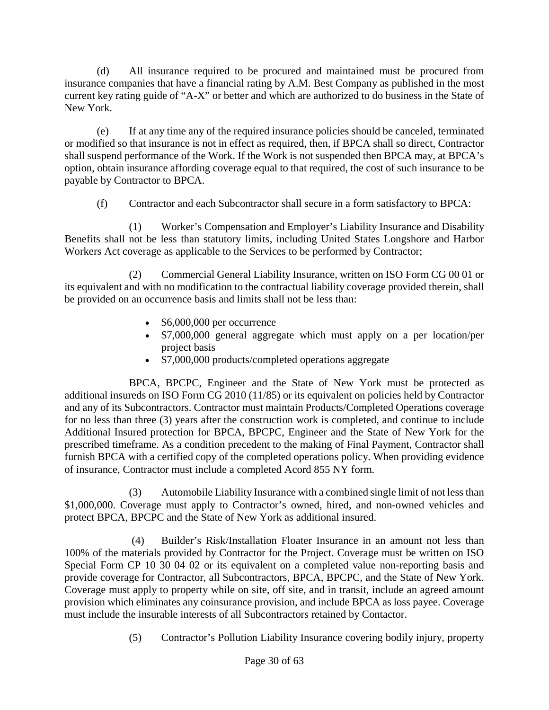(d) All insurance required to be procured and maintained must be procured from insurance companies that have a financial rating by A.M. Best Company as published in the most current key rating guide of "A-X" or better and which are authorized to do business in the State of New York.

(e) If at any time any of the required insurance policies should be canceled, terminated or modified so that insurance is not in effect as required, then, if BPCA shall so direct, Contractor shall suspend performance of the Work. If the Work is not suspended then BPCA may, at BPCA's option, obtain insurance affording coverage equal to that required, the cost of such insurance to be payable by Contractor to BPCA.

(f) Contractor and each Subcontractor shall secure in a form satisfactory to BPCA:

(1) Worker's Compensation and Employer's Liability Insurance and Disability Benefits shall not be less than statutory limits, including United States Longshore and Harbor Workers Act coverage as applicable to the Services to be performed by Contractor;

(2) Commercial General Liability Insurance, written on ISO Form CG 00 01 or its equivalent and with no modification to the contractual liability coverage provided therein, shall be provided on an occurrence basis and limits shall not be less than:

- \$6,000,000 per occurrence
- \$7,000,000 general aggregate which must apply on a per location/per project basis
- $\bar{\$}7,000,000$  products/completed operations aggregate

BPCA, BPCPC, Engineer and the State of New York must be protected as additional insureds on ISO Form CG 2010 (11/85) or its equivalent on policies held by Contractor and any of its Subcontractors. Contractor must maintain Products/Completed Operations coverage for no less than three (3) years after the construction work is completed, and continue to include Additional Insured protection for BPCA, BPCPC, Engineer and the State of New York for the prescribed timeframe. As a condition precedent to the making of Final Payment, Contractor shall furnish BPCA with a certified copy of the completed operations policy. When providing evidence of insurance, Contractor must include a completed Acord 855 NY form.

(3) Automobile Liability Insurance with a combined single limit of not less than \$1,000,000. Coverage must apply to Contractor's owned, hired, and non-owned vehicles and protect BPCA, BPCPC and the State of New York as additional insured.

(4) Builder's Risk/Installation Floater Insurance in an amount not less than 100% of the materials provided by Contractor for the Project. Coverage must be written on ISO Special Form CP 10 30 04 02 or its equivalent on a completed value non-reporting basis and provide coverage for Contractor, all Subcontractors, BPCA, BPCPC, and the State of New York. Coverage must apply to property while on site, off site, and in transit, include an agreed amount provision which eliminates any coinsurance provision, and include BPCA as loss payee. Coverage must include the insurable interests of all Subcontractors retained by Contactor.

(5) Contractor's Pollution Liability Insurance covering bodily injury, property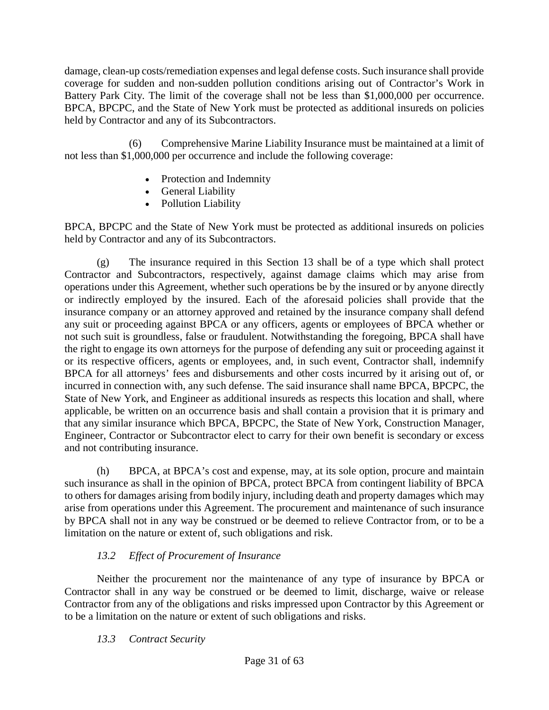damage, clean-up costs/remediation expenses and legal defense costs. Such insurance shall provide coverage for sudden and non-sudden pollution conditions arising out of Contractor's Work in Battery Park City. The limit of the coverage shall not be less than \$1,000,000 per occurrence. BPCA, BPCPC, and the State of New York must be protected as additional insureds on policies held by Contractor and any of its Subcontractors.

(6) Comprehensive Marine Liability Insurance must be maintained at a limit of not less than \$1,000,000 per occurrence and include the following coverage:

- Protection and Indemnity
- General Liability
- Pollution Liability

BPCA, BPCPC and the State of New York must be protected as additional insureds on policies held by Contractor and any of its Subcontractors.

(g) The insurance required in this Section 13 shall be of a type which shall protect Contractor and Subcontractors, respectively, against damage claims which may arise from operations under this Agreement, whether such operations be by the insured or by anyone directly or indirectly employed by the insured. Each of the aforesaid policies shall provide that the insurance company or an attorney approved and retained by the insurance company shall defend any suit or proceeding against BPCA or any officers, agents or employees of BPCA whether or not such suit is groundless, false or fraudulent. Notwithstanding the foregoing, BPCA shall have the right to engage its own attorneys for the purpose of defending any suit or proceeding against it or its respective officers, agents or employees, and, in such event, Contractor shall, indemnify BPCA for all attorneys' fees and disbursements and other costs incurred by it arising out of, or incurred in connection with, any such defense. The said insurance shall name BPCA, BPCPC, the State of New York, and Engineer as additional insureds as respects this location and shall, where applicable, be written on an occurrence basis and shall contain a provision that it is primary and that any similar insurance which BPCA, BPCPC, the State of New York, Construction Manager, Engineer, Contractor or Subcontractor elect to carry for their own benefit is secondary or excess and not contributing insurance.

(h) BPCA, at BPCA's cost and expense, may, at its sole option, procure and maintain such insurance as shall in the opinion of BPCA, protect BPCA from contingent liability of BPCA to others for damages arising from bodily injury, including death and property damages which may arise from operations under this Agreement. The procurement and maintenance of such insurance by BPCA shall not in any way be construed or be deemed to relieve Contractor from, or to be a limitation on the nature or extent of, such obligations and risk.

## *13.2 Effect of Procurement of Insurance*

Neither the procurement nor the maintenance of any type of insurance by BPCA or Contractor shall in any way be construed or be deemed to limit, discharge, waive or release Contractor from any of the obligations and risks impressed upon Contractor by this Agreement or to be a limitation on the nature or extent of such obligations and risks.

## *13.3 Contract Security*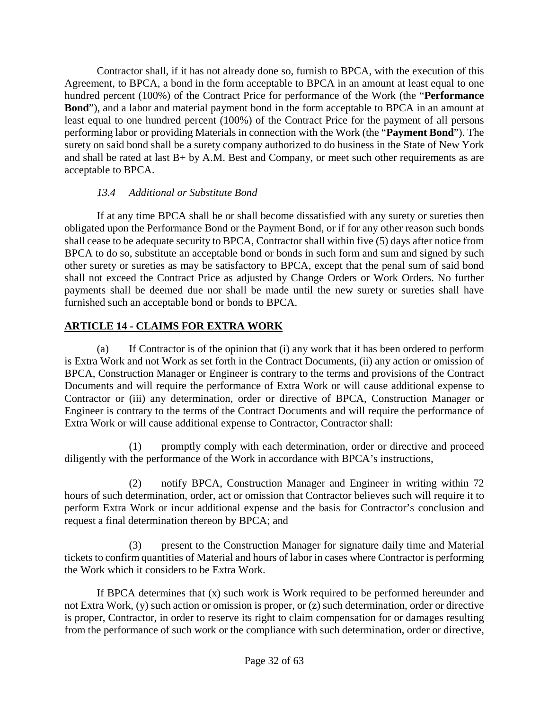Contractor shall, if it has not already done so, furnish to BPCA, with the execution of this Agreement, to BPCA, a bond in the form acceptable to BPCA in an amount at least equal to one hundred percent (100%) of the Contract Price for performance of the Work (the "**Performance Bond**"), and a labor and material payment bond in the form acceptable to BPCA in an amount at least equal to one hundred percent (100%) of the Contract Price for the payment of all persons performing labor or providing Materials in connection with the Work (the "**Payment Bond**"). The surety on said bond shall be a surety company authorized to do business in the State of New York and shall be rated at last B+ by A.M. Best and Company, or meet such other requirements as are acceptable to BPCA.

### *13.4 Additional or Substitute Bond*

If at any time BPCA shall be or shall become dissatisfied with any surety or sureties then obligated upon the Performance Bond or the Payment Bond, or if for any other reason such bonds shall cease to be adequate security to BPCA, Contractor shall within five (5) days after notice from BPCA to do so, substitute an acceptable bond or bonds in such form and sum and signed by such other surety or sureties as may be satisfactory to BPCA, except that the penal sum of said bond shall not exceed the Contract Price as adjusted by Change Orders or Work Orders. No further payments shall be deemed due nor shall be made until the new surety or sureties shall have furnished such an acceptable bond or bonds to BPCA.

## **ARTICLE 14 - CLAIMS FOR EXTRA WORK**

(a) If Contractor is of the opinion that (i) any work that it has been ordered to perform is Extra Work and not Work as set forth in the Contract Documents, (ii) any action or omission of BPCA, Construction Manager or Engineer is contrary to the terms and provisions of the Contract Documents and will require the performance of Extra Work or will cause additional expense to Contractor or (iii) any determination, order or directive of BPCA, Construction Manager or Engineer is contrary to the terms of the Contract Documents and will require the performance of Extra Work or will cause additional expense to Contractor, Contractor shall:

(1) promptly comply with each determination, order or directive and proceed diligently with the performance of the Work in accordance with BPCA's instructions,

(2) notify BPCA, Construction Manager and Engineer in writing within 72 hours of such determination, order, act or omission that Contractor believes such will require it to perform Extra Work or incur additional expense and the basis for Contractor's conclusion and request a final determination thereon by BPCA; and

(3) present to the Construction Manager for signature daily time and Material tickets to confirm quantities of Material and hours of labor in cases where Contractor is performing the Work which it considers to be Extra Work.

If BPCA determines that (x) such work is Work required to be performed hereunder and not Extra Work, (y) such action or omission is proper, or (z) such determination, order or directive is proper, Contractor, in order to reserve its right to claim compensation for or damages resulting from the performance of such work or the compliance with such determination, order or directive,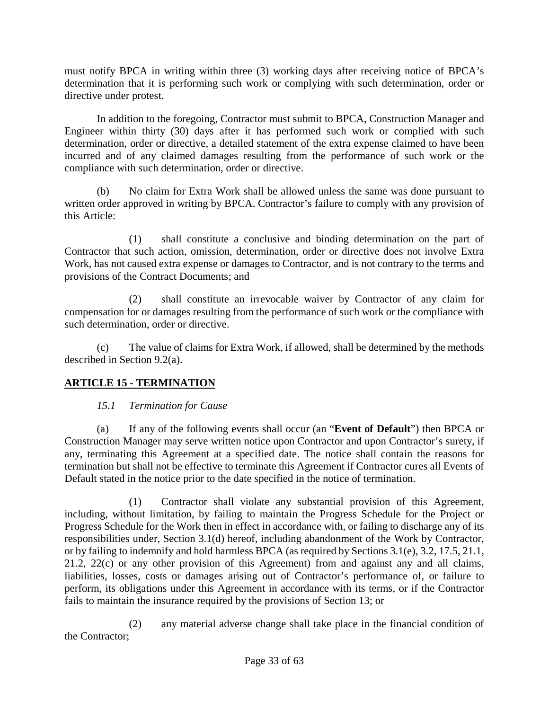must notify BPCA in writing within three (3) working days after receiving notice of BPCA's determination that it is performing such work or complying with such determination, order or directive under protest.

In addition to the foregoing, Contractor must submit to BPCA, Construction Manager and Engineer within thirty (30) days after it has performed such work or complied with such determination, order or directive, a detailed statement of the extra expense claimed to have been incurred and of any claimed damages resulting from the performance of such work or the compliance with such determination, order or directive.

(b) No claim for Extra Work shall be allowed unless the same was done pursuant to written order approved in writing by BPCA. Contractor's failure to comply with any provision of this Article:

(1) shall constitute a conclusive and binding determination on the part of Contractor that such action, omission, determination, order or directive does not involve Extra Work, has not caused extra expense or damages to Contractor, and is not contrary to the terms and provisions of the Contract Documents; and

(2) shall constitute an irrevocable waiver by Contractor of any claim for compensation for or damages resulting from the performance of such work or the compliance with such determination, order or directive.

(c) The value of claims for Extra Work, if allowed, shall be determined by the methods described in Section 9.2(a).

## **ARTICLE 15 - TERMINATION**

## *15.1 Termination for Cause*

(a) If any of the following events shall occur (an "**Event of Default**") then BPCA or Construction Manager may serve written notice upon Contractor and upon Contractor's surety, if any, terminating this Agreement at a specified date. The notice shall contain the reasons for termination but shall not be effective to terminate this Agreement if Contractor cures all Events of Default stated in the notice prior to the date specified in the notice of termination.

(1) Contractor shall violate any substantial provision of this Agreement, including, without limitation, by failing to maintain the Progress Schedule for the Project or Progress Schedule for the Work then in effect in accordance with, or failing to discharge any of its responsibilities under, Section 3.1(d) hereof, including abandonment of the Work by Contractor, or by failing to indemnify and hold harmless BPCA (as required by Sections 3.1(e), 3.2, 17.5, 21.1, 21.2, 22(c) or any other provision of this Agreement) from and against any and all claims, liabilities, losses, costs or damages arising out of Contractor's performance of, or failure to perform, its obligations under this Agreement in accordance with its terms, or if the Contractor fails to maintain the insurance required by the provisions of Section 13; or

(2) any material adverse change shall take place in the financial condition of the Contractor;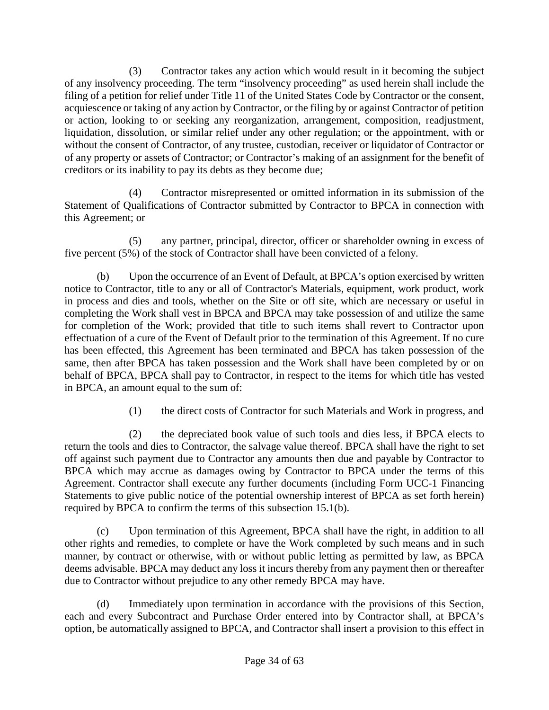(3) Contractor takes any action which would result in it becoming the subject of any insolvency proceeding. The term "insolvency proceeding" as used herein shall include the filing of a petition for relief under Title 11 of the United States Code by Contractor or the consent, acquiescence or taking of any action by Contractor, or the filing by or against Contractor of petition or action, looking to or seeking any reorganization, arrangement, composition, readjustment, liquidation, dissolution, or similar relief under any other regulation; or the appointment, with or without the consent of Contractor, of any trustee, custodian, receiver or liquidator of Contractor or of any property or assets of Contractor; or Contractor's making of an assignment for the benefit of creditors or its inability to pay its debts as they become due;

(4) Contractor misrepresented or omitted information in its submission of the Statement of Qualifications of Contractor submitted by Contractor to BPCA in connection with this Agreement; or

(5) any partner, principal, director, officer or shareholder owning in excess of five percent (5%) of the stock of Contractor shall have been convicted of a felony.

(b) Upon the occurrence of an Event of Default, at BPCA's option exercised by written notice to Contractor, title to any or all of Contractor's Materials, equipment, work product, work in process and dies and tools, whether on the Site or off site, which are necessary or useful in completing the Work shall vest in BPCA and BPCA may take possession of and utilize the same for completion of the Work; provided that title to such items shall revert to Contractor upon effectuation of a cure of the Event of Default prior to the termination of this Agreement. If no cure has been effected, this Agreement has been terminated and BPCA has taken possession of the same, then after BPCA has taken possession and the Work shall have been completed by or on behalf of BPCA, BPCA shall pay to Contractor, in respect to the items for which title has vested in BPCA, an amount equal to the sum of:

(1) the direct costs of Contractor for such Materials and Work in progress, and

(2) the depreciated book value of such tools and dies less, if BPCA elects to return the tools and dies to Contractor, the salvage value thereof. BPCA shall have the right to set off against such payment due to Contractor any amounts then due and payable by Contractor to BPCA which may accrue as damages owing by Contractor to BPCA under the terms of this Agreement. Contractor shall execute any further documents (including Form UCC-1 Financing Statements to give public notice of the potential ownership interest of BPCA as set forth herein) required by BPCA to confirm the terms of this subsection 15.1(b).

(c) Upon termination of this Agreement, BPCA shall have the right, in addition to all other rights and remedies, to complete or have the Work completed by such means and in such manner, by contract or otherwise, with or without public letting as permitted by law, as BPCA deems advisable. BPCA may deduct any loss it incurs thereby from any payment then or thereafter due to Contractor without prejudice to any other remedy BPCA may have.

(d) Immediately upon termination in accordance with the provisions of this Section, each and every Subcontract and Purchase Order entered into by Contractor shall, at BPCA's option, be automatically assigned to BPCA, and Contractor shall insert a provision to this effect in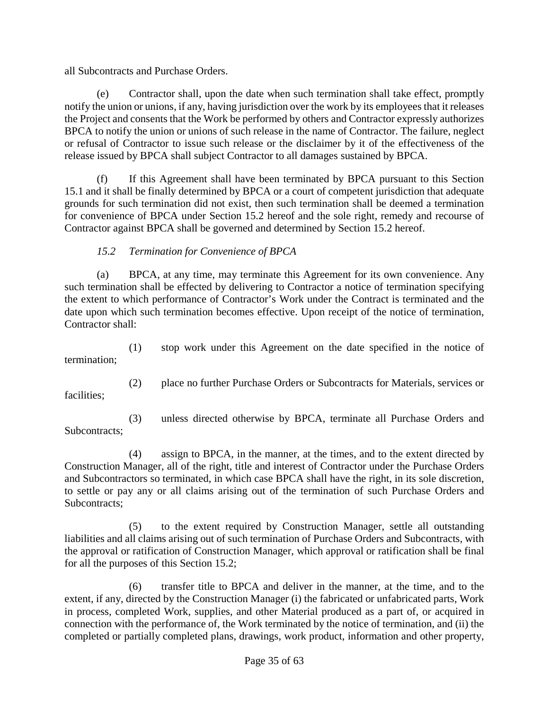all Subcontracts and Purchase Orders.

(e) Contractor shall, upon the date when such termination shall take effect, promptly notify the union or unions, if any, having jurisdiction over the work by its employees that it releases the Project and consents that the Work be performed by others and Contractor expressly authorizes BPCA to notify the union or unions of such release in the name of Contractor. The failure, neglect or refusal of Contractor to issue such release or the disclaimer by it of the effectiveness of the release issued by BPCA shall subject Contractor to all damages sustained by BPCA.

(f) If this Agreement shall have been terminated by BPCA pursuant to this Section 15.1 and it shall be finally determined by BPCA or a court of competent jurisdiction that adequate grounds for such termination did not exist, then such termination shall be deemed a termination for convenience of BPCA under Section 15.2 hereof and the sole right, remedy and recourse of Contractor against BPCA shall be governed and determined by Section 15.2 hereof.

*15.2 Termination for Convenience of BPCA*

(a) BPCA, at any time, may terminate this Agreement for its own convenience. Any such termination shall be effected by delivering to Contractor a notice of termination specifying the extent to which performance of Contractor's Work under the Contract is terminated and the date upon which such termination becomes effective. Upon receipt of the notice of termination, Contractor shall:

(1) stop work under this Agreement on the date specified in the notice of termination;

(2) place no further Purchase Orders or Subcontracts for Materials, services or

facilities;

(3) unless directed otherwise by BPCA, terminate all Purchase Orders and Subcontracts;

(4) assign to BPCA, in the manner, at the times, and to the extent directed by Construction Manager, all of the right, title and interest of Contractor under the Purchase Orders and Subcontractors so terminated, in which case BPCA shall have the right, in its sole discretion, to settle or pay any or all claims arising out of the termination of such Purchase Orders and Subcontracts;

(5) to the extent required by Construction Manager, settle all outstanding liabilities and all claims arising out of such termination of Purchase Orders and Subcontracts, with the approval or ratification of Construction Manager, which approval or ratification shall be final for all the purposes of this Section 15.2;

(6) transfer title to BPCA and deliver in the manner, at the time, and to the extent, if any, directed by the Construction Manager (i) the fabricated or unfabricated parts, Work in process, completed Work, supplies, and other Material produced as a part of, or acquired in connection with the performance of, the Work terminated by the notice of termination, and (ii) the completed or partially completed plans, drawings, work product, information and other property,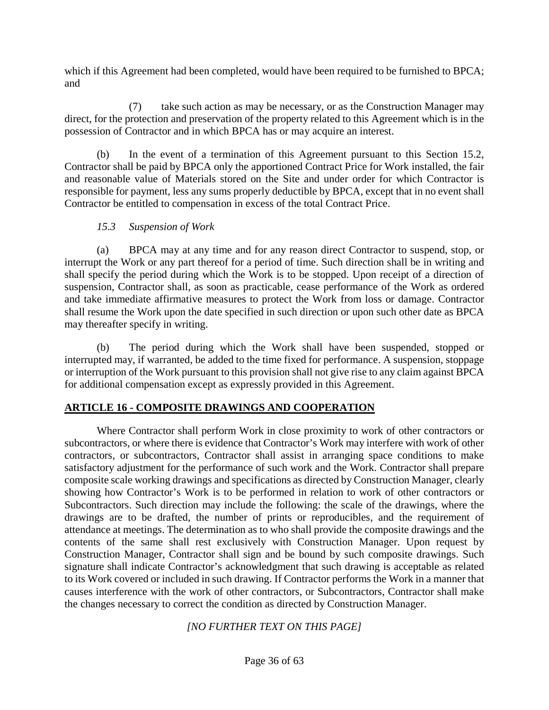which if this Agreement had been completed, would have been required to be furnished to BPCA; and

(7) take such action as may be necessary, or as the Construction Manager may direct, for the protection and preservation of the property related to this Agreement which is in the possession of Contractor and in which BPCA has or may acquire an interest.

(b) In the event of a termination of this Agreement pursuant to this Section 15.2, Contractor shall be paid by BPCA only the apportioned Contract Price for Work installed, the fair and reasonable value of Materials stored on the Site and under order for which Contractor is responsible for payment, less any sums properly deductible by BPCA, except that in no event shall Contractor be entitled to compensation in excess of the total Contract Price.

### *15.3 Suspension of Work*

(a) BPCA may at any time and for any reason direct Contractor to suspend, stop, or interrupt the Work or any part thereof for a period of time. Such direction shall be in writing and shall specify the period during which the Work is to be stopped. Upon receipt of a direction of suspension, Contractor shall, as soon as practicable, cease performance of the Work as ordered and take immediate affirmative measures to protect the Work from loss or damage. Contractor shall resume the Work upon the date specified in such direction or upon such other date as BPCA may thereafter specify in writing.

(b) The period during which the Work shall have been suspended, stopped or interrupted may, if warranted, be added to the time fixed for performance. A suspension, stoppage or interruption of the Work pursuant to this provision shall not give rise to any claim against BPCA for additional compensation except as expressly provided in this Agreement.

## **ARTICLE 16 - COMPOSITE DRAWINGS AND COOPERATION**

Where Contractor shall perform Work in close proximity to work of other contractors or subcontractors, or where there is evidence that Contractor's Work may interfere with work of other contractors, or subcontractors, Contractor shall assist in arranging space conditions to make satisfactory adjustment for the performance of such work and the Work. Contractor shall prepare composite scale working drawings and specifications as directed by Construction Manager, clearly showing how Contractor's Work is to be performed in relation to work of other contractors or Subcontractors. Such direction may include the following: the scale of the drawings, where the drawings are to be drafted, the number of prints or reproducibles, and the requirement of attendance at meetings. The determination as to who shall provide the composite drawings and the contents of the same shall rest exclusively with Construction Manager. Upon request by Construction Manager, Contractor shall sign and be bound by such composite drawings. Such signature shall indicate Contractor's acknowledgment that such drawing is acceptable as related to its Work covered or included in such drawing. If Contractor performs the Work in a manner that causes interference with the work of other contractors, or Subcontractors, Contractor shall make the changes necessary to correct the condition as directed by Construction Manager.

*[NO FURTHER TEXT ON THIS PAGE]*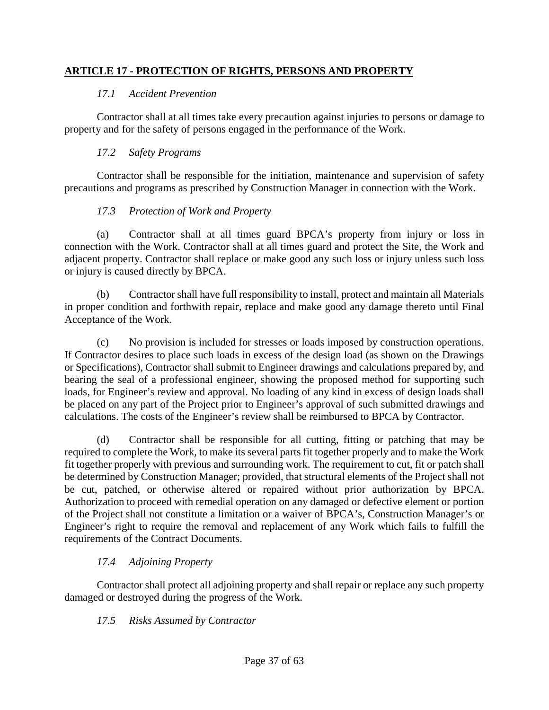## **ARTICLE 17 - PROTECTION OF RIGHTS, PERSONS AND PROPERTY**

## *17.1 Accident Prevention*

Contractor shall at all times take every precaution against injuries to persons or damage to property and for the safety of persons engaged in the performance of the Work.

## *17.2 Safety Programs*

Contractor shall be responsible for the initiation, maintenance and supervision of safety precautions and programs as prescribed by Construction Manager in connection with the Work.

## *17.3 Protection of Work and Property*

(a) Contractor shall at all times guard BPCA's property from injury or loss in connection with the Work. Contractor shall at all times guard and protect the Site, the Work and adjacent property. Contractor shall replace or make good any such loss or injury unless such loss or injury is caused directly by BPCA.

(b) Contractor shall have full responsibility to install, protect and maintain all Materials in proper condition and forthwith repair, replace and make good any damage thereto until Final Acceptance of the Work.

(c) No provision is included for stresses or loads imposed by construction operations. If Contractor desires to place such loads in excess of the design load (as shown on the Drawings or Specifications), Contractor shall submit to Engineer drawings and calculations prepared by, and bearing the seal of a professional engineer, showing the proposed method for supporting such loads, for Engineer's review and approval. No loading of any kind in excess of design loads shall be placed on any part of the Project prior to Engineer's approval of such submitted drawings and calculations. The costs of the Engineer's review shall be reimbursed to BPCA by Contractor.

(d) Contractor shall be responsible for all cutting, fitting or patching that may be required to complete the Work, to make its several parts fit together properly and to make the Work fit together properly with previous and surrounding work. The requirement to cut, fit or patch shall be determined by Construction Manager; provided, that structural elements of the Project shall not be cut, patched, or otherwise altered or repaired without prior authorization by BPCA. Authorization to proceed with remedial operation on any damaged or defective element or portion of the Project shall not constitute a limitation or a waiver of BPCA's, Construction Manager's or Engineer's right to require the removal and replacement of any Work which fails to fulfill the requirements of the Contract Documents.

## *17.4 Adjoining Property*

Contractor shall protect all adjoining property and shall repair or replace any such property damaged or destroyed during the progress of the Work.

## *17.5 Risks Assumed by Contractor*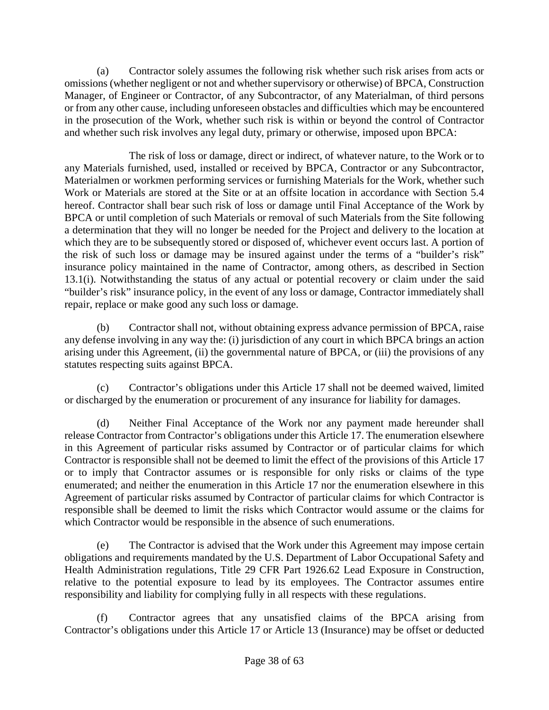(a) Contractor solely assumes the following risk whether such risk arises from acts or omissions (whether negligent or not and whether supervisory or otherwise) of BPCA, Construction Manager, of Engineer or Contractor, of any Subcontractor, of any Materialman, of third persons or from any other cause, including unforeseen obstacles and difficulties which may be encountered in the prosecution of the Work, whether such risk is within or beyond the control of Contractor and whether such risk involves any legal duty, primary or otherwise, imposed upon BPCA:

The risk of loss or damage, direct or indirect, of whatever nature, to the Work or to any Materials furnished, used, installed or received by BPCA, Contractor or any Subcontractor, Materialmen or workmen performing services or furnishing Materials for the Work, whether such Work or Materials are stored at the Site or at an offsite location in accordance with Section 5.4 hereof. Contractor shall bear such risk of loss or damage until Final Acceptance of the Work by BPCA or until completion of such Materials or removal of such Materials from the Site following a determination that they will no longer be needed for the Project and delivery to the location at which they are to be subsequently stored or disposed of, whichever event occurs last. A portion of the risk of such loss or damage may be insured against under the terms of a "builder's risk" insurance policy maintained in the name of Contractor, among others, as described in Section 13.1(i). Notwithstanding the status of any actual or potential recovery or claim under the said "builder's risk" insurance policy, in the event of any loss or damage, Contractor immediately shall repair, replace or make good any such loss or damage.

(b) Contractor shall not, without obtaining express advance permission of BPCA, raise any defense involving in any way the: (i) jurisdiction of any court in which BPCA brings an action arising under this Agreement, (ii) the governmental nature of BPCA, or (iii) the provisions of any statutes respecting suits against BPCA.

(c) Contractor's obligations under this Article 17 shall not be deemed waived, limited or discharged by the enumeration or procurement of any insurance for liability for damages.

(d) Neither Final Acceptance of the Work nor any payment made hereunder shall release Contractor from Contractor's obligations under this Article 17. The enumeration elsewhere in this Agreement of particular risks assumed by Contractor or of particular claims for which Contractor is responsible shall not be deemed to limit the effect of the provisions of this Article 17 or to imply that Contractor assumes or is responsible for only risks or claims of the type enumerated; and neither the enumeration in this Article 17 nor the enumeration elsewhere in this Agreement of particular risks assumed by Contractor of particular claims for which Contractor is responsible shall be deemed to limit the risks which Contractor would assume or the claims for which Contractor would be responsible in the absence of such enumerations.

(e) The Contractor is advised that the Work under this Agreement may impose certain obligations and requirements mandated by the U.S. Department of Labor Occupational Safety and Health Administration regulations, Title 29 CFR Part 1926.62 Lead Exposure in Construction, relative to the potential exposure to lead by its employees. The Contractor assumes entire responsibility and liability for complying fully in all respects with these regulations.

(f) Contractor agrees that any unsatisfied claims of the BPCA arising from Contractor's obligations under this Article 17 or Article 13 (Insurance) may be offset or deducted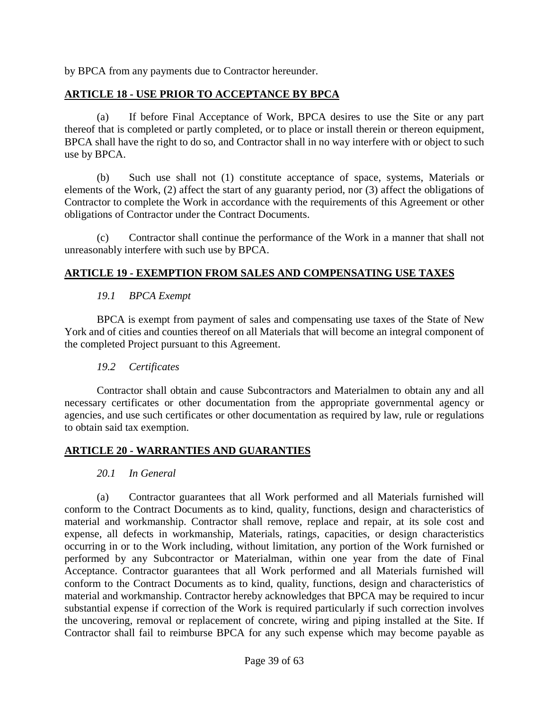by BPCA from any payments due to Contractor hereunder.

## **ARTICLE 18 - USE PRIOR TO ACCEPTANCE BY BPCA**

(a) If before Final Acceptance of Work, BPCA desires to use the Site or any part thereof that is completed or partly completed, or to place or install therein or thereon equipment, BPCA shall have the right to do so, and Contractor shall in no way interfere with or object to such use by BPCA.

(b) Such use shall not (1) constitute acceptance of space, systems, Materials or elements of the Work, (2) affect the start of any guaranty period, nor (3) affect the obligations of Contractor to complete the Work in accordance with the requirements of this Agreement or other obligations of Contractor under the Contract Documents.

(c) Contractor shall continue the performance of the Work in a manner that shall not unreasonably interfere with such use by BPCA.

## **ARTICLE 19 - EXEMPTION FROM SALES AND COMPENSATING USE TAXES**

## *19.1 BPCA Exempt*

BPCA is exempt from payment of sales and compensating use taxes of the State of New York and of cities and counties thereof on all Materials that will become an integral component of the completed Project pursuant to this Agreement.

## *19.2 Certificates*

Contractor shall obtain and cause Subcontractors and Materialmen to obtain any and all necessary certificates or other documentation from the appropriate governmental agency or agencies, and use such certificates or other documentation as required by law, rule or regulations to obtain said tax exemption.

## **ARTICLE 20 - WARRANTIES AND GUARANTIES**

## *20.1 In General*

(a) Contractor guarantees that all Work performed and all Materials furnished will conform to the Contract Documents as to kind, quality, functions, design and characteristics of material and workmanship. Contractor shall remove, replace and repair, at its sole cost and expense, all defects in workmanship, Materials, ratings, capacities, or design characteristics occurring in or to the Work including, without limitation, any portion of the Work furnished or performed by any Subcontractor or Materialman, within one year from the date of Final Acceptance. Contractor guarantees that all Work performed and all Materials furnished will conform to the Contract Documents as to kind, quality, functions, design and characteristics of material and workmanship. Contractor hereby acknowledges that BPCA may be required to incur substantial expense if correction of the Work is required particularly if such correction involves the uncovering, removal or replacement of concrete, wiring and piping installed at the Site. If Contractor shall fail to reimburse BPCA for any such expense which may become payable as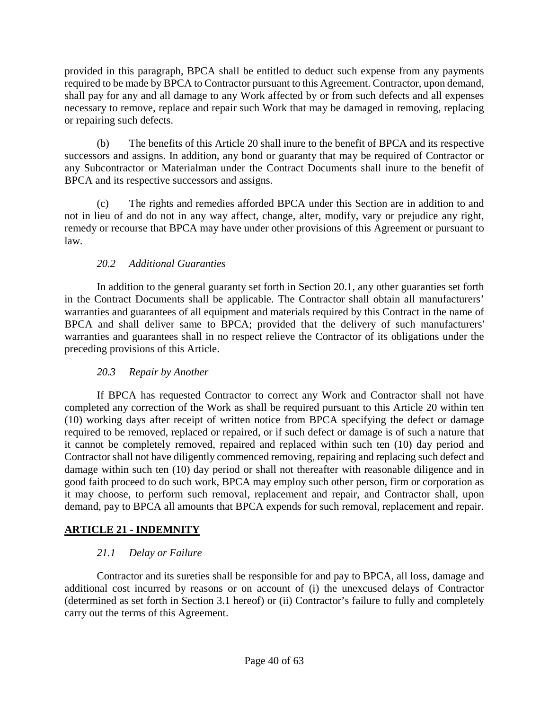provided in this paragraph, BPCA shall be entitled to deduct such expense from any payments required to be made by BPCA to Contractor pursuant to this Agreement. Contractor, upon demand, shall pay for any and all damage to any Work affected by or from such defects and all expenses necessary to remove, replace and repair such Work that may be damaged in removing, replacing or repairing such defects.

(b) The benefits of this Article 20 shall inure to the benefit of BPCA and its respective successors and assigns. In addition, any bond or guaranty that may be required of Contractor or any Subcontractor or Materialman under the Contract Documents shall inure to the benefit of BPCA and its respective successors and assigns.

(c) The rights and remedies afforded BPCA under this Section are in addition to and not in lieu of and do not in any way affect, change, alter, modify, vary or prejudice any right, remedy or recourse that BPCA may have under other provisions of this Agreement or pursuant to law.

## *20.2 Additional Guaranties*

In addition to the general guaranty set forth in Section 20.1, any other guaranties set forth in the Contract Documents shall be applicable. The Contractor shall obtain all manufacturers' warranties and guarantees of all equipment and materials required by this Contract in the name of BPCA and shall deliver same to BPCA; provided that the delivery of such manufacturers' warranties and guarantees shall in no respect relieve the Contractor of its obligations under the preceding provisions of this Article.

## *20.3 Repair by Another*

If BPCA has requested Contractor to correct any Work and Contractor shall not have completed any correction of the Work as shall be required pursuant to this Article 20 within ten (10) working days after receipt of written notice from BPCA specifying the defect or damage required to be removed, replaced or repaired, or if such defect or damage is of such a nature that it cannot be completely removed, repaired and replaced within such ten (10) day period and Contractor shall not have diligently commenced removing, repairing and replacing such defect and damage within such ten (10) day period or shall not thereafter with reasonable diligence and in good faith proceed to do such work, BPCA may employ such other person, firm or corporation as it may choose, to perform such removal, replacement and repair, and Contractor shall, upon demand, pay to BPCA all amounts that BPCA expends for such removal, replacement and repair.

## **ARTICLE 21 - INDEMNITY**

# *21.1 Delay or Failure*

Contractor and its sureties shall be responsible for and pay to BPCA, all loss, damage and additional cost incurred by reasons or on account of (i) the unexcused delays of Contractor (determined as set forth in Section 3.1 hereof) or (ii) Contractor's failure to fully and completely carry out the terms of this Agreement.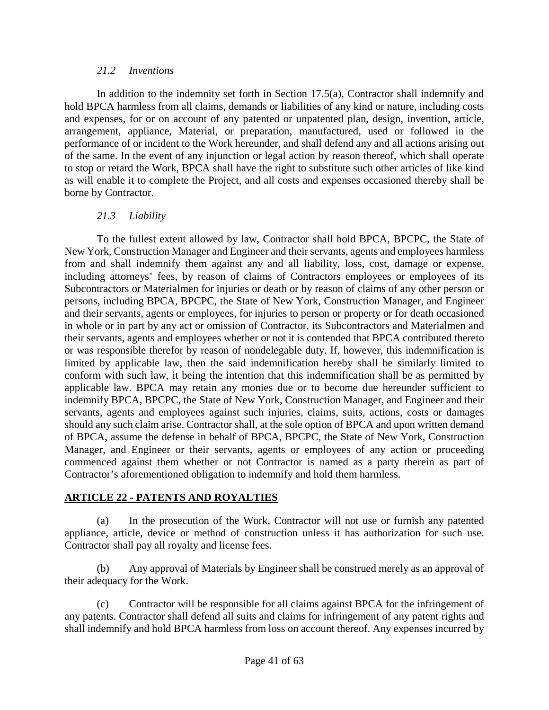#### *21.2 Inventions*

In addition to the indemnity set forth in Section 17.5(a), Contractor shall indemnify and hold BPCA harmless from all claims, demands or liabilities of any kind or nature, including costs and expenses, for or on account of any patented or unpatented plan, design, invention, article, arrangement, appliance, Material, or preparation, manufactured, used or followed in the performance of or incident to the Work hereunder, and shall defend any and all actions arising out of the same. In the event of any injunction or legal action by reason thereof, which shall operate to stop or retard the Work, BPCA shall have the right to substitute such other articles of like kind as will enable it to complete the Project, and all costs and expenses occasioned thereby shall be borne by Contractor.

### *21.3 Liability*

To the fullest extent allowed by law, Contractor shall hold BPCA, BPCPC, the State of New York, Construction Manager and Engineer and their servants, agents and employees harmless from and shall indemnify them against any and all liability, loss, cost, damage or expense, including attorneys' fees, by reason of claims of Contractors employees or employees of its Subcontractors or Materialmen for injuries or death or by reason of claims of any other person or persons, including BPCA, BPCPC, the State of New York, Construction Manager, and Engineer and their servants, agents or employees, for injuries to person or property or for death occasioned in whole or in part by any act or omission of Contractor, its Subcontractors and Materialmen and their servants, agents and employees whether or not it is contended that BPCA contributed thereto or was responsible therefor by reason of nondelegable duty. If, however, this indemnification is limited by applicable law, then the said indemnification hereby shall be similarly limited to conform with such law, it being the intention that this indemnification shall be as permitted by applicable law. BPCA may retain any monies due or to become due hereunder sufficient to indemnify BPCA, BPCPC, the State of New York, Construction Manager, and Engineer and their servants, agents and employees against such injuries, claims, suits, actions, costs or damages should any such claim arise. Contractor shall, at the sole option of BPCA and upon written demand of BPCA, assume the defense in behalf of BPCA, BPCPC, the State of New York, Construction Manager, and Engineer or their servants, agents or employees of any action or proceeding commenced against them whether or not Contractor is named as a party therein as part of Contractor's aforementioned obligation to indemnify and hold them harmless.

#### **ARTICLE 22 - PATENTS AND ROYALTIES**

(a) In the prosecution of the Work, Contractor will not use or furnish any patented appliance, article, device or method of construction unless it has authorization for such use. Contractor shall pay all royalty and license fees.

(b) Any approval of Materials by Engineer shall be construed merely as an approval of their adequacy for the Work.

(c) Contractor will be responsible for all claims against BPCA for the infringement of any patents. Contractor shall defend all suits and claims for infringement of any patent rights and shall indemnify and hold BPCA harmless from loss on account thereof. Any expenses incurred by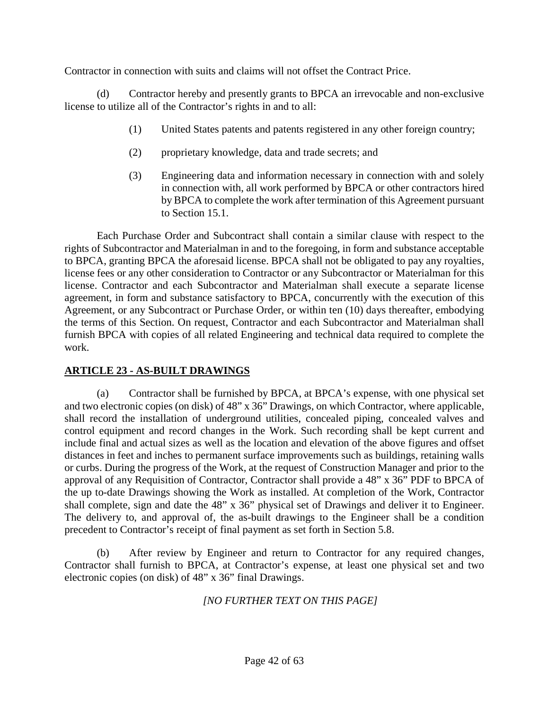Contractor in connection with suits and claims will not offset the Contract Price.

(d) Contractor hereby and presently grants to BPCA an irrevocable and non-exclusive license to utilize all of the Contractor's rights in and to all:

- (1) United States patents and patents registered in any other foreign country;
- (2) proprietary knowledge, data and trade secrets; and
- (3) Engineering data and information necessary in connection with and solely in connection with, all work performed by BPCA or other contractors hired by BPCA to complete the work after termination of this Agreement pursuant to Section 15.1.

Each Purchase Order and Subcontract shall contain a similar clause with respect to the rights of Subcontractor and Materialman in and to the foregoing, in form and substance acceptable to BPCA, granting BPCA the aforesaid license. BPCA shall not be obligated to pay any royalties, license fees or any other consideration to Contractor or any Subcontractor or Materialman for this license. Contractor and each Subcontractor and Materialman shall execute a separate license agreement, in form and substance satisfactory to BPCA, concurrently with the execution of this Agreement, or any Subcontract or Purchase Order, or within ten (10) days thereafter, embodying the terms of this Section. On request, Contractor and each Subcontractor and Materialman shall furnish BPCA with copies of all related Engineering and technical data required to complete the work.

## **ARTICLE 23 - AS-BUILT DRAWINGS**

(a) Contractor shall be furnished by BPCA, at BPCA's expense, with one physical set and two electronic copies (on disk) of 48" x 36" Drawings, on which Contractor, where applicable, shall record the installation of underground utilities, concealed piping, concealed valves and control equipment and record changes in the Work. Such recording shall be kept current and include final and actual sizes as well as the location and elevation of the above figures and offset distances in feet and inches to permanent surface improvements such as buildings, retaining walls or curbs. During the progress of the Work, at the request of Construction Manager and prior to the approval of any Requisition of Contractor, Contractor shall provide a 48" x 36" PDF to BPCA of the up to-date Drawings showing the Work as installed. At completion of the Work, Contractor shall complete, sign and date the 48" x 36" physical set of Drawings and deliver it to Engineer. The delivery to, and approval of, the as-built drawings to the Engineer shall be a condition precedent to Contractor's receipt of final payment as set forth in Section 5.8.

(b) After review by Engineer and return to Contractor for any required changes, Contractor shall furnish to BPCA, at Contractor's expense, at least one physical set and two electronic copies (on disk) of 48" x 36" final Drawings.

## *[NO FURTHER TEXT ON THIS PAGE]*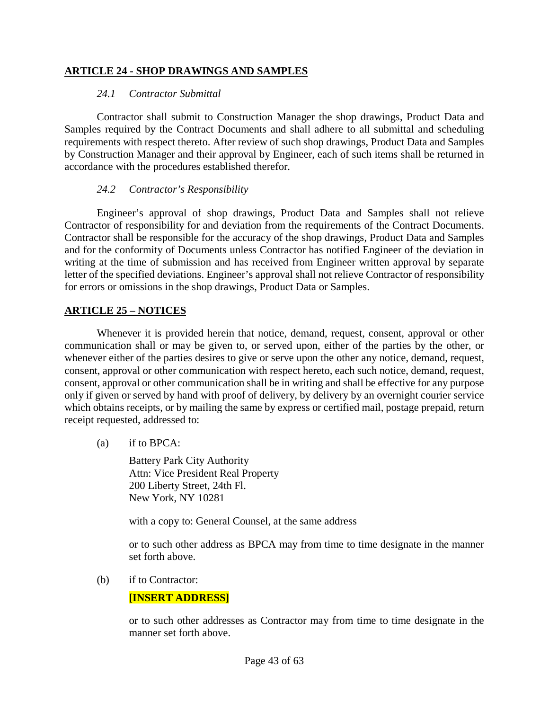#### **ARTICLE 24 - SHOP DRAWINGS AND SAMPLES**

### *24.1 Contractor Submittal*

Contractor shall submit to Construction Manager the shop drawings, Product Data and Samples required by the Contract Documents and shall adhere to all submittal and scheduling requirements with respect thereto. After review of such shop drawings, Product Data and Samples by Construction Manager and their approval by Engineer, each of such items shall be returned in accordance with the procedures established therefor.

## *24.2 Contractor's Responsibility*

Engineer's approval of shop drawings, Product Data and Samples shall not relieve Contractor of responsibility for and deviation from the requirements of the Contract Documents. Contractor shall be responsible for the accuracy of the shop drawings, Product Data and Samples and for the conformity of Documents unless Contractor has notified Engineer of the deviation in writing at the time of submission and has received from Engineer written approval by separate letter of the specified deviations. Engineer's approval shall not relieve Contractor of responsibility for errors or omissions in the shop drawings, Product Data or Samples.

## **ARTICLE 25 – NOTICES**

Whenever it is provided herein that notice, demand, request, consent, approval or other communication shall or may be given to, or served upon, either of the parties by the other, or whenever either of the parties desires to give or serve upon the other any notice, demand, request, consent, approval or other communication with respect hereto, each such notice, demand, request, consent, approval or other communication shall be in writing and shall be effective for any purpose only if given or served by hand with proof of delivery, by delivery by an overnight courier service which obtains receipts, or by mailing the same by express or certified mail, postage prepaid, return receipt requested, addressed to:

(a) if to BPCA:

Battery Park City Authority Attn: Vice President Real Property 200 Liberty Street, 24th Fl. New York, NY 10281

with a copy to: General Counsel, at the same address

or to such other address as BPCA may from time to time designate in the manner set forth above.

(b) if to Contractor:

## **[INSERT ADDRESS]**

or to such other addresses as Contractor may from time to time designate in the manner set forth above.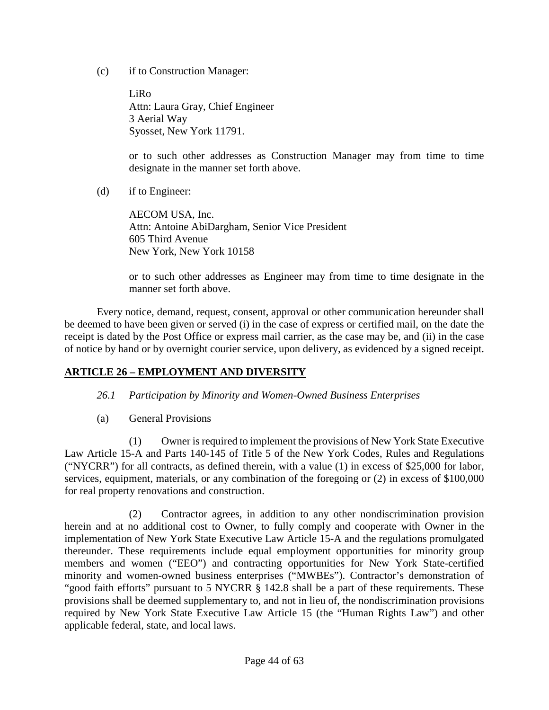(c) if to Construction Manager:

LiRo Attn: Laura Gray, Chief Engineer 3 Aerial Way Syosset, New York 11791.

or to such other addresses as Construction Manager may from time to time designate in the manner set forth above.

(d) if to Engineer:

AECOM USA, Inc. Attn: Antoine AbiDargham, Senior Vice President 605 Third Avenue New York, New York 10158

or to such other addresses as Engineer may from time to time designate in the manner set forth above.

Every notice, demand, request, consent, approval or other communication hereunder shall be deemed to have been given or served (i) in the case of express or certified mail, on the date the receipt is dated by the Post Office or express mail carrier, as the case may be, and (ii) in the case of notice by hand or by overnight courier service, upon delivery, as evidenced by a signed receipt.

## **ARTICLE 26 – EMPLOYMENT AND DIVERSITY**

- *26.1 Participation by Minority and Women-Owned Business Enterprises*
- (a) General Provisions

(1) Owner is required to implement the provisions of New York State Executive Law Article 15-A and Parts 140-145 of Title 5 of the New York Codes, Rules and Regulations ("NYCRR") for all contracts, as defined therein, with a value (1) in excess of \$25,000 for labor, services, equipment, materials, or any combination of the foregoing or (2) in excess of \$100,000 for real property renovations and construction.

(2) Contractor agrees, in addition to any other nondiscrimination provision herein and at no additional cost to Owner, to fully comply and cooperate with Owner in the implementation of New York State Executive Law Article 15-A and the regulations promulgated thereunder. These requirements include equal employment opportunities for minority group members and women ("EEO") and contracting opportunities for New York State-certified minority and women-owned business enterprises ("MWBEs"). Contractor's demonstration of "good faith efforts" pursuant to 5 NYCRR § 142.8 shall be a part of these requirements. These provisions shall be deemed supplementary to, and not in lieu of, the nondiscrimination provisions required by New York State Executive Law Article 15 (the "Human Rights Law") and other applicable federal, state, and local laws.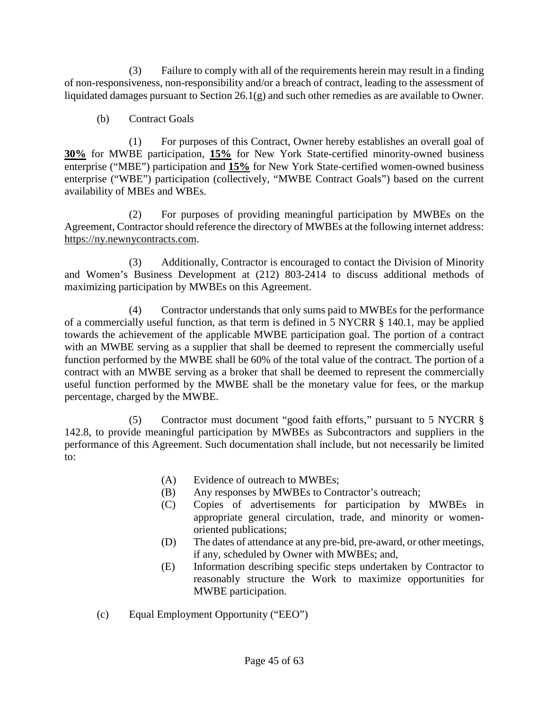(3) Failure to comply with all of the requirements herein may result in a finding of non-responsiveness, non-responsibility and/or a breach of contract, leading to the assessment of liquidated damages pursuant to Section 26.1(g) and such other remedies as are available to Owner.

## (b) Contract Goals

(1) For purposes of this Contract, Owner hereby establishes an overall goal of **30%** for MWBE participation, **15%** for New York State-certified minority-owned business enterprise ("MBE") participation and **15%** for New York State-certified women-owned business enterprise ("WBE") participation (collectively, "MWBE Contract Goals") based on the current availability of MBEs and WBEs.

(2) For purposes of providing meaningful participation by MWBEs on the Agreement, Contractor should reference the directory of MWBEs at the following internet address: [https://ny.newnycontracts.com.](https://ny.newnycontracts.com/)

(3) Additionally, Contractor is encouraged to contact the Division of Minority and Women's Business Development at (212) 803-2414 to discuss additional methods of maximizing participation by MWBEs on this Agreement.

(4) Contractor understands that only sums paid to MWBEs for the performance of a commercially useful function, as that term is defined in 5 NYCRR § 140.1, may be applied towards the achievement of the applicable MWBE participation goal. The portion of a contract with an MWBE serving as a supplier that shall be deemed to represent the commercially useful function performed by the MWBE shall be 60% of the total value of the contract. The portion of a contract with an MWBE serving as a broker that shall be deemed to represent the commercially useful function performed by the MWBE shall be the monetary value for fees, or the markup percentage, charged by the MWBE.

(5) Contractor must document "good faith efforts," pursuant to 5 NYCRR § 142.8, to provide meaningful participation by MWBEs as Subcontractors and suppliers in the performance of this Agreement. Such documentation shall include, but not necessarily be limited to:

- (A) Evidence of outreach to MWBEs;
- (B) Any responses by MWBEs to Contractor's outreach;
- (C) Copies of advertisements for participation by MWBEs in appropriate general circulation, trade, and minority or womenoriented publications;
- (D) The dates of attendance at any pre-bid, pre-award, or other meetings, if any, scheduled by Owner with MWBEs; and,
- (E) Information describing specific steps undertaken by Contractor to reasonably structure the Work to maximize opportunities for MWBE participation.
- (c) Equal Employment Opportunity ("EEO")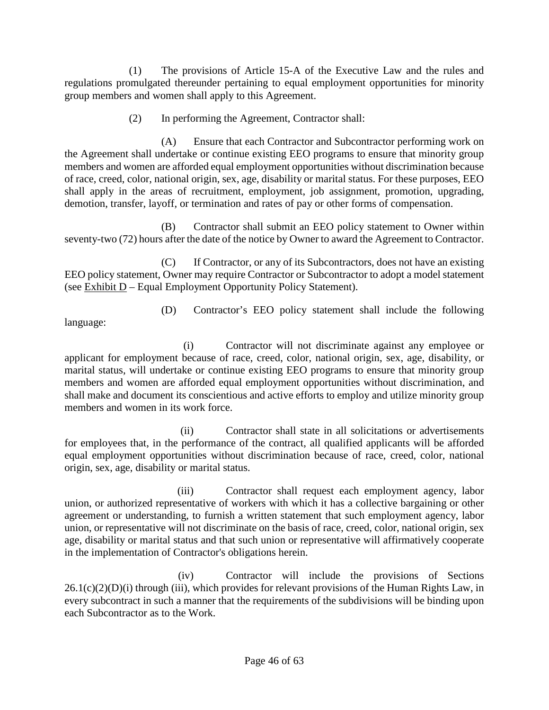(1) The provisions of Article 15-A of the Executive Law and the rules and regulations promulgated thereunder pertaining to equal employment opportunities for minority group members and women shall apply to this Agreement.

(2) In performing the Agreement, Contractor shall:

(A) Ensure that each Contractor and Subcontractor performing work on the Agreement shall undertake or continue existing EEO programs to ensure that minority group members and women are afforded equal employment opportunities without discrimination because of race, creed, color, national origin, sex, age, disability or marital status. For these purposes, EEO shall apply in the areas of recruitment, employment, job assignment, promotion, upgrading, demotion, transfer, layoff, or termination and rates of pay or other forms of compensation.

(B) Contractor shall submit an EEO policy statement to Owner within seventy-two (72) hours after the date of the notice by Owner to award the Agreement to Contractor.

(C) If Contractor, or any of its Subcontractors, does not have an existing EEO policy statement, Owner may require Contractor or Subcontractor to adopt a model statement (see Exhibit D – Equal Employment Opportunity Policy Statement).

language:

(D) Contractor's EEO policy statement shall include the following

(i) Contractor will not discriminate against any employee or applicant for employment because of race, creed, color, national origin, sex, age, disability, or marital status, will undertake or continue existing EEO programs to ensure that minority group members and women are afforded equal employment opportunities without discrimination, and shall make and document its conscientious and active efforts to employ and utilize minority group members and women in its work force.

(ii) Contractor shall state in all solicitations or advertisements for employees that, in the performance of the contract, all qualified applicants will be afforded equal employment opportunities without discrimination because of race, creed, color, national origin, sex, age, disability or marital status.

(iii) Contractor shall request each employment agency, labor union, or authorized representative of workers with which it has a collective bargaining or other agreement or understanding, to furnish a written statement that such employment agency, labor union, or representative will not discriminate on the basis of race, creed, color, national origin, sex age, disability or marital status and that such union or representative will affirmatively cooperate in the implementation of Contractor's obligations herein.

(iv) Contractor will include the provisions of Sections  $26.1(c)(2)(D)(i)$  through (iii), which provides for relevant provisions of the Human Rights Law, in every subcontract in such a manner that the requirements of the subdivisions will be binding upon each Subcontractor as to the Work.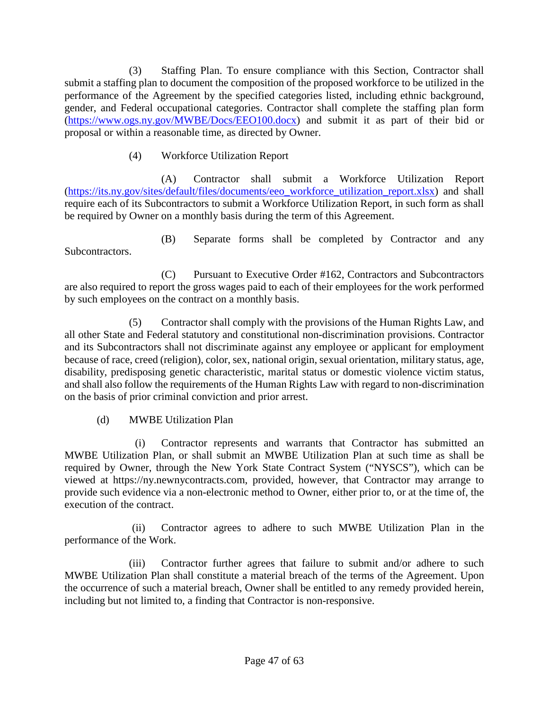(3) Staffing Plan. To ensure compliance with this Section, Contractor shall submit a staffing plan to document the composition of the proposed workforce to be utilized in the performance of the Agreement by the specified categories listed, including ethnic background, gender, and Federal occupational categories. Contractor shall complete the staffing plan form [\(https://www.ogs.ny.gov/MWBE/Docs/EEO100.docx\)](https://www.ogs.ny.gov/MWBE/Docs/EEO100.docx) and submit it as part of their bid or proposal or within a reasonable time, as directed by Owner.

## (4) Workforce Utilization Report

(A) Contractor shall submit a Workforce Utilization Report [\(https://its.ny.gov/sites/default/files/documents/eeo\\_workforce\\_utilization\\_report.xlsx\)](https://its.ny.gov/sites/default/files/documents/eeo_workforce_utilization_report.xlsx) and shall require each of its Subcontractors to submit a Workforce Utilization Report, in such form as shall be required by Owner on a monthly basis during the term of this Agreement.

(B) Separate forms shall be completed by Contractor and any Subcontractors.

(C) Pursuant to Executive Order #162, Contractors and Subcontractors are also required to report the gross wages paid to each of their employees for the work performed by such employees on the contract on a monthly basis.

(5) Contractor shall comply with the provisions of the Human Rights Law, and all other State and Federal statutory and constitutional non-discrimination provisions. Contractor and its Subcontractors shall not discriminate against any employee or applicant for employment because of race, creed (religion), color, sex, national origin, sexual orientation, military status, age, disability, predisposing genetic characteristic, marital status or domestic violence victim status, and shall also follow the requirements of the Human Rights Law with regard to non-discrimination on the basis of prior criminal conviction and prior arrest.

(d) MWBE Utilization Plan

(i) Contractor represents and warrants that Contractor has submitted an MWBE Utilization Plan, or shall submit an MWBE Utilization Plan at such time as shall be required by Owner, through the New York State Contract System ("NYSCS"), which can be viewed at https://ny.newnycontracts.com, provided, however, that Contractor may arrange to provide such evidence via a non-electronic method to Owner, either prior to, or at the time of, the execution of the contract.

(ii) Contractor agrees to adhere to such MWBE Utilization Plan in the performance of the Work.

(iii) Contractor further agrees that failure to submit and/or adhere to such MWBE Utilization Plan shall constitute a material breach of the terms of the Agreement. Upon the occurrence of such a material breach, Owner shall be entitled to any remedy provided herein, including but not limited to, a finding that Contractor is non-responsive.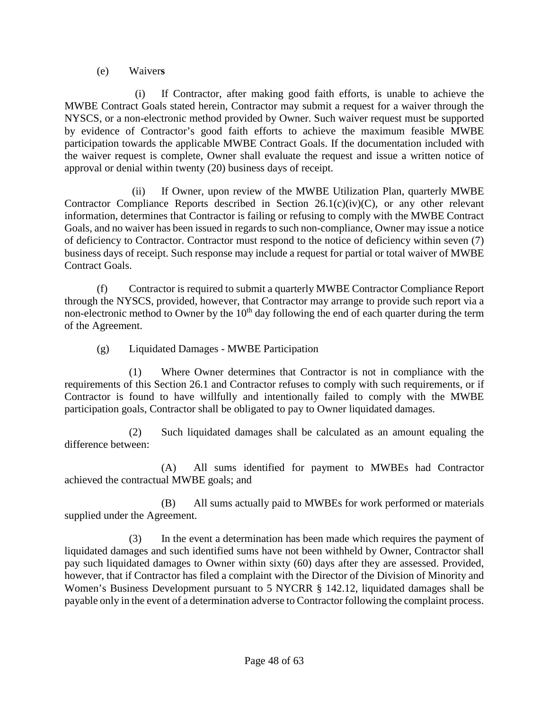(e) Waiver**s**

(i) If Contractor, after making good faith efforts, is unable to achieve the MWBE Contract Goals stated herein, Contractor may submit a request for a waiver through the NYSCS, or a non-electronic method provided by Owner. Such waiver request must be supported by evidence of Contractor's good faith efforts to achieve the maximum feasible MWBE participation towards the applicable MWBE Contract Goals. If the documentation included with the waiver request is complete, Owner shall evaluate the request and issue a written notice of approval or denial within twenty (20) business days of receipt.

(ii) If Owner, upon review of the MWBE Utilization Plan, quarterly MWBE Contractor Compliance Reports described in Section 26.1(c)(iv)(C), or any other relevant information, determines that Contractor is failing or refusing to comply with the MWBE Contract Goals, and no waiver has been issued in regards to such non-compliance, Owner may issue a notice of deficiency to Contractor. Contractor must respond to the notice of deficiency within seven (7) business days of receipt. Such response may include a request for partial or total waiver of MWBE Contract Goals.

(f) Contractor is required to submit a quarterly MWBE Contractor Compliance Report through the NYSCS, provided, however, that Contractor may arrange to provide such report via a non-electronic method to Owner by the  $10<sup>th</sup>$  day following the end of each quarter during the term of the Agreement.

(g) Liquidated Damages - MWBE Participation

(1) Where Owner determines that Contractor is not in compliance with the requirements of this Section 26.1 and Contractor refuses to comply with such requirements, or if Contractor is found to have willfully and intentionally failed to comply with the MWBE participation goals, Contractor shall be obligated to pay to Owner liquidated damages.

(2) Such liquidated damages shall be calculated as an amount equaling the difference between:

(A) All sums identified for payment to MWBEs had Contractor achieved the contractual MWBE goals; and

(B) All sums actually paid to MWBEs for work performed or materials supplied under the Agreement.

(3) In the event a determination has been made which requires the payment of liquidated damages and such identified sums have not been withheld by Owner, Contractor shall pay such liquidated damages to Owner within sixty (60) days after they are assessed. Provided, however, that if Contractor has filed a complaint with the Director of the Division of Minority and Women's Business Development pursuant to 5 NYCRR § 142.12, liquidated damages shall be payable only in the event of a determination adverse to Contractor following the complaint process.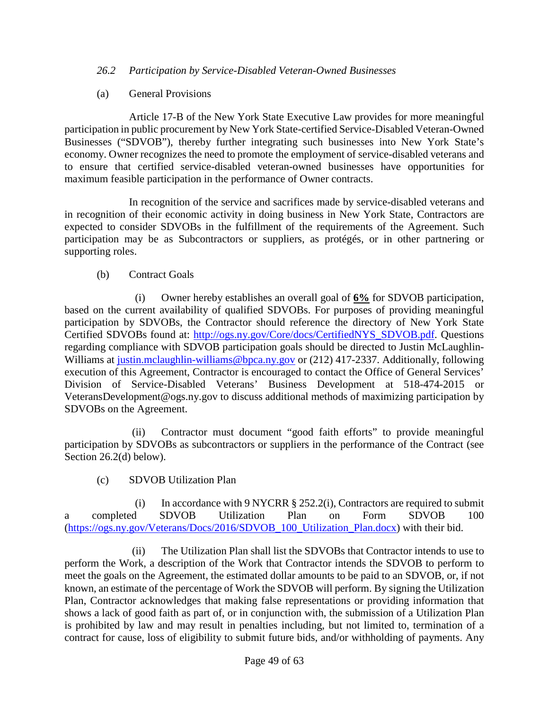#### *26.2 Participation by Service-Disabled Veteran-Owned Businesses*

(a) General Provisions

Article 17-B of the New York State Executive Law provides for more meaningful participation in public procurement by New York State-certified Service-Disabled Veteran-Owned Businesses ("SDVOB"), thereby further integrating such businesses into New York State's economy. Owner recognizes the need to promote the employment of service-disabled veterans and to ensure that certified service-disabled veteran-owned businesses have opportunities for maximum feasible participation in the performance of Owner contracts.

In recognition of the service and sacrifices made by service-disabled veterans and in recognition of their economic activity in doing business in New York State, Contractors are expected to consider SDVOBs in the fulfillment of the requirements of the Agreement. Such participation may be as Subcontractors or suppliers, as protégés, or in other partnering or supporting roles.

(b) Contract Goals

(i) Owner hereby establishes an overall goal of **6%** for SDVOB participation, based on the current availability of qualified SDVOBs. For purposes of providing meaningful participation by SDVOBs, the Contractor should reference the directory of New York State Certified SDVOBs found at: [http://ogs.ny.gov/Core/docs/CertifiedNYS\\_SDVOB.pdf.](http://ogs.ny.gov/Core/docs/CertifiedNYS_SDVOB.pdf) Questions regarding compliance with SDVOB participation goals should be directed to Justin McLaughlinWilliams at [justin.mclaughlin-williams@bpca.ny.gov](mailto:anthony.peterson@bpca.ny.gov) or (212) 417-2337. Additionally, following execution of this Agreement, Contractor is encouraged to contact the Office of General Services' Division of Service-Disabled Veterans' Business Development at 518-474-2015 or [VeteransDevelopment@ogs.ny.gov](mailto:VeteransDevelopment@ogs.ny.gov) to discuss additional methods of maximizing participation by SDVOBs on the Agreement.

(ii) Contractor must document "good faith efforts" to provide meaningful participation by SDVOBs as subcontractors or suppliers in the performance of the Contract (see Section 26.2(d) below).

(c) SDVOB Utilization Plan

(i) In accordance with 9 NYCRR § 252.2(i), Contractors are required to submit<br>d SDVOB Utilization Plan on Form SDVOB 100 a completed SDVOB Utilization Plan on Form SDVOB 100 [\(https://ogs.ny.gov/Veterans/Docs/2016/SDVOB\\_100\\_Utilization\\_Plan.docx\)](https://ogs.ny.gov/Veterans/Docs/2016/SDVOB_100_Utilization_Plan.docx) with their bid.

(ii) The Utilization Plan shall list the SDVOBs that Contractor intends to use to perform the Work, a description of the Work that Contractor intends the SDVOB to perform to meet the goals on the Agreement, the estimated dollar amounts to be paid to an SDVOB, or, if not known, an estimate of the percentage of Work the SDVOB will perform. By signing the Utilization Plan, Contractor acknowledges that making false representations or providing information that shows a lack of good faith as part of, or in conjunction with, the submission of a Utilization Plan is prohibited by law and may result in penalties including, but not limited to, termination of a contract for cause, loss of eligibility to submit future bids, and/or withholding of payments. Any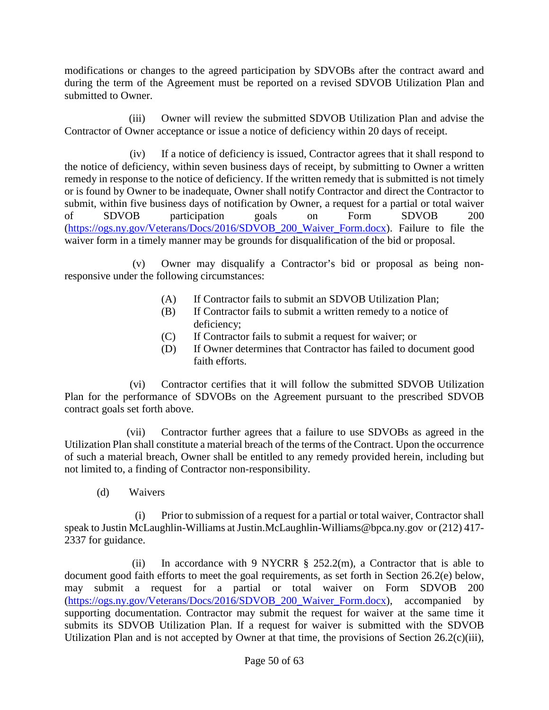modifications or changes to the agreed participation by SDVOBs after the contract award and during the term of the Agreement must be reported on a revised SDVOB Utilization Plan and submitted to Owner.

(iii) Owner will review the submitted SDVOB Utilization Plan and advise the Contractor of Owner acceptance or issue a notice of deficiency within 20 days of receipt.

(iv) If a notice of deficiency is issued, Contractor agrees that it shall respond to the notice of deficiency, within seven business days of receipt, by submitting to Owner a written remedy in response to the notice of deficiency. If the written remedy that is submitted is not timely or is found by Owner to be inadequate, Owner shall notify Contractor and direct the Contractor to submit, within five business days of notification by Owner, a request for a partial or total waiver of SDVOB participation goals on Form SDVOB 200 [\(https://ogs.ny.gov/Veterans/Docs/2016/SDVOB\\_200\\_Waiver\\_Form.docx\)](https://ogs.ny.gov/Veterans/Docs/2016/SDVOB_200_Waiver_Form.docx). Failure to file the waiver form in a timely manner may be grounds for disqualification of the bid or proposal.

(v) Owner may disqualify a Contractor's bid or proposal as being nonresponsive under the following circumstances:

- (A) If Contractor fails to submit an SDVOB Utilization Plan;
- (B) If Contractor fails to submit a written remedy to a notice of deficiency;
- (C) If Contractor fails to submit a request for waiver; or
- (D) If Owner determines that Contractor has failed to document good faith efforts.

(vi) Contractor certifies that it will follow the submitted SDVOB Utilization Plan for the performance of SDVOBs on the Agreement pursuant to the prescribed SDVOB contract goals set forth above.

(vii) Contractor further agrees that a failure to use SDVOBs as agreed in the Utilization Plan shall constitute a material breach of the terms of the Contract. Upon the occurrence of such a material breach, Owner shall be entitled to any remedy provided herein, including but not limited to, a finding of Contractor non-responsibility.

(d) Waivers

(i) Prior to submission of a request for a partial or total waiver, Contractor shall speak to Justin McLaughlin-Williams at Justin.McLaughlin-Williams@bpca.ny.gov or (212) 417-2337 for guidance.

(ii) In accordance with 9 NYCRR  $\S$  252.2(m), a Contractor that is able to document good faith efforts to meet the goal requirements, as set forth in Section 26.2(e) below, may submit a request for a partial or total waiver on Form SDVOB 200 [\(https://ogs.ny.gov/Veterans/Docs/2016/SDVOB\\_200\\_Waiver\\_Form.docx\)](https://ogs.ny.gov/Veterans/Docs/2016/SDVOB_200_Waiver_Form.docx), accompanied by supporting documentation. Contractor may submit the request for waiver at the same time it submits its SDVOB Utilization Plan. If a request for waiver is submitted with the SDVOB Utilization Plan and is not accepted by Owner at that time, the provisions of Section 26.2(c)(iii),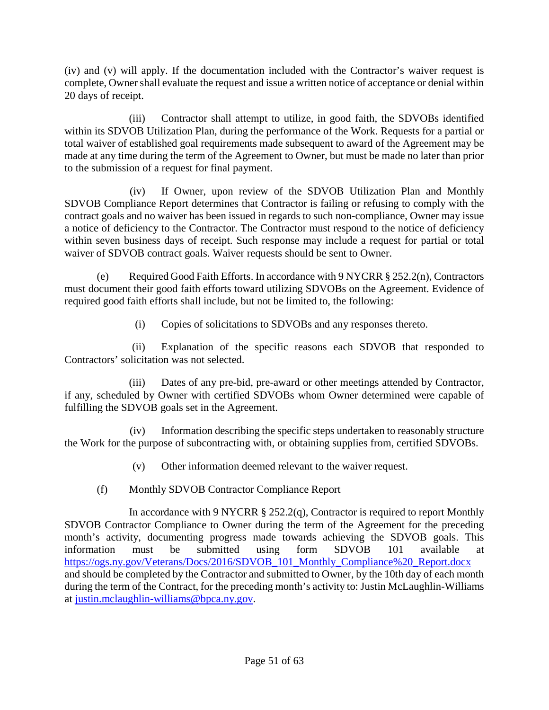(iv) and (v) will apply. If the documentation included with the Contractor's waiver request is complete, Owner shall evaluate the request and issue a written notice of acceptance or denial within 20 days of receipt.

(iii) Contractor shall attempt to utilize, in good faith, the SDVOBs identified within its SDVOB Utilization Plan, during the performance of the Work. Requests for a partial or total waiver of established goal requirements made subsequent to award of the Agreement may be made at any time during the term of the Agreement to Owner, but must be made no later than prior to the submission of a request for final payment.

(iv) If Owner, upon review of the SDVOB Utilization Plan and Monthly SDVOB Compliance Report determines that Contractor is failing or refusing to comply with the contract goals and no waiver has been issued in regards to such non-compliance, Owner may issue a notice of deficiency to the Contractor. The Contractor must respond to the notice of deficiency within seven business days of receipt. Such response may include a request for partial or total waiver of SDVOB contract goals. Waiver requests should be sent to Owner.

(e) Required Good Faith Efforts. In accordance with 9 NYCRR § 252.2(n), Contractors must document their good faith efforts toward utilizing SDVOBs on the Agreement. Evidence of required good faith efforts shall include, but not be limited to, the following:

(i) Copies of solicitations to SDVOBs and any responses thereto.

(ii) Explanation of the specific reasons each SDVOB that responded to Contractors' solicitation was not selected.

(iii) Dates of any pre-bid, pre-award or other meetings attended by Contractor, if any, scheduled by Owner with certified SDVOBs whom Owner determined were capable of fulfilling the SDVOB goals set in the Agreement.

(iv) Information describing the specific steps undertaken to reasonably structure the Work for the purpose of subcontracting with, or obtaining supplies from, certified SDVOBs.

(v) Other information deemed relevant to the waiver request.

(f) Monthly SDVOB Contractor Compliance Report

In accordance with 9 NYCRR § 252.2(q), Contractor is required to report Monthly SDVOB Contractor Compliance to Owner during the term of the Agreement for the preceding month's activity, documenting progress made towards achieving the SDVOB goals. This information must be submitted using form SDVOB 101 available at [https://ogs.ny.gov/Veterans/Docs/2016/SDVOB\\_101\\_Monthly\\_Compliance%20\\_Report.docx](https://ogs.ny.gov/Veterans/Docs/2016/SDVOB_101_Monthly_Compliance%20_Report.docx) and should be completed by the Contractor and submitted to Owner, by the 10th day of each month during the term of the Contract, for the preceding month's activity to: Justin McLaughlin-Williams at [justin.mclaughlin-williams@bpca.ny.gov.](mailto:anthony.peterson@bpca.ny.gov)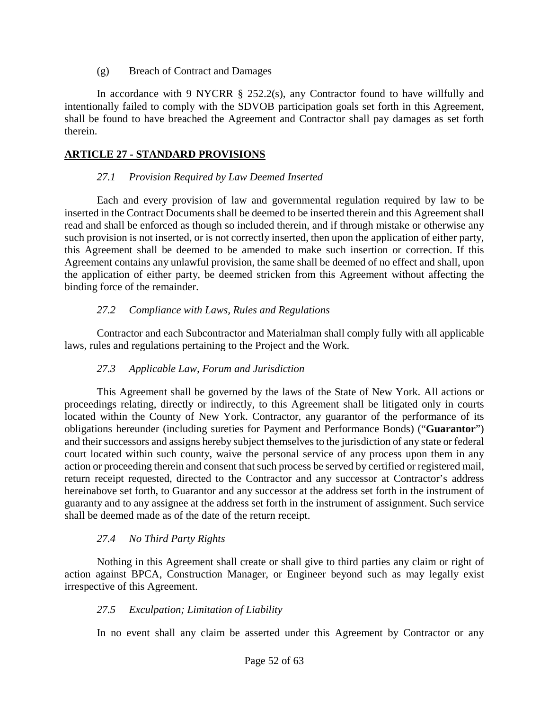#### (g) Breach of Contract and Damages

In accordance with 9 NYCRR § 252.2(s), any Contractor found to have willfully and intentionally failed to comply with the SDVOB participation goals set forth in this Agreement, shall be found to have breached the Agreement and Contractor shall pay damages as set forth therein.

#### **ARTICLE 27 - STANDARD PROVISIONS**

#### *27.1 Provision Required by Law Deemed Inserted*

Each and every provision of law and governmental regulation required by law to be inserted in the Contract Documents shall be deemed to be inserted therein and this Agreement shall read and shall be enforced as though so included therein, and if through mistake or otherwise any such provision is not inserted, or is not correctly inserted, then upon the application of either party, this Agreement shall be deemed to be amended to make such insertion or correction. If this Agreement contains any unlawful provision, the same shall be deemed of no effect and shall, upon the application of either party, be deemed stricken from this Agreement without affecting the binding force of the remainder.

#### *27.2 Compliance with Laws, Rules and Regulations*

Contractor and each Subcontractor and Materialman shall comply fully with all applicable laws, rules and regulations pertaining to the Project and the Work.

#### *27.3 Applicable Law, Forum and Jurisdiction*

This Agreement shall be governed by the laws of the State of New York. All actions or proceedings relating, directly or indirectly, to this Agreement shall be litigated only in courts located within the County of New York. Contractor, any guarantor of the performance of its obligations hereunder (including sureties for Payment and Performance Bonds) ("**Guarantor**") and their successors and assigns hereby subject themselves to the jurisdiction of any state or federal court located within such county, waive the personal service of any process upon them in any action or proceeding therein and consent that such process be served by certified or registered mail, return receipt requested, directed to the Contractor and any successor at Contractor's address hereinabove set forth, to Guarantor and any successor at the address set forth in the instrument of guaranty and to any assignee at the address set forth in the instrument of assignment. Such service shall be deemed made as of the date of the return receipt.

#### *27.4 No Third Party Rights*

Nothing in this Agreement shall create or shall give to third parties any claim or right of action against BPCA, Construction Manager, or Engineer beyond such as may legally exist irrespective of this Agreement.

#### *27.5 Exculpation; Limitation of Liability*

In no event shall any claim be asserted under this Agreement by Contractor or any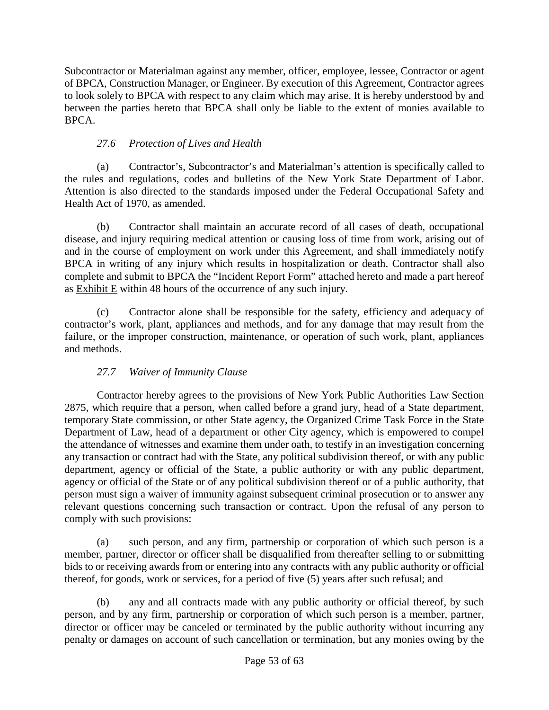Subcontractor or Materialman against any member, officer, employee, lessee, Contractor or agent of BPCA, Construction Manager, or Engineer. By execution of this Agreement, Contractor agrees to look solely to BPCA with respect to any claim which may arise. It is hereby understood by and between the parties hereto that BPCA shall only be liable to the extent of monies available to BPCA.

## *27.6 Protection of Lives and Health*

(a) Contractor's, Subcontractor's and Materialman's attention is specifically called to the rules and regulations, codes and bulletins of the New York State Department of Labor. Attention is also directed to the standards imposed under the Federal Occupational Safety and Health Act of 1970, as amended.

(b) Contractor shall maintain an accurate record of all cases of death, occupational disease, and injury requiring medical attention or causing loss of time from work, arising out of and in the course of employment on work under this Agreement, and shall immediately notify BPCA in writing of any injury which results in hospitalization or death. Contractor shall also complete and submit to BPCA the "Incident Report Form" attached hereto and made a part hereof as Exhibit E within 48 hours of the occurrence of any such injury.

(c) Contractor alone shall be responsible for the safety, efficiency and adequacy of contractor's work, plant, appliances and methods, and for any damage that may result from the failure, or the improper construction, maintenance, or operation of such work, plant, appliances and methods.

## *27.7 Waiver of Immunity Clause*

Contractor hereby agrees to the provisions of New York Public Authorities Law Section 2875, which require that a person, when called before a grand jury, head of a State department, temporary State commission, or other State agency, the Organized Crime Task Force in the State Department of Law, head of a department or other City agency, which is empowered to compel the attendance of witnesses and examine them under oath, to testify in an investigation concerning any transaction or contract had with the State, any political subdivision thereof, or with any public department, agency or official of the State, a public authority or with any public department, agency or official of the State or of any political subdivision thereof or of a public authority, that person must sign a waiver of immunity against subsequent criminal prosecution or to answer any relevant questions concerning such transaction or contract. Upon the refusal of any person to comply with such provisions:

(a) such person, and any firm, partnership or corporation of which such person is a member, partner, director or officer shall be disqualified from thereafter selling to or submitting bids to or receiving awards from or entering into any contracts with any public authority or official thereof, for goods, work or services, for a period of five (5) years after such refusal; and

(b) any and all contracts made with any public authority or official thereof, by such person, and by any firm, partnership or corporation of which such person is a member, partner, director or officer may be canceled or terminated by the public authority without incurring any penalty or damages on account of such cancellation or termination, but any monies owing by the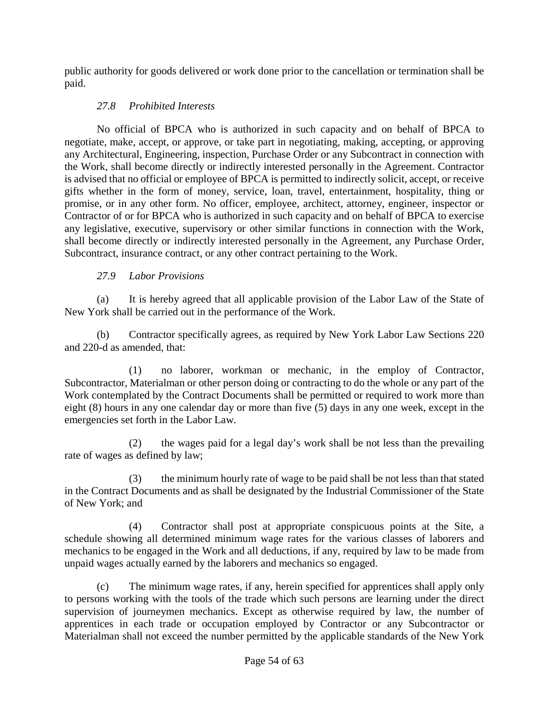public authority for goods delivered or work done prior to the cancellation or termination shall be paid.

## *27.8 Prohibited Interests*

No official of BPCA who is authorized in such capacity and on behalf of BPCA to negotiate, make, accept, or approve, or take part in negotiating, making, accepting, or approving any Architectural, Engineering, inspection, Purchase Order or any Subcontract in connection with the Work, shall become directly or indirectly interested personally in the Agreement. Contractor is advised that no official or employee of BPCA is permitted to indirectly solicit, accept, or receive gifts whether in the form of money, service, loan, travel, entertainment, hospitality, thing or promise, or in any other form. No officer, employee, architect, attorney, engineer, inspector or Contractor of or for BPCA who is authorized in such capacity and on behalf of BPCA to exercise any legislative, executive, supervisory or other similar functions in connection with the Work, shall become directly or indirectly interested personally in the Agreement, any Purchase Order, Subcontract, insurance contract, or any other contract pertaining to the Work.

## *27.9 Labor Provisions*

(a) It is hereby agreed that all applicable provision of the Labor Law of the State of New York shall be carried out in the performance of the Work.

(b) Contractor specifically agrees, as required by New York Labor Law Sections 220 and 220-d as amended, that:

(1) no laborer, workman or mechanic, in the employ of Contractor, Subcontractor, Materialman or other person doing or contracting to do the whole or any part of the Work contemplated by the Contract Documents shall be permitted or required to work more than eight (8) hours in any one calendar day or more than five (5) days in any one week, except in the emergencies set forth in the Labor Law.

(2) the wages paid for a legal day's work shall be not less than the prevailing rate of wages as defined by law;

(3) the minimum hourly rate of wage to be paid shall be not less than that stated in the Contract Documents and as shall be designated by the Industrial Commissioner of the State of New York; and

(4) Contractor shall post at appropriate conspicuous points at the Site, a schedule showing all determined minimum wage rates for the various classes of laborers and mechanics to be engaged in the Work and all deductions, if any, required by law to be made from unpaid wages actually earned by the laborers and mechanics so engaged.

(c) The minimum wage rates, if any, herein specified for apprentices shall apply only to persons working with the tools of the trade which such persons are learning under the direct supervision of journeymen mechanics. Except as otherwise required by law, the number of apprentices in each trade or occupation employed by Contractor or any Subcontractor or Materialman shall not exceed the number permitted by the applicable standards of the New York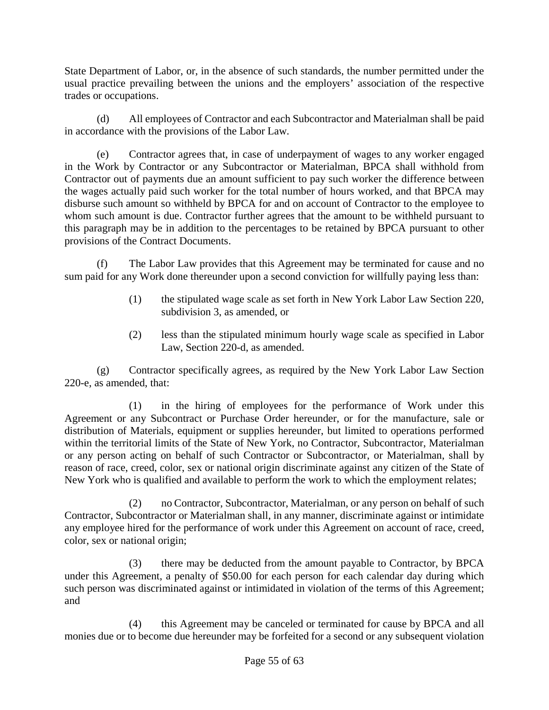State Department of Labor, or, in the absence of such standards, the number permitted under the usual practice prevailing between the unions and the employers' association of the respective trades or occupations.

(d) All employees of Contractor and each Subcontractor and Materialman shall be paid in accordance with the provisions of the Labor Law.

(e) Contractor agrees that, in case of underpayment of wages to any worker engaged in the Work by Contractor or any Subcontractor or Materialman, BPCA shall withhold from Contractor out of payments due an amount sufficient to pay such worker the difference between the wages actually paid such worker for the total number of hours worked, and that BPCA may disburse such amount so withheld by BPCA for and on account of Contractor to the employee to whom such amount is due. Contractor further agrees that the amount to be withheld pursuant to this paragraph may be in addition to the percentages to be retained by BPCA pursuant to other provisions of the Contract Documents.

(f) The Labor Law provides that this Agreement may be terminated for cause and no sum paid for any Work done thereunder upon a second conviction for willfully paying less than:

- (1) the stipulated wage scale as set forth in New York Labor Law Section 220, subdivision 3, as amended, or
- (2) less than the stipulated minimum hourly wage scale as specified in Labor Law, Section 220-d, as amended.

(g) Contractor specifically agrees, as required by the New York Labor Law Section 220-e, as amended, that:

(1) in the hiring of employees for the performance of Work under this Agreement or any Subcontract or Purchase Order hereunder, or for the manufacture, sale or distribution of Materials, equipment or supplies hereunder, but limited to operations performed within the territorial limits of the State of New York, no Contractor, Subcontractor, Materialman or any person acting on behalf of such Contractor or Subcontractor, or Materialman, shall by reason of race, creed, color, sex or national origin discriminate against any citizen of the State of New York who is qualified and available to perform the work to which the employment relates;

(2) no Contractor, Subcontractor, Materialman, or any person on behalf of such Contractor, Subcontractor or Materialman shall, in any manner, discriminate against or intimidate any employee hired for the performance of work under this Agreement on account of race, creed, color, sex or national origin;

(3) there may be deducted from the amount payable to Contractor, by BPCA under this Agreement, a penalty of \$50.00 for each person for each calendar day during which such person was discriminated against or intimidated in violation of the terms of this Agreement; and

(4) this Agreement may be canceled or terminated for cause by BPCA and all monies due or to become due hereunder may be forfeited for a second or any subsequent violation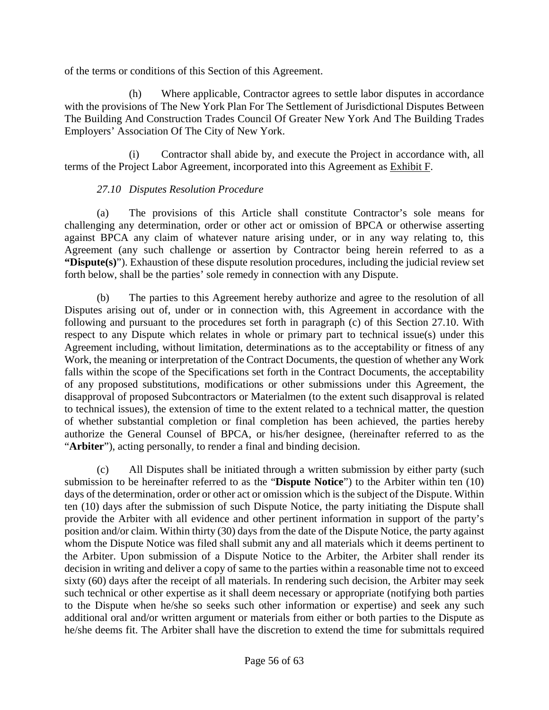of the terms or conditions of this Section of this Agreement.

(h) Where applicable, Contractor agrees to settle labor disputes in accordance with the provisions of The New York Plan For The Settlement of Jurisdictional Disputes Between The Building And Construction Trades Council Of Greater New York And The Building Trades Employers' Association Of The City of New York.

(i) Contractor shall abide by, and execute the Project in accordance with, all terms of the Project Labor Agreement, incorporated into this Agreement as Exhibit F.

### *27.10 Disputes Resolution Procedure*

(a) The provisions of this Article shall constitute Contractor's sole means for challenging any determination, order or other act or omission of BPCA or otherwise asserting against BPCA any claim of whatever nature arising under, or in any way relating to, this Agreement (any such challenge or assertion by Contractor being herein referred to as a **"Dispute(s)**"). Exhaustion of these dispute resolution procedures, including the judicial review set forth below, shall be the parties' sole remedy in connection with any Dispute.

(b) The parties to this Agreement hereby authorize and agree to the resolution of all Disputes arising out of, under or in connection with, this Agreement in accordance with the following and pursuant to the procedures set forth in paragraph (c) of this Section 27.10. With respect to any Dispute which relates in whole or primary part to technical issue(s) under this Agreement including, without limitation, determinations as to the acceptability or fitness of any Work, the meaning or interpretation of the Contract Documents, the question of whether any Work falls within the scope of the Specifications set forth in the Contract Documents, the acceptability of any proposed substitutions, modifications or other submissions under this Agreement, the disapproval of proposed Subcontractors or Materialmen (to the extent such disapproval is related to technical issues), the extension of time to the extent related to a technical matter, the question of whether substantial completion or final completion has been achieved, the parties hereby authorize the General Counsel of BPCA, or his/her designee, (hereinafter referred to as the "**Arbiter**"), acting personally, to render a final and binding decision.

(c) All Disputes shall be initiated through a written submission by either party (such submission to be hereinafter referred to as the "**Dispute Notice**") to the Arbiter within ten (10) days of the determination, order or other act or omission which is the subject of the Dispute. Within ten (10) days after the submission of such Dispute Notice, the party initiating the Dispute shall provide the Arbiter with all evidence and other pertinent information in support of the party's position and/or claim. Within thirty (30) days from the date of the Dispute Notice, the party against whom the Dispute Notice was filed shall submit any and all materials which it deems pertinent to the Arbiter. Upon submission of a Dispute Notice to the Arbiter, the Arbiter shall render its decision in writing and deliver a copy of same to the parties within a reasonable time not to exceed sixty (60) days after the receipt of all materials. In rendering such decision, the Arbiter may seek such technical or other expertise as it shall deem necessary or appropriate (notifying both parties to the Dispute when he/she so seeks such other information or expertise) and seek any such additional oral and/or written argument or materials from either or both parties to the Dispute as he/she deems fit. The Arbiter shall have the discretion to extend the time for submittals required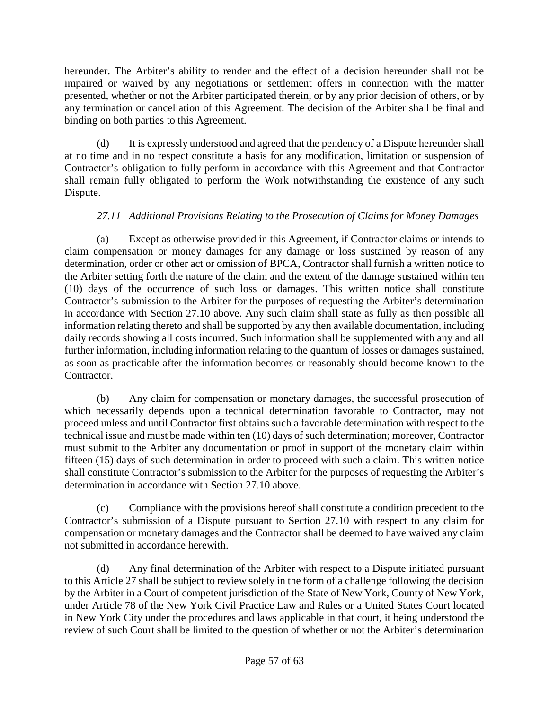hereunder. The Arbiter's ability to render and the effect of a decision hereunder shall not be impaired or waived by any negotiations or settlement offers in connection with the matter presented, whether or not the Arbiter participated therein, or by any prior decision of others, or by any termination or cancellation of this Agreement. The decision of the Arbiter shall be final and binding on both parties to this Agreement.

(d) It is expressly understood and agreed that the pendency of a Dispute hereunder shall at no time and in no respect constitute a basis for any modification, limitation or suspension of Contractor's obligation to fully perform in accordance with this Agreement and that Contractor shall remain fully obligated to perform the Work notwithstanding the existence of any such Dispute.

## *27.11 Additional Provisions Relating to the Prosecution of Claims for Money Damages*

(a) Except as otherwise provided in this Agreement, if Contractor claims or intends to claim compensation or money damages for any damage or loss sustained by reason of any determination, order or other act or omission of BPCA, Contractor shall furnish a written notice to the Arbiter setting forth the nature of the claim and the extent of the damage sustained within ten (10) days of the occurrence of such loss or damages. This written notice shall constitute Contractor's submission to the Arbiter for the purposes of requesting the Arbiter's determination in accordance with Section 27.10 above. Any such claim shall state as fully as then possible all information relating thereto and shall be supported by any then available documentation, including daily records showing all costs incurred. Such information shall be supplemented with any and all further information, including information relating to the quantum of losses or damages sustained, as soon as practicable after the information becomes or reasonably should become known to the Contractor.

(b) Any claim for compensation or monetary damages, the successful prosecution of which necessarily depends upon a technical determination favorable to Contractor, may not proceed unless and until Contractor first obtains such a favorable determination with respect to the technical issue and must be made within ten (10) days of such determination; moreover, Contractor must submit to the Arbiter any documentation or proof in support of the monetary claim within fifteen (15) days of such determination in order to proceed with such a claim. This written notice shall constitute Contractor's submission to the Arbiter for the purposes of requesting the Arbiter's determination in accordance with Section 27.10 above.

(c) Compliance with the provisions hereof shall constitute a condition precedent to the Contractor's submission of a Dispute pursuant to Section 27.10 with respect to any claim for compensation or monetary damages and the Contractor shall be deemed to have waived any claim not submitted in accordance herewith.

(d) Any final determination of the Arbiter with respect to a Dispute initiated pursuant to this Article 27 shall be subject to review solely in the form of a challenge following the decision by the Arbiter in a Court of competent jurisdiction of the State of New York, County of New York, under Article 78 of the New York Civil Practice Law and Rules or a United States Court located in New York City under the procedures and laws applicable in that court, it being understood the review of such Court shall be limited to the question of whether or not the Arbiter's determination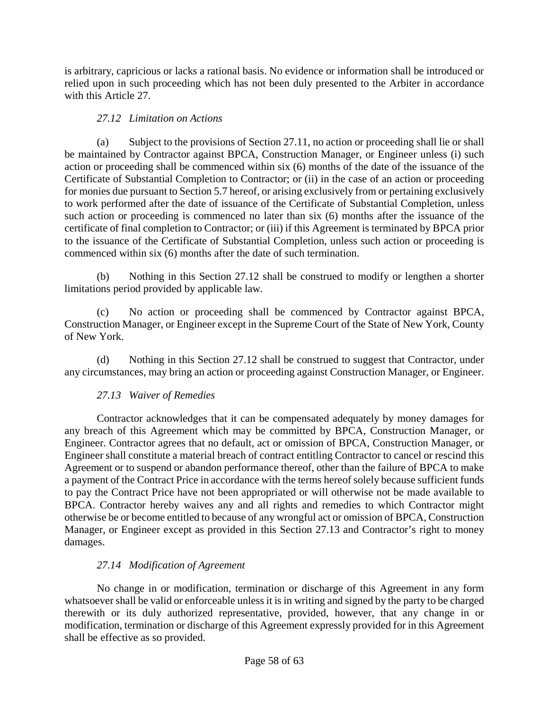is arbitrary, capricious or lacks a rational basis. No evidence or information shall be introduced or relied upon in such proceeding which has not been duly presented to the Arbiter in accordance with this Article 27.

## *27.12 Limitation on Actions*

(a) Subject to the provisions of Section 27.11, no action or proceeding shall lie or shall be maintained by Contractor against BPCA, Construction Manager, or Engineer unless (i) such action or proceeding shall be commenced within six (6) months of the date of the issuance of the Certificate of Substantial Completion to Contractor; or (ii) in the case of an action or proceeding for monies due pursuant to Section 5.7 hereof, or arising exclusively from or pertaining exclusively to work performed after the date of issuance of the Certificate of Substantial Completion, unless such action or proceeding is commenced no later than six (6) months after the issuance of the certificate of final completion to Contractor; or (iii) if this Agreement is terminated by BPCA prior to the issuance of the Certificate of Substantial Completion, unless such action or proceeding is commenced within six (6) months after the date of such termination.

(b) Nothing in this Section 27.12 shall be construed to modify or lengthen a shorter limitations period provided by applicable law.

(c) No action or proceeding shall be commenced by Contractor against BPCA, Construction Manager, or Engineer except in the Supreme Court of the State of New York, County of New York.

(d) Nothing in this Section 27.12 shall be construed to suggest that Contractor, under any circumstances, may bring an action or proceeding against Construction Manager, or Engineer.

## *27.13 Waiver of Remedies*

Contractor acknowledges that it can be compensated adequately by money damages for any breach of this Agreement which may be committed by BPCA, Construction Manager, or Engineer. Contractor agrees that no default, act or omission of BPCA, Construction Manager, or Engineer shall constitute a material breach of contract entitling Contractor to cancel or rescind this Agreement or to suspend or abandon performance thereof, other than the failure of BPCA to make a payment of the Contract Price in accordance with the terms hereof solely because sufficient funds to pay the Contract Price have not been appropriated or will otherwise not be made available to BPCA. Contractor hereby waives any and all rights and remedies to which Contractor might otherwise be or become entitled to because of any wrongful act or omission of BPCA, Construction Manager, or Engineer except as provided in this Section 27.13 and Contractor's right to money damages.

## *27.14 Modification of Agreement*

No change in or modification, termination or discharge of this Agreement in any form whatsoever shall be valid or enforceable unless it is in writing and signed by the party to be charged therewith or its duly authorized representative, provided, however, that any change in or modification, termination or discharge of this Agreement expressly provided for in this Agreement shall be effective as so provided.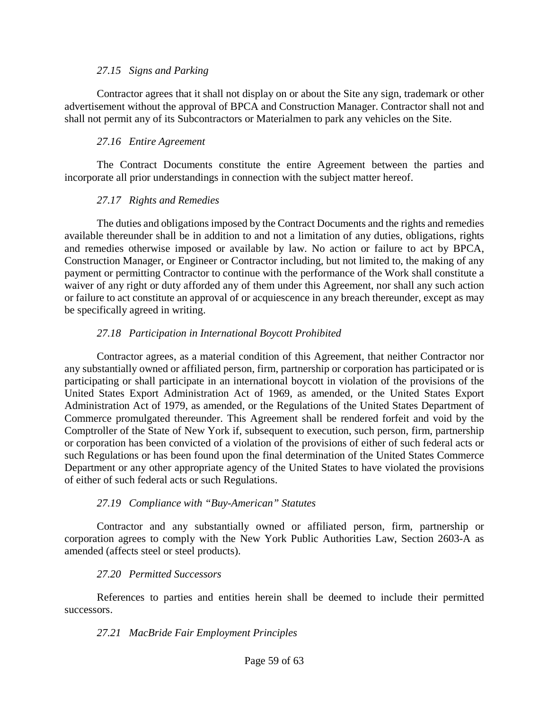#### *27.15 Signs and Parking*

Contractor agrees that it shall not display on or about the Site any sign, trademark or other advertisement without the approval of BPCA and Construction Manager. Contractor shall not and shall not permit any of its Subcontractors or Materialmen to park any vehicles on the Site.

#### *27.16 Entire Agreement*

The Contract Documents constitute the entire Agreement between the parties and incorporate all prior understandings in connection with the subject matter hereof.

### *27.17 Rights and Remedies*

The duties and obligations imposed by the Contract Documents and the rights and remedies available thereunder shall be in addition to and not a limitation of any duties, obligations, rights and remedies otherwise imposed or available by law. No action or failure to act by BPCA, Construction Manager, or Engineer or Contractor including, but not limited to, the making of any payment or permitting Contractor to continue with the performance of the Work shall constitute a waiver of any right or duty afforded any of them under this Agreement, nor shall any such action or failure to act constitute an approval of or acquiescence in any breach thereunder, except as may be specifically agreed in writing.

### *27.18 Participation in International Boycott Prohibited*

Contractor agrees, as a material condition of this Agreement, that neither Contractor nor any substantially owned or affiliated person, firm, partnership or corporation has participated or is participating or shall participate in an international boycott in violation of the provisions of the United States Export Administration Act of 1969, as amended, or the United States Export Administration Act of 1979, as amended, or the Regulations of the United States Department of Commerce promulgated thereunder. This Agreement shall be rendered forfeit and void by the Comptroller of the State of New York if, subsequent to execution, such person, firm, partnership or corporation has been convicted of a violation of the provisions of either of such federal acts or such Regulations or has been found upon the final determination of the United States Commerce Department or any other appropriate agency of the United States to have violated the provisions of either of such federal acts or such Regulations.

#### *27.19 Compliance with "Buy-American" Statutes*

Contractor and any substantially owned or affiliated person, firm, partnership or corporation agrees to comply with the New York Public Authorities Law, Section 2603-A as amended (affects steel or steel products).

## *27.20 Permitted Successors*

References to parties and entities herein shall be deemed to include their permitted successors.

## *27.21 MacBride Fair Employment Principles*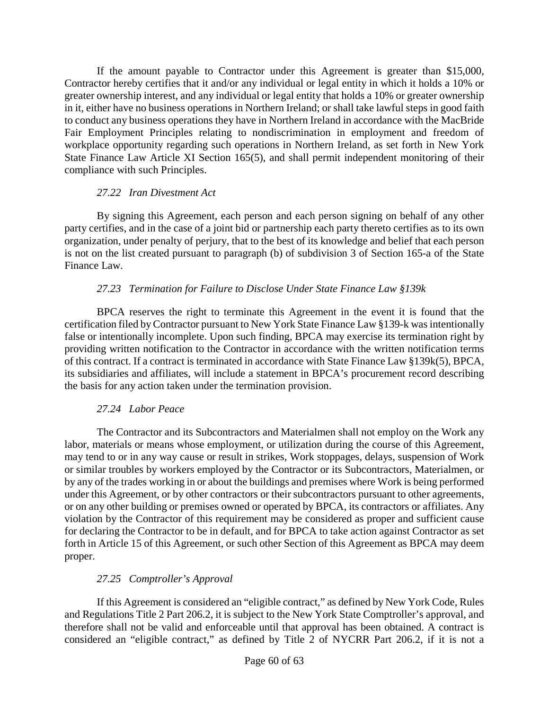If the amount payable to Contractor under this Agreement is greater than \$15,000, Contractor hereby certifies that it and/or any individual or legal entity in which it holds a 10% or greater ownership interest, and any individual or legal entity that holds a 10% or greater ownership in it, either have no business operations in Northern Ireland; or shall take lawful steps in good faith to conduct any business operations they have in Northern Ireland in accordance with the MacBride Fair Employment Principles relating to nondiscrimination in employment and freedom of workplace opportunity regarding such operations in Northern Ireland, as set forth in New York State Finance Law Article XI Section 165(5), and shall permit independent monitoring of their compliance with such Principles.

### *27.22 Iran Divestment Act*

By signing this Agreement, each person and each person signing on behalf of any other party certifies, and in the case of a joint bid or partnership each party thereto certifies as to its own organization, under penalty of perjury, that to the best of its knowledge and belief that each person is not on the list created pursuant to paragraph (b) of subdivision 3 of Section 165-a of the State Finance Law.

### *27.23 Termination for Failure to Disclose Under State Finance Law §139k*

BPCA reserves the right to terminate this Agreement in the event it is found that the certification filed by Contractor pursuant to New York State Finance Law §139-k was intentionally false or intentionally incomplete. Upon such finding, BPCA may exercise its termination right by providing written notification to the Contractor in accordance with the written notification terms of this contract. If a contract is terminated in accordance with State Finance Law §139k(5), BPCA, its subsidiaries and affiliates, will include a statement in BPCA's procurement record describing the basis for any action taken under the termination provision.

## *27.24 Labor Peace*

The Contractor and its Subcontractors and Materialmen shall not employ on the Work any labor, materials or means whose employment, or utilization during the course of this Agreement, may tend to or in any way cause or result in strikes, Work stoppages, delays, suspension of Work or similar troubles by workers employed by the Contractor or its Subcontractors, Materialmen, or by any of the trades working in or about the buildings and premises where Work is being performed under this Agreement, or by other contractors or their subcontractors pursuant to other agreements, or on any other building or premises owned or operated by BPCA, its contractors or affiliates. Any violation by the Contractor of this requirement may be considered as proper and sufficient cause for declaring the Contractor to be in default, and for BPCA to take action against Contractor as set forth in Article 15 of this Agreement, or such other Section of this Agreement as BPCA may deem proper.

## *27.25 Comptroller's Approval*

If this Agreement is considered an "eligible contract," as defined by New York Code, Rules and Regulations Title 2 Part 206.2, it is subject to the New York State Comptroller's approval, and therefore shall not be valid and enforceable until that approval has been obtained. A contract is considered an "eligible contract," as defined by Title 2 of NYCRR Part 206.2, if it is not a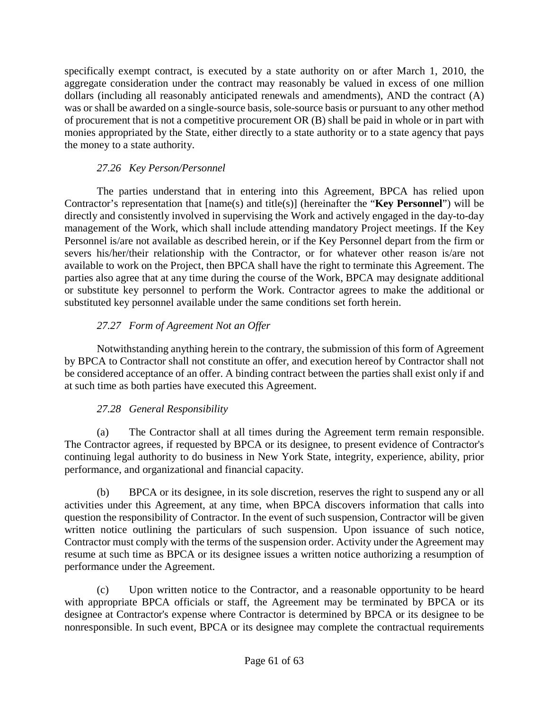specifically exempt contract, is executed by a state authority on or after March 1, 2010, the aggregate consideration under the contract may reasonably be valued in excess of one million dollars (including all reasonably anticipated renewals and amendments), AND the contract (A) was or shall be awarded on a single-source basis, sole-source basis or pursuant to any other method of procurement that is not a competitive procurement OR (B) shall be paid in whole or in part with monies appropriated by the State, either directly to a state authority or to a state agency that pays the money to a state authority.

## *27.26 Key Person/Personnel*

The parties understand that in entering into this Agreement, BPCA has relied upon Contractor's representation that [name(s) and title(s)] (hereinafter the "**Key Personnel**") will be directly and consistently involved in supervising the Work and actively engaged in the day-to-day management of the Work, which shall include attending mandatory Project meetings. If the Key Personnel is/are not available as described herein, or if the Key Personnel depart from the firm or severs his/her/their relationship with the Contractor, or for whatever other reason is/are not available to work on the Project, then BPCA shall have the right to terminate this Agreement. The parties also agree that at any time during the course of the Work, BPCA may designate additional or substitute key personnel to perform the Work. Contractor agrees to make the additional or substituted key personnel available under the same conditions set forth herein.

## *27.27 Form of Agreement Not an Offer*

Notwithstanding anything herein to the contrary, the submission of this form of Agreement by BPCA to Contractor shall not constitute an offer, and execution hereof by Contractor shall not be considered acceptance of an offer. A binding contract between the parties shall exist only if and at such time as both parties have executed this Agreement.

## *27.28 General Responsibility*

(a) The Contractor shall at all times during the Agreement term remain responsible. The Contractor agrees, if requested by BPCA or its designee, to present evidence of Contractor's continuing legal authority to do business in New York State, integrity, experience, ability, prior performance, and organizational and financial capacity.

(b) BPCA or its designee, in its sole discretion, reserves the right to suspend any or all activities under this Agreement, at any time, when BPCA discovers information that calls into question the responsibility of Contractor. In the event of such suspension, Contractor will be given written notice outlining the particulars of such suspension. Upon issuance of such notice, Contractor must comply with the terms of the suspension order. Activity under the Agreement may resume at such time as BPCA or its designee issues a written notice authorizing a resumption of performance under the Agreement.

(c) Upon written notice to the Contractor, and a reasonable opportunity to be heard with appropriate BPCA officials or staff, the Agreement may be terminated by BPCA or its designee at Contractor's expense where Contractor is determined by BPCA or its designee to be nonresponsible. In such event, BPCA or its designee may complete the contractual requirements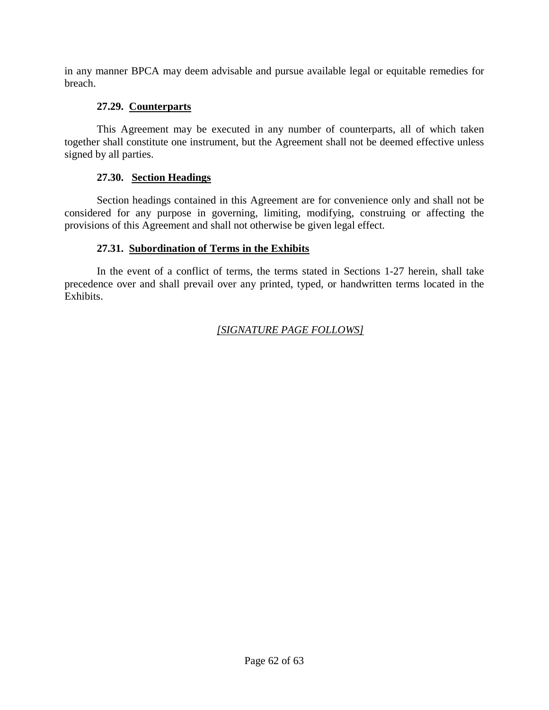in any manner BPCA may deem advisable and pursue available legal or equitable remedies for breach.

#### **27.29. Counterparts**

This Agreement may be executed in any number of counterparts, all of which taken together shall constitute one instrument, but the Agreement shall not be deemed effective unless signed by all parties.

#### **27.30. Section Headings**

Section headings contained in this Agreement are for convenience only and shall not be considered for any purpose in governing, limiting, modifying, construing or affecting the provisions of this Agreement and shall not otherwise be given legal effect.

### **27.31. Subordination of Terms in the Exhibits**

In the event of a conflict of terms, the terms stated in Sections 1-27 herein, shall take precedence over and shall prevail over any printed, typed, or handwritten terms located in the Exhibits.

## *[SIGNATURE PAGE FOLLOWS]*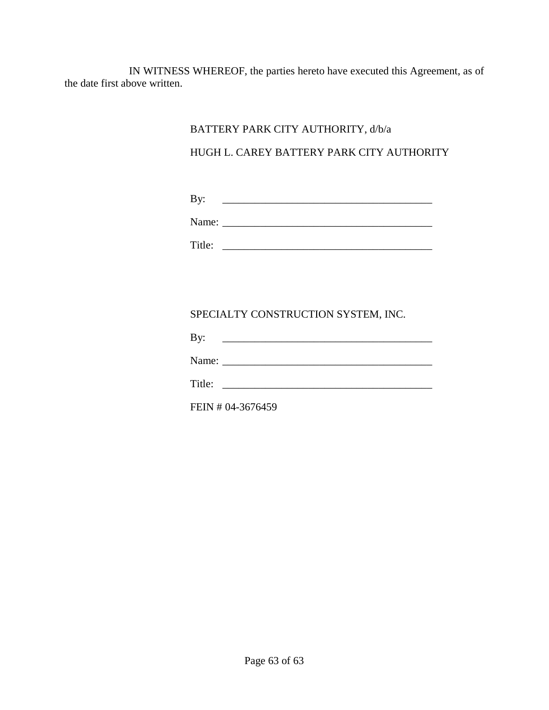IN WITNESS WHEREOF, the parties hereto have executed this Agreement, as of the date first above written.

### BATTERY PARK CITY AUTHORITY, d/b/a

#### HUGH L. CAREY BATTERY PARK CITY AUTHORITY

| ann. |
|------|
|------|

| $TT^{\dagger}A$ .<br>не<br>THU. |  |
|---------------------------------|--|
|---------------------------------|--|

### SPECIALTY CONSTRUCTION SYSTEM, INC.

By: \_\_\_\_\_\_\_\_\_\_\_\_\_\_\_\_\_\_\_\_\_\_\_\_\_\_\_\_\_\_\_\_\_\_\_\_\_\_\_

Name: \_\_\_\_\_\_\_\_\_\_\_\_\_\_\_\_\_\_\_\_\_\_\_\_\_\_\_\_\_\_\_\_\_\_\_\_\_\_\_

Title: \_\_\_\_\_\_\_\_\_\_\_\_\_\_\_\_\_\_\_\_\_\_\_\_\_\_\_\_\_\_\_\_\_\_\_\_\_\_\_

FEIN # 04-3676459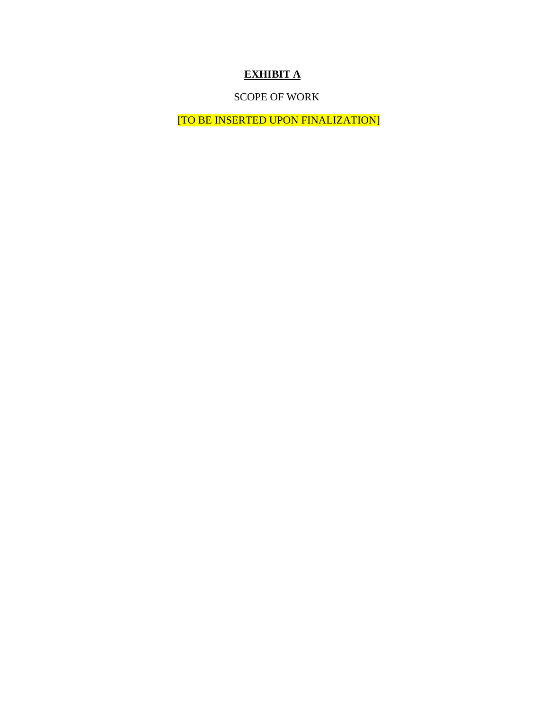## **EXHIBIT A**

## SCOPE OF WORK

[TO BE INSERTED UPON FINALIZATION]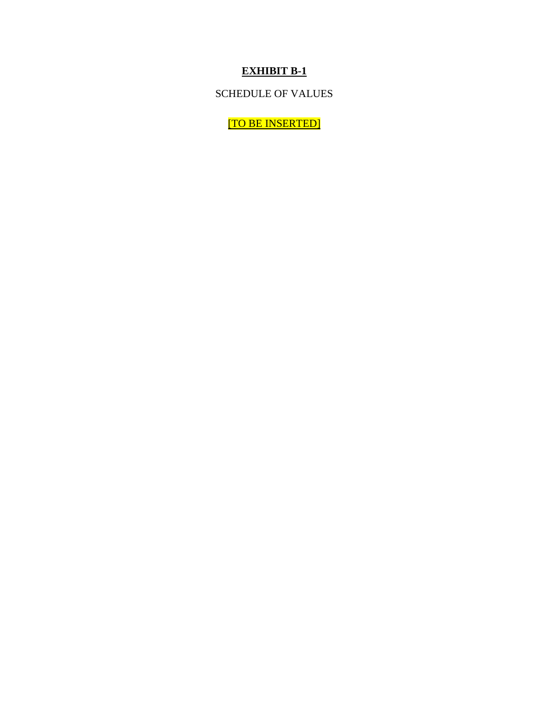# **EXHIBIT B-1**

# SCHEDULE OF VALUES

**[TO BE INSERTED]**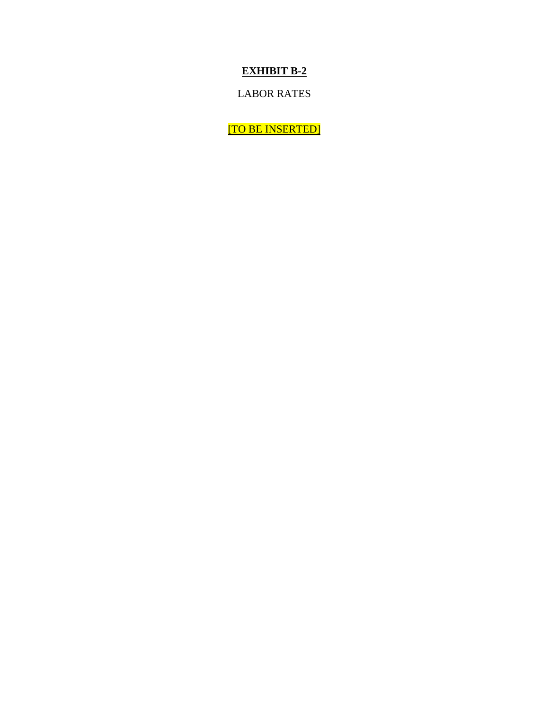# **EXHIBIT B-2**

LABOR RATES

**[TO BE INSERTED]**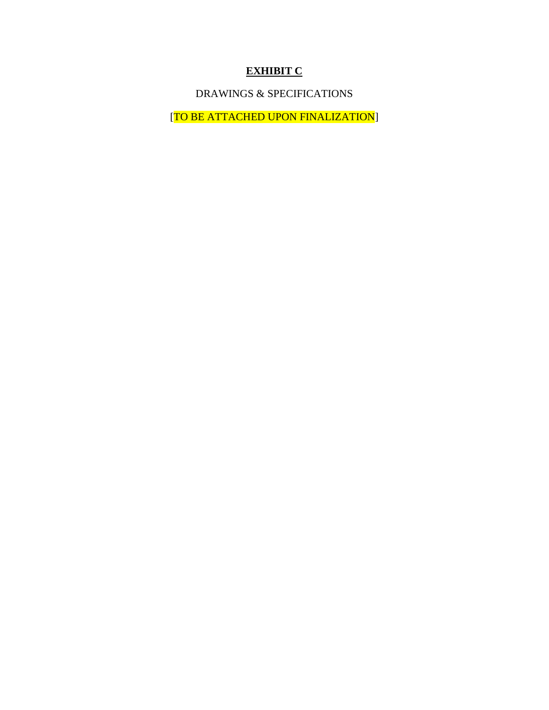# **EXHIBIT C**

DRAWINGS & SPECIFICATIONS

[TO BE ATTACHED UPON FINALIZATION]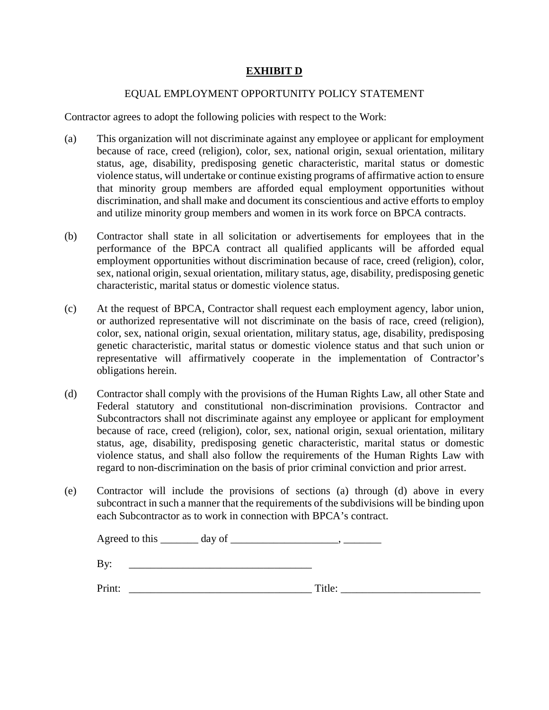# **EXHIBIT D**

## EQUAL EMPLOYMENT OPPORTUNITY POLICY STATEMENT

Contractor agrees to adopt the following policies with respect to the Work:

- (a) This organization will not discriminate against any employee or applicant for employment because of race, creed (religion), color, sex, national origin, sexual orientation, military status, age, disability, predisposing genetic characteristic, marital status or domestic violence status, will undertake or continue existing programs of affirmative action to ensure that minority group members are afforded equal employment opportunities without discrimination, and shall make and document its conscientious and active efforts to employ and utilize minority group members and women in its work force on BPCA contracts.
- (b) Contractor shall state in all solicitation or advertisements for employees that in the performance of the BPCA contract all qualified applicants will be afforded equal employment opportunities without discrimination because of race, creed (religion), color, sex, national origin, sexual orientation, military status, age, disability, predisposing genetic characteristic, marital status or domestic violence status.
- (c) At the request of BPCA, Contractor shall request each employment agency, labor union, or authorized representative will not discriminate on the basis of race, creed (religion), color, sex, national origin, sexual orientation, military status, age, disability, predisposing genetic characteristic, marital status or domestic violence status and that such union or representative will affirmatively cooperate in the implementation of Contractor's obligations herein.
- (d) Contractor shall comply with the provisions of the Human Rights Law, all other State and Federal statutory and constitutional non-discrimination provisions. Contractor and Subcontractors shall not discriminate against any employee or applicant for employment because of race, creed (religion), color, sex, national origin, sexual orientation, military status, age, disability, predisposing genetic characteristic, marital status or domestic violence status, and shall also follow the requirements of the Human Rights Law with regard to non-discrimination on the basis of prior criminal conviction and prior arrest.
- (e) Contractor will include the provisions of sections (a) through (d) above in every subcontract in such a manner that the requirements of the subdivisions will be binding upon each Subcontractor as to work in connection with BPCA's contract.

Print: Title:

| Agreed to this | day of |  |
|----------------|--------|--|
| By:            |        |  |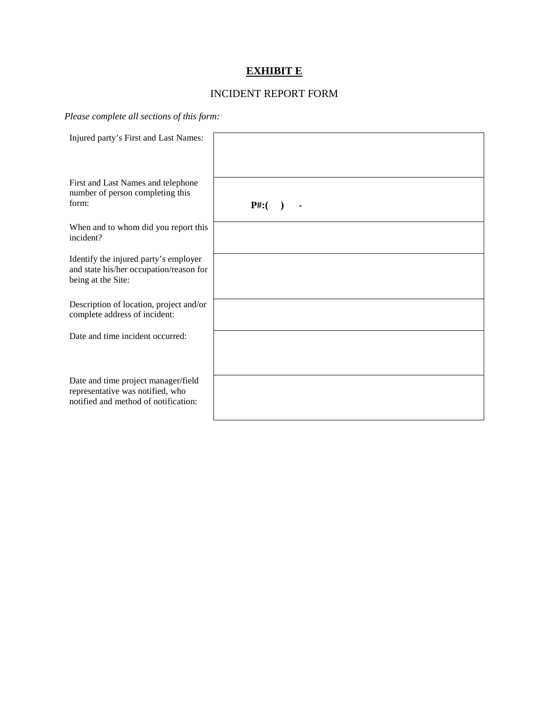# **EXHIBIT E**

# INCIDENT REPORT FORM

*Please complete all sections of this form:*

| Injured party's First and Last Names:                                                                           |     |
|-----------------------------------------------------------------------------------------------------------------|-----|
| First and Last Names and telephone<br>number of person completing this<br>form:                                 | P#: |
| When and to whom did you report this<br>incident?                                                               |     |
| Identify the injured party's employer<br>and state his/her occupation/reason for<br>being at the Site:          |     |
| Description of location, project and/or<br>complete address of incident:                                        |     |
| Date and time incident occurred:                                                                                |     |
| Date and time project manager/field<br>representative was notified, who<br>notified and method of notification: |     |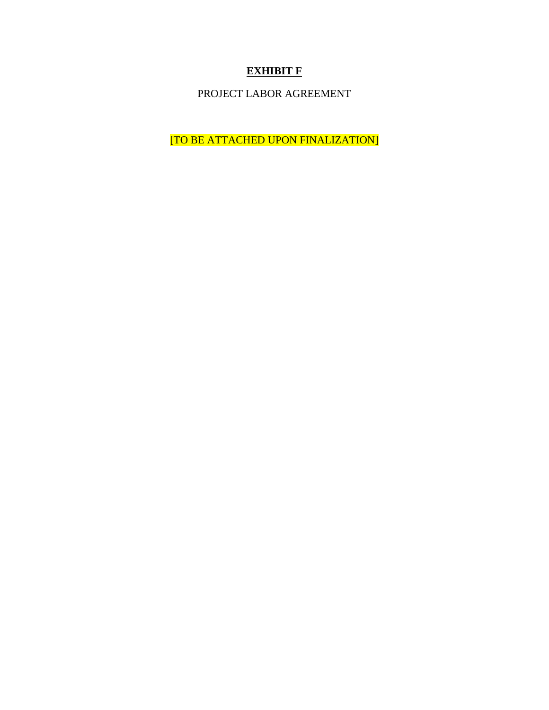# **EXHIBIT F**

PROJECT LABOR AGREEMENT

[TO BE ATTACHED UPON FINALIZATION]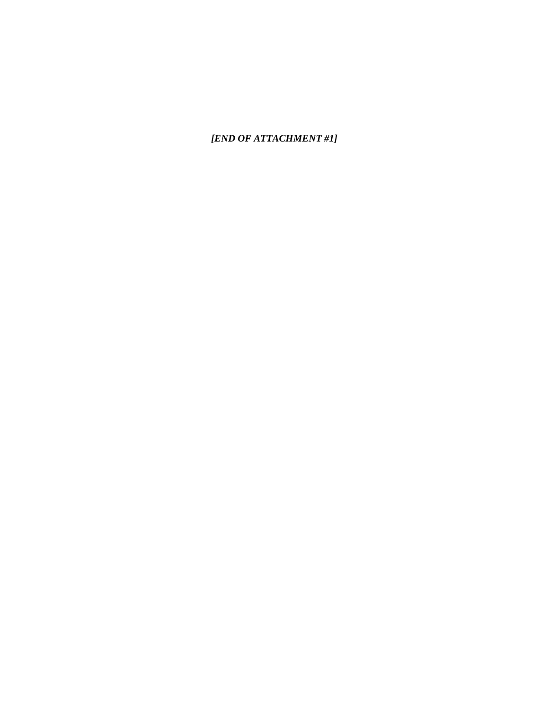*[END OF ATTACHMENT #1]*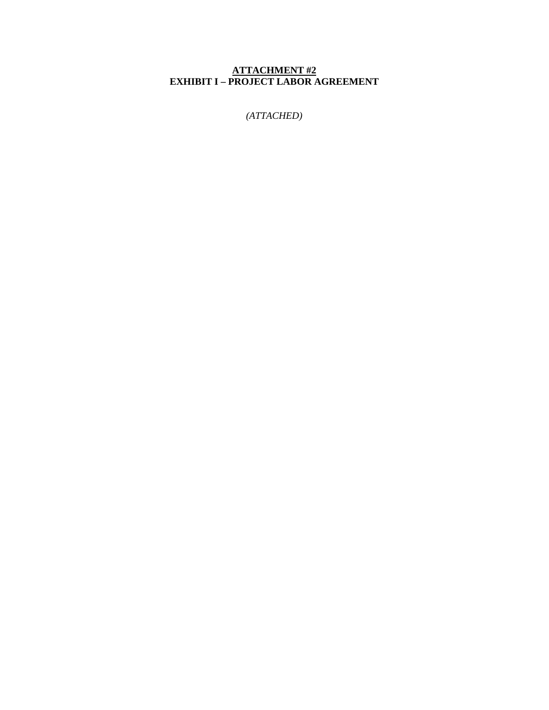### **ATTACHMENT #2 EXHIBIT I – PROJECT LABOR AGREEMENT**

*(ATTACHED)*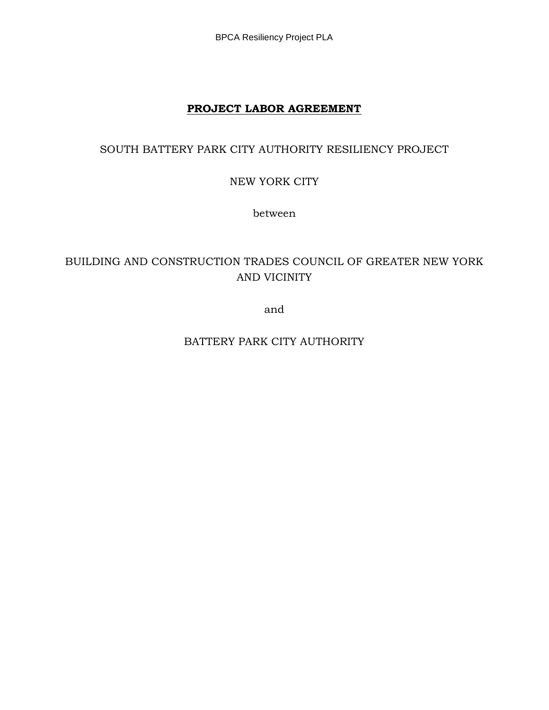BPCA Resiliency Project PLA

# **PROJECT LABOR AGREEMENT**

# SOUTH BATTERY PARK CITY AUTHORITY RESILIENCY PROJECT

# NEW YORK CITY

between

# BUILDING AND CONSTRUCTION TRADES COUNCIL OF GREATER NEW YORK AND VICINITY

and

BATTERY PARK CITY AUTHORITY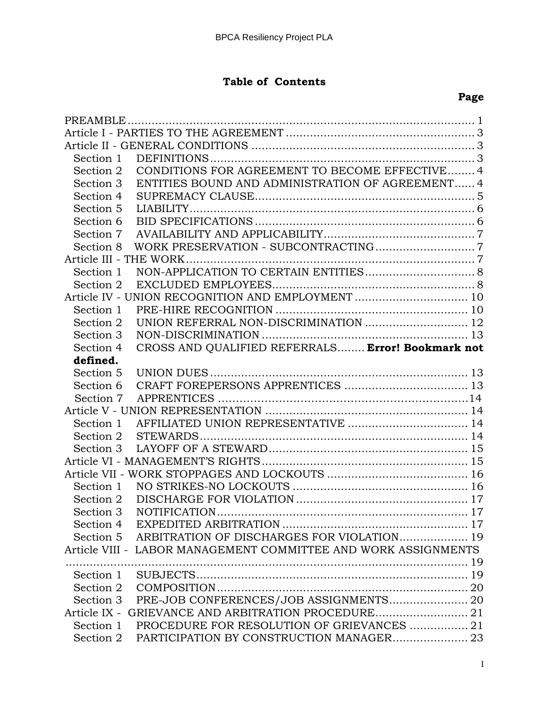# **Table of Contents**

| PREAMBLE  |                                                                |
|-----------|----------------------------------------------------------------|
|           |                                                                |
|           |                                                                |
| Section 1 |                                                                |
| Section 2 | CONDITIONS FOR AGREEMENT TO BECOME EFFECTIVE 4                 |
| Section 3 | ENTITIES BOUND AND ADMINISTRATION OF AGREEMENT 4               |
| Section 4 |                                                                |
| Section 5 |                                                                |
| Section 6 |                                                                |
| Section 7 |                                                                |
| Section 8 |                                                                |
|           |                                                                |
| Section 1 |                                                                |
| Section 2 |                                                                |
|           | Article IV - UNION RECOGNITION AND EMPLOYMENT 10               |
| Section 1 |                                                                |
| Section 2 | UNION REFERRAL NON-DISCRIMINATION  12                          |
| Section 3 |                                                                |
| Section 4 | CROSS AND QUALIFIED REFERRALS Error! Bookmark not              |
| defined.  |                                                                |
| Section 5 |                                                                |
| Section 6 |                                                                |
| Section 7 |                                                                |
|           |                                                                |
| Section 1 |                                                                |
| Section 2 |                                                                |
| Section 3 |                                                                |
|           |                                                                |
|           |                                                                |
| Section 1 |                                                                |
| Section 2 |                                                                |
| Section 3 |                                                                |
| Section 4 |                                                                |
|           | Section 5 ARBITRATION OF DISCHARGES FOR VIOLATION 19           |
|           | Article VIII - LABOR MANAGEMENT COMMITTEE AND WORK ASSIGNMENTS |
|           |                                                                |
| Section 1 |                                                                |
| Section 2 |                                                                |
| Section 3 | PRE-JOB CONFERENCES/JOB ASSIGNMENTS 20                         |
|           | Article IX - GRIEVANCE AND ARBITRATION PROCEDURE 21            |
| Section 1 | PROCEDURE FOR RESOLUTION OF GRIEVANCES  21                     |
| Section 2 | PARTICIPATION BY CONSTRUCTION MANAGER 23                       |
|           |                                                                |

# **Page**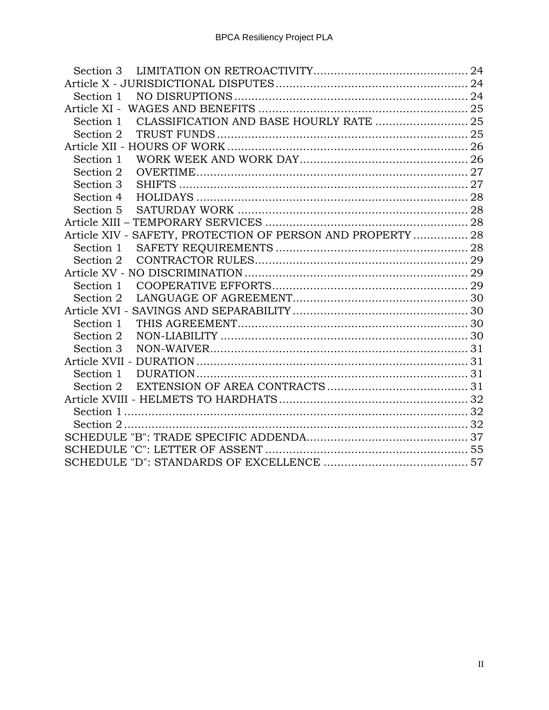| Section 1 CLASSIFICATION AND BASE HOURLY RATE  25           |  |
|-------------------------------------------------------------|--|
|                                                             |  |
|                                                             |  |
|                                                             |  |
| Section 2                                                   |  |
| Section 3                                                   |  |
|                                                             |  |
|                                                             |  |
|                                                             |  |
| Article XIV - SAFETY, PROTECTION OF PERSON AND PROPERTY  28 |  |
|                                                             |  |
| Section 2                                                   |  |
|                                                             |  |
|                                                             |  |
|                                                             |  |
|                                                             |  |
| Section 1                                                   |  |
| Section 2                                                   |  |
|                                                             |  |
|                                                             |  |
|                                                             |  |
|                                                             |  |
|                                                             |  |
|                                                             |  |
|                                                             |  |
|                                                             |  |
|                                                             |  |
|                                                             |  |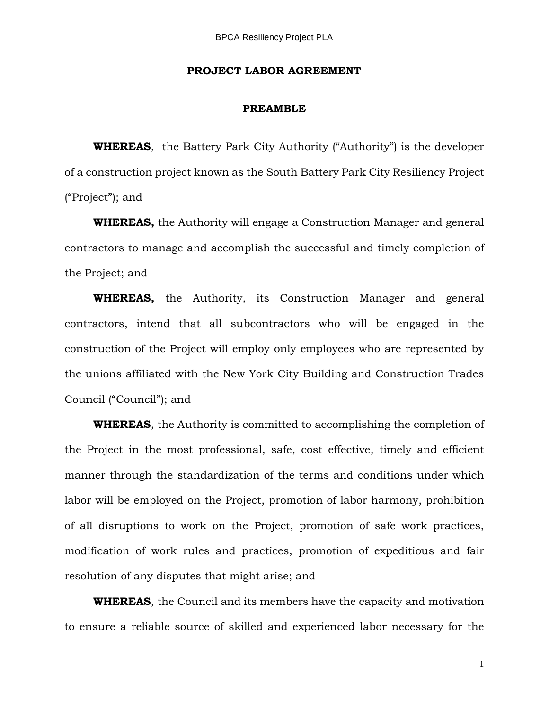### **PROJECT LABOR AGREEMENT**

#### **PREAMBLE**

<span id="page-83-0"></span>**WHEREAS**, the Battery Park City Authority ("Authority") is the developer of a construction project known as the South Battery Park City Resiliency Project ("Project"); and

**WHEREAS,** the Authority will engage a Construction Manager and general contractors to manage and accomplish the successful and timely completion of the Project; and

**WHEREAS,** the Authority, its Construction Manager and general contractors, intend that all subcontractors who will be engaged in the construction of the Project will employ only employees who are represented by the unions affiliated with the New York City Building and Construction Trades Council ("Council"); and

**WHEREAS**, the Authority is committed to accomplishing the completion of the Project in the most professional, safe, cost effective, timely and efficient manner through the standardization of the terms and conditions under which labor will be employed on the Project, promotion of labor harmony, prohibition of all disruptions to work on the Project, promotion of safe work practices, modification of work rules and practices, promotion of expeditious and fair resolution of any disputes that might arise; and

**WHEREAS**, the Council and its members have the capacity and motivation to ensure a reliable source of skilled and experienced labor necessary for the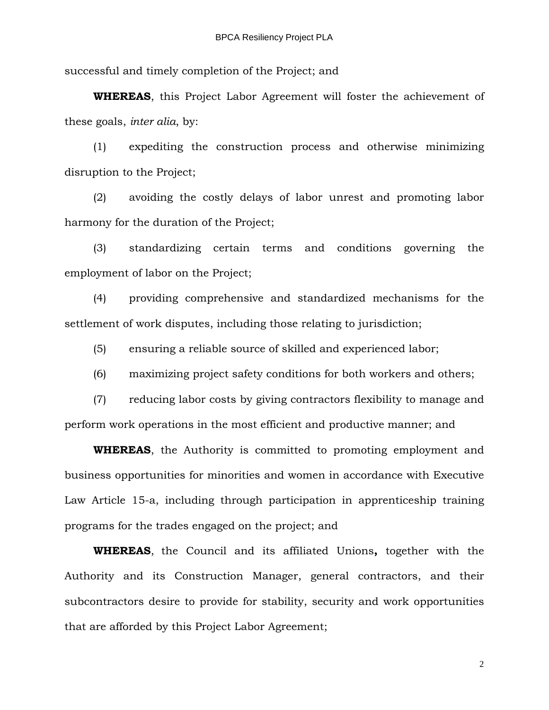successful and timely completion of the Project; and

**WHEREAS**, this Project Labor Agreement will foster the achievement of these goals, *inter alia*, by:

(1) expediting the construction process and otherwise minimizing disruption to the Project;

(2) avoiding the costly delays of labor unrest and promoting labor harmony for the duration of the Project;

(3) standardizing certain terms and conditions governing the employment of labor on the Project;

(4) providing comprehensive and standardized mechanisms for the settlement of work disputes, including those relating to jurisdiction;

(5) ensuring a reliable source of skilled and experienced labor;

(6) maximizing project safety conditions for both workers and others;

(7) reducing labor costs by giving contractors flexibility to manage and perform work operations in the most efficient and productive manner; and

**WHEREAS**, the Authority is committed to promoting employment and business opportunities for minorities and women in accordance with Executive Law Article 15-a, including through participation in apprenticeship training programs for the trades engaged on the project; and

**WHEREAS**, the Council and its affiliated Unions**,** together with the Authority and its Construction Manager, general contractors, and their subcontractors desire to provide for stability, security and work opportunities that are afforded by this Project Labor Agreement;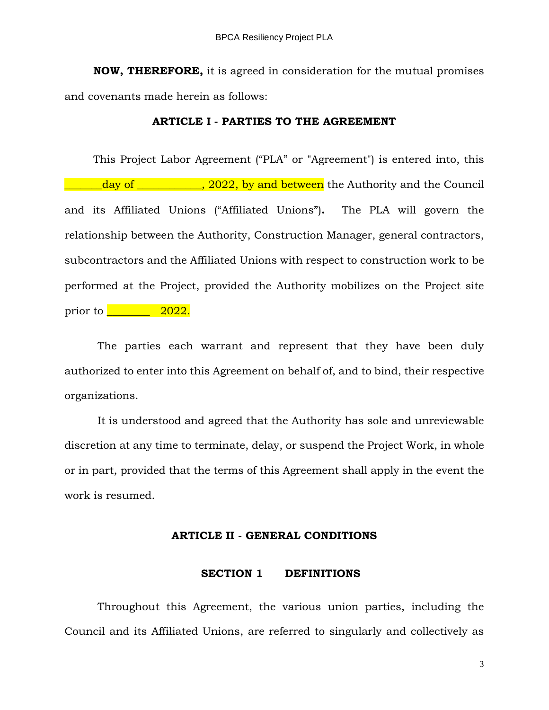**NOW, THEREFORE,** it is agreed in consideration for the mutual promises and covenants made herein as follows:

#### **ARTICLE I - PARTIES TO THE AGREEMENT**

<span id="page-85-0"></span>This Project Labor Agreement ("PLA" or "Agreement") is entered into, this day of \_\_\_\_\_\_\_\_\_\_\_, 2022, by and between the Authority and the Council and its Affiliated Unions ("Affiliated Unions")**.** The PLA will govern the relationship between the Authority, Construction Manager, general contractors, subcontractors and the Affiliated Unions with respect to construction work to be performed at the Project, provided the Authority mobilizes on the Project site prior to  $\qquad \qquad$   $2022$ .

The parties each warrant and represent that they have been duly authorized to enter into this Agreement on behalf of, and to bind, their respective organizations.

It is understood and agreed that the Authority has sole and unreviewable discretion at any time to terminate, delay, or suspend the Project Work, in whole or in part, provided that the terms of this Agreement shall apply in the event the work is resumed.

#### **ARTICLE II - GENERAL CONDITIONS**

#### **SECTION 1 DEFINITIONS**

<span id="page-85-2"></span><span id="page-85-1"></span>Throughout this Agreement, the various union parties, including the Council and its Affiliated Unions, are referred to singularly and collectively as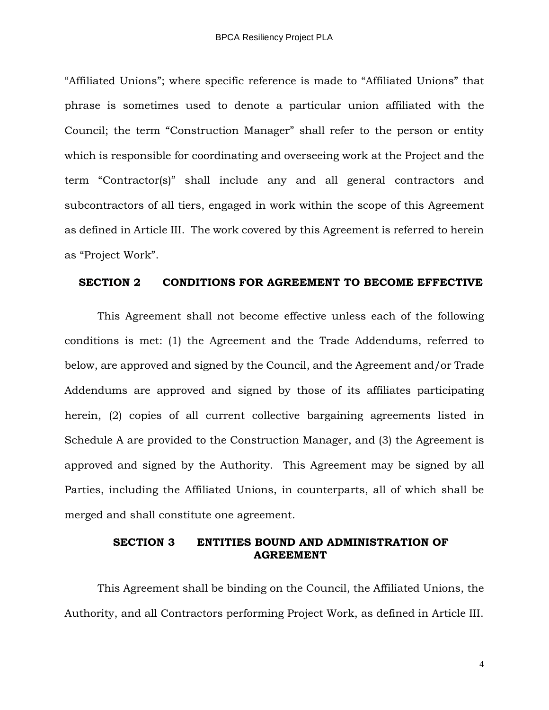"Affiliated Unions"; where specific reference is made to "Affiliated Unions" that phrase is sometimes used to denote a particular union affiliated with the Council; the term "Construction Manager" shall refer to the person or entity which is responsible for coordinating and overseeing work at the Project and the term "Contractor(s)" shall include any and all general contractors and subcontractors of all tiers, engaged in work within the scope of this Agreement as defined in Article III. The work covered by this Agreement is referred to herein as "Project Work".

## <span id="page-86-0"></span>**SECTION 2 CONDITIONS FOR AGREEMENT TO BECOME EFFECTIVE**

This Agreement shall not become effective unless each of the following conditions is met: (1) the Agreement and the Trade Addendums, referred to below, are approved and signed by the Council, and the Agreement and/or Trade Addendums are approved and signed by those of its affiliates participating herein, (2) copies of all current collective bargaining agreements listed in Schedule A are provided to the Construction Manager, and (3) the Agreement is approved and signed by the Authority. This Agreement may be signed by all Parties, including the Affiliated Unions, in counterparts, all of which shall be merged and shall constitute one agreement.

# **SECTION 3 ENTITIES BOUND AND ADMINISTRATION OF AGREEMENT**

<span id="page-86-1"></span>This Agreement shall be binding on the Council, the Affiliated Unions, the Authority, and all Contractors performing Project Work, as defined in Article III.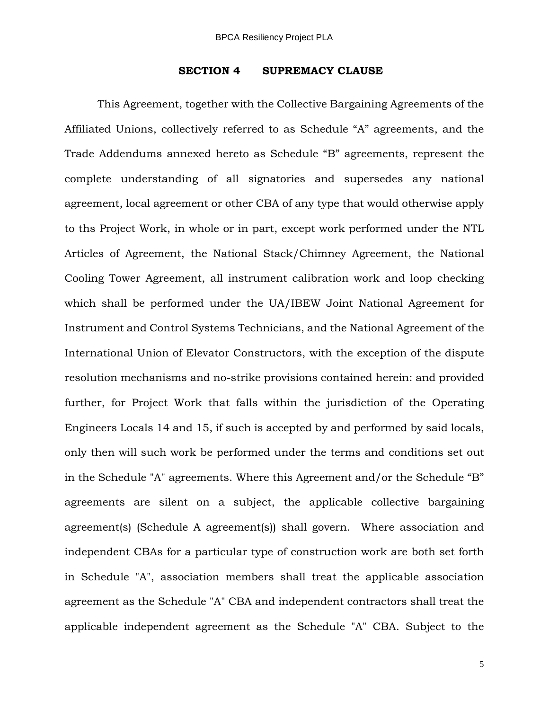### **SECTION 4 SUPREMACY CLAUSE**

<span id="page-87-0"></span>This Agreement, together with the Collective Bargaining Agreements of the Affiliated Unions, collectively referred to as Schedule "A" agreements, and the Trade Addendums annexed hereto as Schedule "B" agreements, represent the complete understanding of all signatories and supersedes any national agreement, local agreement or other CBA of any type that would otherwise apply to ths Project Work, in whole or in part, except work performed under the NTL Articles of Agreement, the National Stack/Chimney Agreement, the National Cooling Tower Agreement, all instrument calibration work and loop checking which shall be performed under the UA/IBEW Joint National Agreement for Instrument and Control Systems Technicians, and the National Agreement of the International Union of Elevator Constructors, with the exception of the dispute resolution mechanisms and no-strike provisions contained herein: and provided further, for Project Work that falls within the jurisdiction of the Operating Engineers Locals 14 and 15, if such is accepted by and performed by said locals, only then will such work be performed under the terms and conditions set out in the Schedule "A" agreements. Where this Agreement and/or the Schedule "B" agreements are silent on a subject, the applicable collective bargaining agreement(s) (Schedule A agreement(s)) shall govern. Where association and independent CBAs for a particular type of construction work are both set forth in Schedule "A", association members shall treat the applicable association agreement as the Schedule "A" CBA and independent contractors shall treat the applicable independent agreement as the Schedule "A" CBA. Subject to the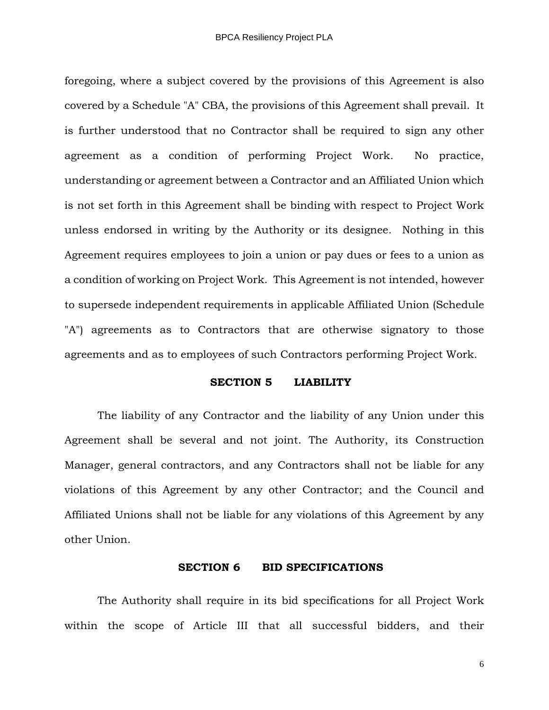foregoing, where a subject covered by the provisions of this Agreement is also covered by a Schedule "A" CBA, the provisions of this Agreement shall prevail. It is further understood that no Contractor shall be required to sign any other agreement as a condition of performing Project Work. No practice, understanding or agreement between a Contractor and an Affiliated Union which is not set forth in this Agreement shall be binding with respect to Project Work unless endorsed in writing by the Authority or its designee. Nothing in this Agreement requires employees to join a union or pay dues or fees to a union as a condition of working on Project Work. This Agreement is not intended, however to supersede independent requirements in applicable Affiliated Union (Schedule "A") agreements as to Contractors that are otherwise signatory to those agreements and as to employees of such Contractors performing Project Work.

### **SECTION 5 LIABILITY**

<span id="page-88-0"></span>The liability of any Contractor and the liability of any Union under this Agreement shall be several and not joint. The Authority, its Construction Manager, general contractors, and any Contractors shall not be liable for any violations of this Agreement by any other Contractor; and the Council and Affiliated Unions shall not be liable for any violations of this Agreement by any other Union.

## **SECTION 6 BID SPECIFICATIONS**

<span id="page-88-1"></span>The Authority shall require in its bid specifications for all Project Work within the scope of Article III that all successful bidders, and their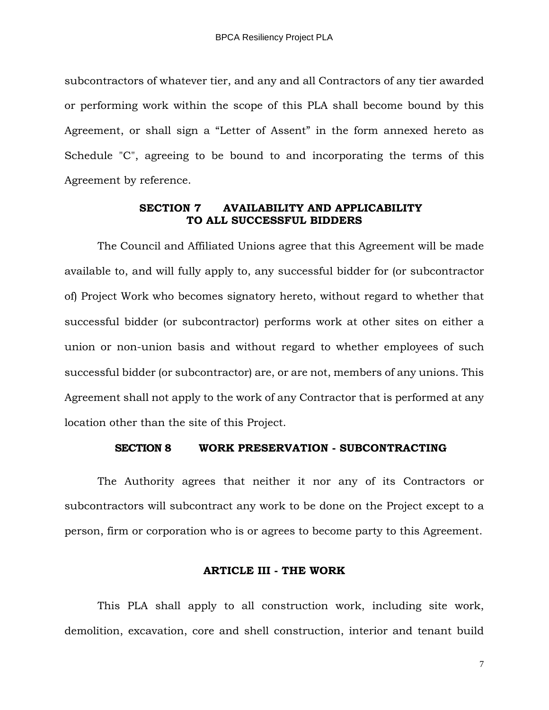subcontractors of whatever tier, and any and all Contractors of any tier awarded or performing work within the scope of this PLA shall become bound by this Agreement, or shall sign a "Letter of Assent" in the form annexed hereto as Schedule "C", agreeing to be bound to and incorporating the terms of this Agreement by reference.

# **SECTION 7 AVAILABILITY AND APPLICABILITY TO ALL SUCCESSFUL BIDDERS**

<span id="page-89-0"></span>The Council and Affiliated Unions agree that this Agreement will be made available to, and will fully apply to, any successful bidder for (or subcontractor of) Project Work who becomes signatory hereto, without regard to whether that successful bidder (or subcontractor) performs work at other sites on either a union or non-union basis and without regard to whether employees of such successful bidder (or subcontractor) are, or are not, members of any unions. This Agreement shall not apply to the work of any Contractor that is performed at any location other than the site of this Project.

#### **SECTION 8 WORK PRESERVATION - SUBCONTRACTING**

<span id="page-89-1"></span>The Authority agrees that neither it nor any of its Contractors or subcontractors will subcontract any work to be done on the Project except to a person, firm or corporation who is or agrees to become party to this Agreement.

#### **ARTICLE III - THE WORK**

<span id="page-89-2"></span>This PLA shall apply to all construction work, including site work, demolition, excavation, core and shell construction, interior and tenant build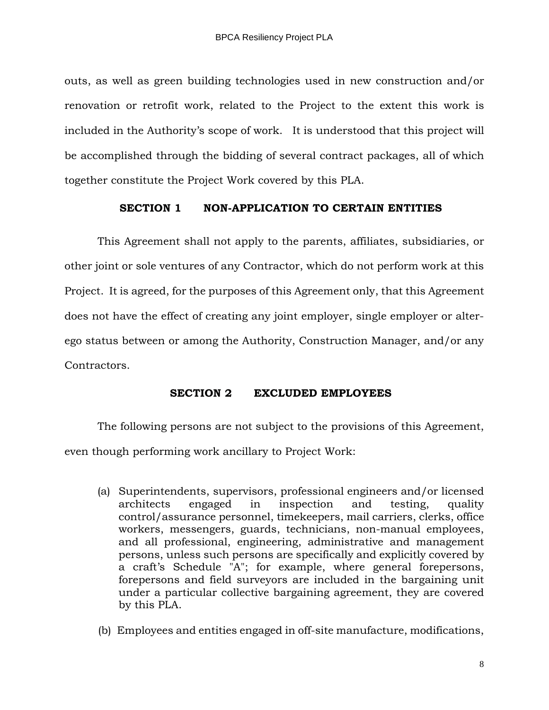outs, as well as green building technologies used in new construction and/or renovation or retrofit work, related to the Project to the extent this work is included in the Authority's scope of work. It is understood that this project will be accomplished through the bidding of several contract packages, all of which together constitute the Project Work covered by this PLA.

# **SECTION 1 NON-APPLICATION TO CERTAIN ENTITIES**

<span id="page-90-0"></span>This Agreement shall not apply to the parents, affiliates, subsidiaries, or other joint or sole ventures of any Contractor, which do not perform work at this Project. It is agreed, for the purposes of this Agreement only, that this Agreement does not have the effect of creating any joint employer, single employer or alterego status between or among the Authority, Construction Manager, and/or any Contractors.

# **SECTION 2 EXCLUDED EMPLOYEES**

<span id="page-90-1"></span>The following persons are not subject to the provisions of this Agreement, even though performing work ancillary to Project Work:

- (a) Superintendents, supervisors, professional engineers and/or licensed architects engaged in inspection and testing, quality control/assurance personnel, timekeepers, mail carriers, clerks, office workers, messengers, guards, technicians, non-manual employees, and all professional, engineering, administrative and management persons, unless such persons are specifically and explicitly covered by a craft's Schedule "A"; for example, where general forepersons, forepersons and field surveyors are included in the bargaining unit under a particular collective bargaining agreement, they are covered by this PLA.
- (b) Employees and entities engaged in off-site manufacture, modifications,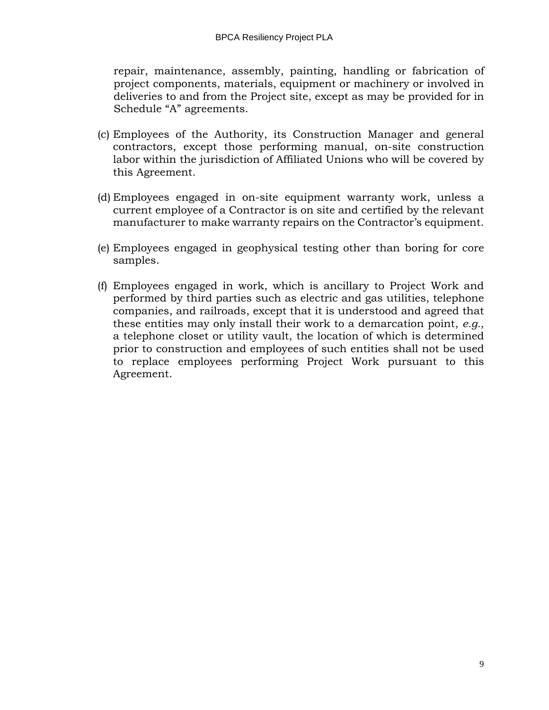repair, maintenance, assembly, painting, handling or fabrication of project components, materials, equipment or machinery or involved in deliveries to and from the Project site, except as may be provided for in Schedule "A" agreements.

- (c) Employees of the Authority, its Construction Manager and general contractors, except those performing manual, on-site construction labor within the jurisdiction of Affiliated Unions who will be covered by this Agreement.
- (d) Employees engaged in on-site equipment warranty work, unless a current employee of a Contractor is on site and certified by the relevant manufacturer to make warranty repairs on the Contractor's equipment.
- (e) Employees engaged in geophysical testing other than boring for core samples.
- (f) Employees engaged in work, which is ancillary to Project Work and performed by third parties such as electric and gas utilities, telephone companies, and railroads, except that it is understood and agreed that these entities may only install their work to a demarcation point, *e.g.*, a telephone closet or utility vault, the location of which is determined prior to construction and employees of such entities shall not be used to replace employees performing Project Work pursuant to this Agreement.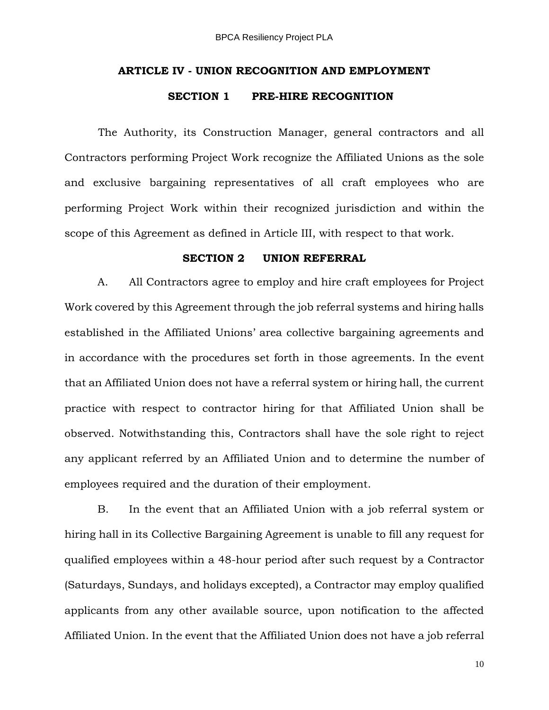# <span id="page-92-0"></span>**ARTICLE IV - UNION RECOGNITION AND EMPLOYMENT SECTION 1 PRE-HIRE RECOGNITION**

<span id="page-92-1"></span>The Authority, its Construction Manager, general contractors and all Contractors performing Project Work recognize the Affiliated Unions as the sole and exclusive bargaining representatives of all craft employees who are performing Project Work within their recognized jurisdiction and within the scope of this Agreement as defined in Article III, with respect to that work.

## **SECTION 2 UNION REFERRAL**

A. All Contractors agree to employ and hire craft employees for Project Work covered by this Agreement through the job referral systems and hiring halls established in the Affiliated Unions' area collective bargaining agreements and in accordance with the procedures set forth in those agreements. In the event that an Affiliated Union does not have a referral system or hiring hall, the current practice with respect to contractor hiring for that Affiliated Union shall be observed. Notwithstanding this, Contractors shall have the sole right to reject any applicant referred by an Affiliated Union and to determine the number of employees required and the duration of their employment.

B. In the event that an Affiliated Union with a job referral system or hiring hall in its Collective Bargaining Agreement is unable to fill any request for qualified employees within a 48-hour period after such request by a Contractor (Saturdays, Sundays, and holidays excepted), a Contractor may employ qualified applicants from any other available source, upon notification to the affected Affiliated Union. In the event that the Affiliated Union does not have a job referral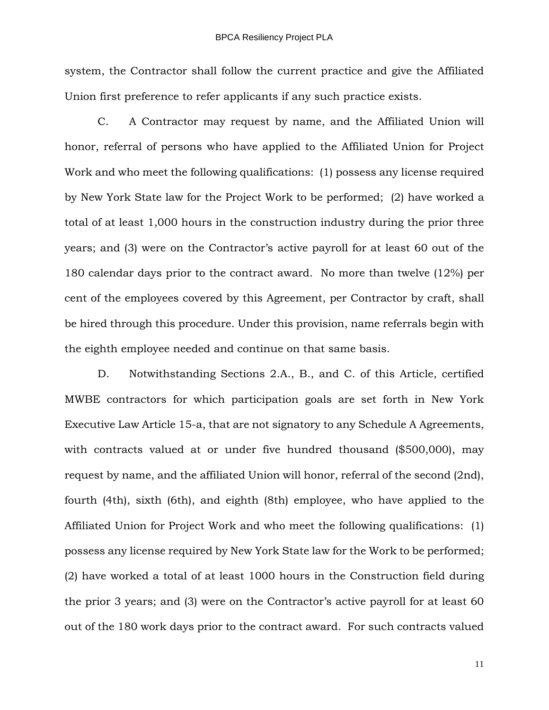system, the Contractor shall follow the current practice and give the Affiliated Union first preference to refer applicants if any such practice exists.

C. A Contractor may request by name, and the Affiliated Union will honor, referral of persons who have applied to the Affiliated Union for Project Work and who meet the following qualifications: (1) possess any license required by New York State law for the Project Work to be performed; (2) have worked a total of at least 1,000 hours in the construction industry during the prior three years; and (3) were on the Contractor's active payroll for at least 60 out of the 180 calendar days prior to the contract award. No more than twelve (12%) per cent of the employees covered by this Agreement, per Contractor by craft, shall be hired through this procedure. Under this provision, name referrals begin with the eighth employee needed and continue on that same basis.

D. Notwithstanding Sections 2.A., B., and C. of this Article, certified MWBE contractors for which participation goals are set forth in New York Executive Law Article 15-a, that are not signatory to any Schedule A Agreements, with contracts valued at or under five hundred thousand (\$500,000), may request by name, and the affiliated Union will honor, referral of the second (2nd), fourth (4th), sixth (6th), and eighth (8th) employee, who have applied to the Affiliated Union for Project Work and who meet the following qualifications: (1) possess any license required by New York State law for the Work to be performed; (2) have worked a total of at least 1000 hours in the Construction field during the prior 3 years; and (3) were on the Contractor's active payroll for at least 60 out of the 180 work days prior to the contract award. For such contracts valued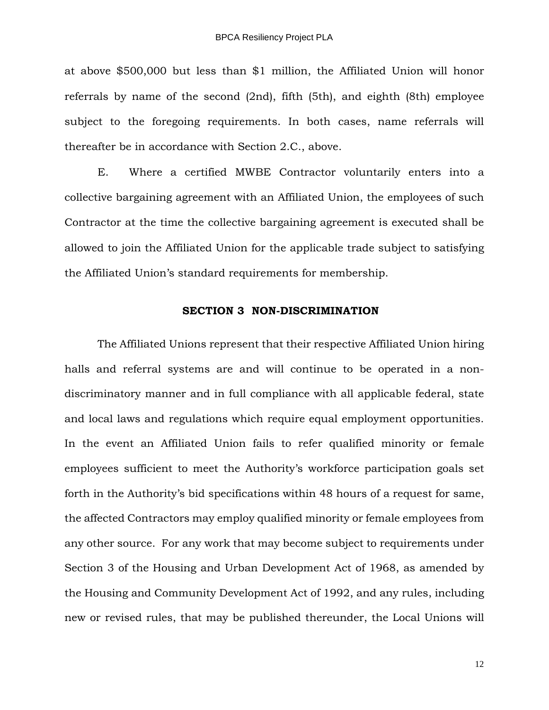at above \$500,000 but less than \$1 million, the Affiliated Union will honor referrals by name of the second (2nd), fifth (5th), and eighth (8th) employee subject to the foregoing requirements. In both cases, name referrals will thereafter be in accordance with Section 2.C., above.

E. Where a certified MWBE Contractor voluntarily enters into a collective bargaining agreement with an Affiliated Union, the employees of such Contractor at the time the collective bargaining agreement is executed shall be allowed to join the Affiliated Union for the applicable trade subject to satisfying the Affiliated Union's standard requirements for membership.

## **SECTION 3 NON-DISCRIMINATION**

<span id="page-94-0"></span>The Affiliated Unions represent that their respective Affiliated Union hiring halls and referral systems are and will continue to be operated in a nondiscriminatory manner and in full compliance with all applicable federal, state and local laws and regulations which require equal employment opportunities. In the event an Affiliated Union fails to refer qualified minority or female employees sufficient to meet the Authority's workforce participation goals set forth in the Authority's bid specifications within 48 hours of a request for same, the affected Contractors may employ qualified minority or female employees from any other source. For any work that may become subject to requirements under Section 3 of the Housing and Urban Development Act of 1968, as amended by the Housing and Community Development Act of 1992, and any rules, including new or revised rules, that may be published thereunder, the Local Unions will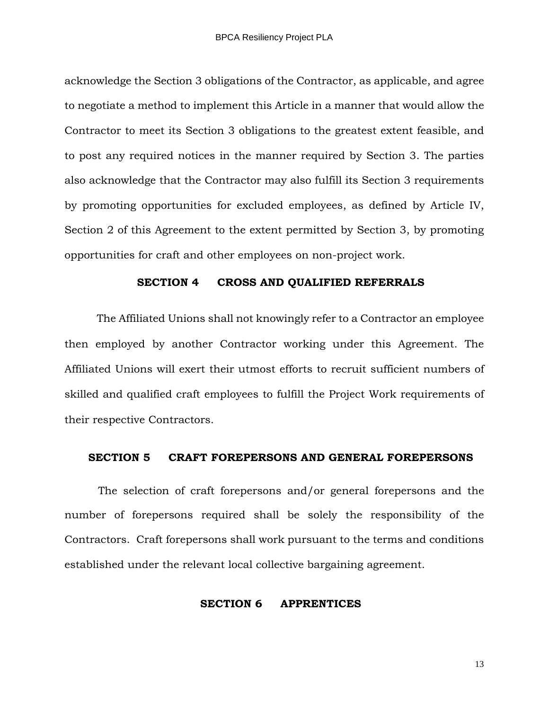acknowledge the Section 3 obligations of the Contractor, as applicable, and agree to negotiate a method to implement this Article in a manner that would allow the Contractor to meet its Section 3 obligations to the greatest extent feasible, and to post any required notices in the manner required by Section 3. The parties also acknowledge that the Contractor may also fulfill its Section 3 requirements by promoting opportunities for excluded employees, as defined by Article IV, Section 2 of this Agreement to the extent permitted by Section 3, by promoting opportunities for craft and other employees on non-project work.

## **SECTION 4 CROSS AND QUALIFIED REFERRALS**

<span id="page-95-0"></span>The Affiliated Unions shall not knowingly refer to a Contractor an employee then employed by another Contractor working under this Agreement. The Affiliated Unions will exert their utmost efforts to recruit sufficient numbers of skilled and qualified craft employees to fulfill the Project Work requirements of their respective Contractors.

#### <span id="page-95-1"></span>**SECTION 5 CRAFT FOREPERSONS AND GENERAL FOREPERSONS**

<span id="page-95-2"></span>The selection of craft forepersons and/or general forepersons and the number of forepersons required shall be solely the responsibility of the Contractors. Craft forepersons shall work pursuant to the terms and conditions established under the relevant local collective bargaining agreement.

#### **SECTION 6 APPRENTICES**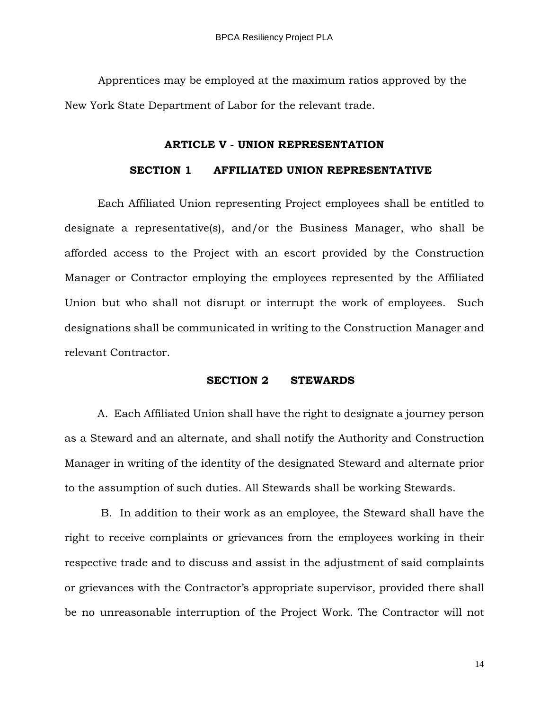Apprentices may be employed at the maximum ratios approved by the New York State Department of Labor for the relevant trade.

# **ARTICLE V - UNION REPRESENTATION SECTION 1 AFFILIATED UNION REPRESENTATIVE**

<span id="page-96-1"></span><span id="page-96-0"></span>Each Affiliated Union representing Project employees shall be entitled to designate a representative(s), and/or the Business Manager, who shall be afforded access to the Project with an escort provided by the Construction Manager or Contractor employing the employees represented by the Affiliated Union but who shall not disrupt or interrupt the work of employees. Such designations shall be communicated in writing to the Construction Manager and relevant Contractor.

### **SECTION 2 STEWARDS**

<span id="page-96-2"></span>A. Each Affiliated Union shall have the right to designate a journey person as a Steward and an alternate, and shall notify the Authority and Construction Manager in writing of the identity of the designated Steward and alternate prior to the assumption of such duties. All Stewards shall be working Stewards.

B. In addition to their work as an employee, the Steward shall have the right to receive complaints or grievances from the employees working in their respective trade and to discuss and assist in the adjustment of said complaints or grievances with the Contractor's appropriate supervisor, provided there shall be no unreasonable interruption of the Project Work. The Contractor will not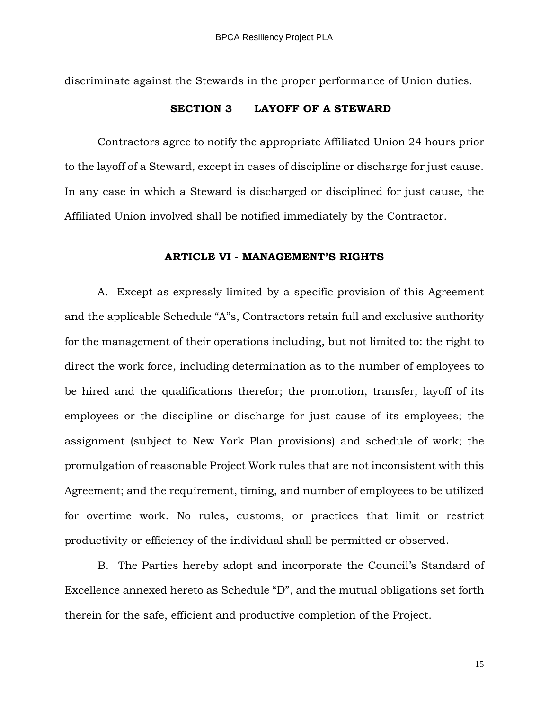<span id="page-97-0"></span>discriminate against the Stewards in the proper performance of Union duties.

# **SECTION 3 LAYOFF OF A STEWARD**

Contractors agree to notify the appropriate Affiliated Union 24 hours prior to the layoff of a Steward, except in cases of discipline or discharge for just cause. In any case in which a Steward is discharged or disciplined for just cause, the Affiliated Union involved shall be notified immediately by the Contractor.

### **ARTICLE VI - MANAGEMENT'S RIGHTS**

<span id="page-97-1"></span>A. Except as expressly limited by a specific provision of this Agreement and the applicable Schedule "A"s, Contractors retain full and exclusive authority for the management of their operations including, but not limited to: the right to direct the work force, including determination as to the number of employees to be hired and the qualifications therefor; the promotion, transfer, layoff of its employees or the discipline or discharge for just cause of its employees; the assignment (subject to New York Plan provisions) and schedule of work; the promulgation of reasonable Project Work rules that are not inconsistent with this Agreement; and the requirement, timing, and number of employees to be utilized for overtime work. No rules, customs, or practices that limit or restrict productivity or efficiency of the individual shall be permitted or observed.

B. The Parties hereby adopt and incorporate the Council's Standard of Excellence annexed hereto as Schedule "D", and the mutual obligations set forth therein for the safe, efficient and productive completion of the Project.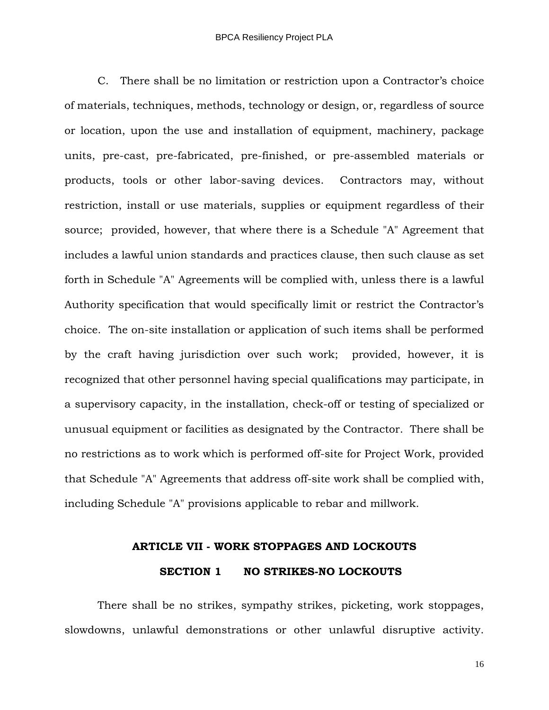C. There shall be no limitation or restriction upon a Contractor's choice of materials, techniques, methods, technology or design, or, regardless of source or location, upon the use and installation of equipment, machinery, package units, pre-cast, pre-fabricated, pre-finished, or pre-assembled materials or products, tools or other labor-saving devices. Contractors may, without restriction, install or use materials, supplies or equipment regardless of their source; provided, however, that where there is a Schedule "A" Agreement that includes a lawful union standards and practices clause, then such clause as set forth in Schedule "A" Agreements will be complied with, unless there is a lawful Authority specification that would specifically limit or restrict the Contractor's choice. The on-site installation or application of such items shall be performed by the craft having jurisdiction over such work; provided, however, it is recognized that other personnel having special qualifications may participate, in a supervisory capacity, in the installation, check-off or testing of specialized or unusual equipment or facilities as designated by the Contractor. There shall be no restrictions as to work which is performed off-site for Project Work, provided that Schedule "A" Agreements that address off-site work shall be complied with, including Schedule "A" provisions applicable to rebar and millwork.

# **ARTICLE VII - WORK STOPPAGES AND LOCKOUTS SECTION 1 NO STRIKES-NO LOCKOUTS**

<span id="page-98-1"></span><span id="page-98-0"></span>There shall be no strikes, sympathy strikes, picketing, work stoppages, slowdowns, unlawful demonstrations or other unlawful disruptive activity.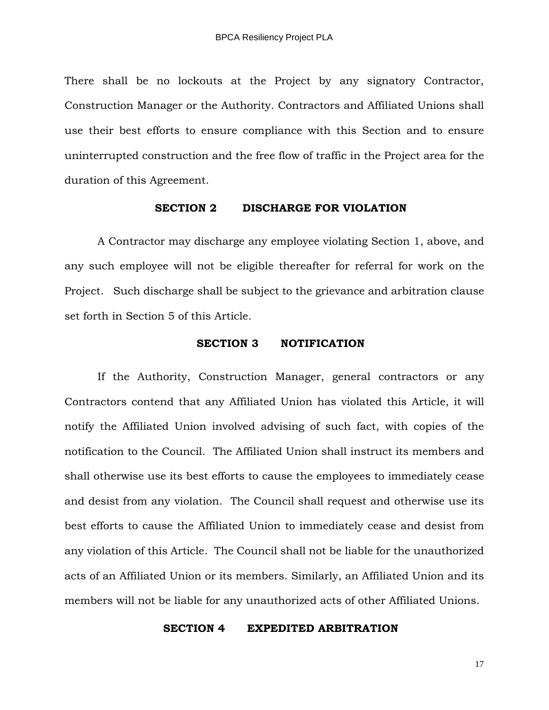There shall be no lockouts at the Project by any signatory Contractor, Construction Manager or the Authority. Contractors and Affiliated Unions shall use their best efforts to ensure compliance with this Section and to ensure uninterrupted construction and the free flow of traffic in the Project area for the duration of this Agreement.

### **SECTION 2 DISCHARGE FOR VIOLATION**

<span id="page-99-0"></span>A Contractor may discharge any employee violating Section 1, above, and any such employee will not be eligible thereafter for referral for work on the Project. Such discharge shall be subject to the grievance and arbitration clause set forth in Section 5 of this Article.

#### **SECTION 3 NOTIFICATION**

<span id="page-99-1"></span>If the Authority, Construction Manager, general contractors or any Contractors contend that any Affiliated Union has violated this Article, it will notify the Affiliated Union involved advising of such fact, with copies of the notification to the Council. The Affiliated Union shall instruct its members and shall otherwise use its best efforts to cause the employees to immediately cease and desist from any violation. The Council shall request and otherwise use its best efforts to cause the Affiliated Union to immediately cease and desist from any violation of this Article. The Council shall not be liable for the unauthorized acts of an Affiliated Union or its members. Similarly, an Affiliated Union and its members will not be liable for any unauthorized acts of other Affiliated Unions.

## <span id="page-99-2"></span>**SECTION 4 EXPEDITED ARBITRATION**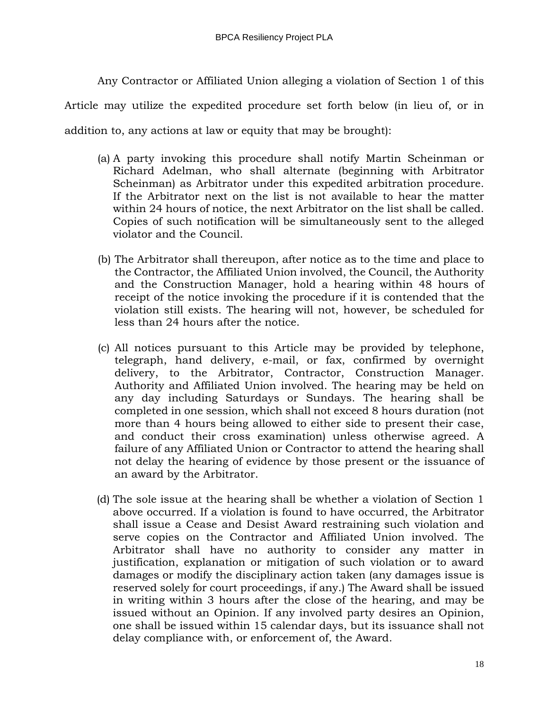Any Contractor or Affiliated Union alleging a violation of Section 1 of this Article may utilize the expedited procedure set forth below (in lieu of, or in addition to, any actions at law or equity that may be brought):

- (a) A party invoking this procedure shall notify Martin Scheinman or Richard Adelman, who shall alternate (beginning with Arbitrator Scheinman) as Arbitrator under this expedited arbitration procedure. If the Arbitrator next on the list is not available to hear the matter within 24 hours of notice, the next Arbitrator on the list shall be called. Copies of such notification will be simultaneously sent to the alleged violator and the Council.
- (b) The Arbitrator shall thereupon, after notice as to the time and place to the Contractor, the Affiliated Union involved, the Council, the Authority and the Construction Manager, hold a hearing within 48 hours of receipt of the notice invoking the procedure if it is contended that the violation still exists. The hearing will not, however, be scheduled for less than 24 hours after the notice.
- (c) All notices pursuant to this Article may be provided by telephone, telegraph, hand delivery, e-mail, or fax, confirmed by overnight delivery, to the Arbitrator, Contractor, Construction Manager. Authority and Affiliated Union involved. The hearing may be held on any day including Saturdays or Sundays. The hearing shall be completed in one session, which shall not exceed 8 hours duration (not more than 4 hours being allowed to either side to present their case, and conduct their cross examination) unless otherwise agreed. A failure of any Affiliated Union or Contractor to attend the hearing shall not delay the hearing of evidence by those present or the issuance of an award by the Arbitrator.
- (d) The sole issue at the hearing shall be whether a violation of Section 1 above occurred. If a violation is found to have occurred, the Arbitrator shall issue a Cease and Desist Award restraining such violation and serve copies on the Contractor and Affiliated Union involved. The Arbitrator shall have no authority to consider any matter in justification, explanation or mitigation of such violation or to award damages or modify the disciplinary action taken (any damages issue is reserved solely for court proceedings, if any.) The Award shall be issued in writing within 3 hours after the close of the hearing, and may be issued without an Opinion. If any involved party desires an Opinion, one shall be issued within 15 calendar days, but its issuance shall not delay compliance with, or enforcement of, the Award.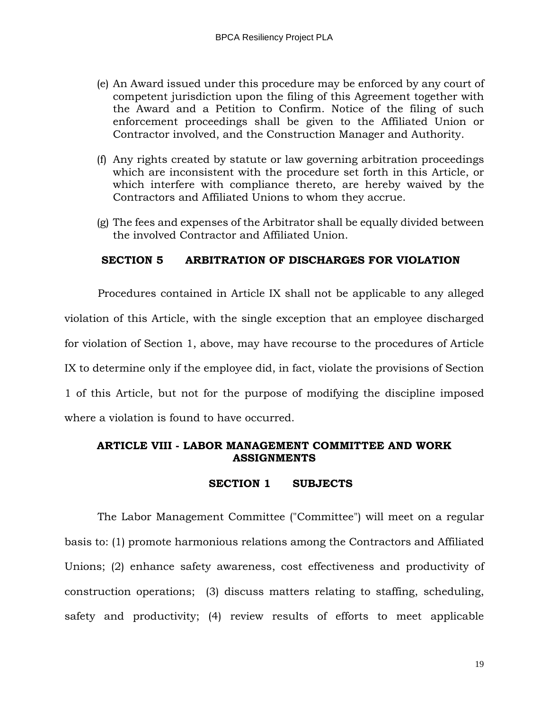- (e) An Award issued under this procedure may be enforced by any court of competent jurisdiction upon the filing of this Agreement together with the Award and a Petition to Confirm. Notice of the filing of such enforcement proceedings shall be given to the Affiliated Union or Contractor involved, and the Construction Manager and Authority.
- (f) Any rights created by statute or law governing arbitration proceedings which are inconsistent with the procedure set forth in this Article, or which interfere with compliance thereto, are hereby waived by the Contractors and Affiliated Unions to whom they accrue.
- (g) The fees and expenses of the Arbitrator shall be equally divided between the involved Contractor and Affiliated Union.

# **SECTION 5 ARBITRATION OF DISCHARGES FOR VIOLATION**

<span id="page-101-0"></span>Procedures contained in Article IX shall not be applicable to any alleged violation of this Article, with the single exception that an employee discharged for violation of Section 1, above, may have recourse to the procedures of Article IX to determine only if the employee did, in fact, violate the provisions of Section 1 of this Article, but not for the purpose of modifying the discipline imposed where a violation is found to have occurred.

# <span id="page-101-1"></span>**ARTICLE VIII - LABOR MANAGEMENT COMMITTEE AND WORK ASSIGNMENTS**

## **SECTION 1 SUBJECTS**

<span id="page-101-2"></span>The Labor Management Committee ("Committee") will meet on a regular basis to: (1) promote harmonious relations among the Contractors and Affiliated Unions; (2) enhance safety awareness, cost effectiveness and productivity of construction operations; (3) discuss matters relating to staffing, scheduling, safety and productivity; (4) review results of efforts to meet applicable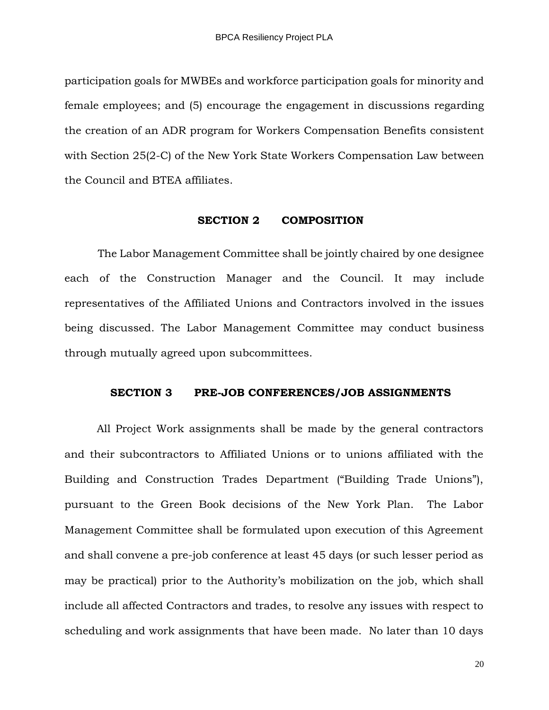participation goals for MWBEs and workforce participation goals for minority and female employees; and (5) encourage the engagement in discussions regarding the creation of an ADR program for Workers Compensation Benefits consistent with Section 25(2-C) of the New York State Workers Compensation Law between the Council and BTEA affiliates.

#### **SECTION 2 COMPOSITION**

<span id="page-102-0"></span>The Labor Management Committee shall be jointly chaired by one designee each of the Construction Manager and the Council. It may include representatives of the Affiliated Unions and Contractors involved in the issues being discussed. The Labor Management Committee may conduct business through mutually agreed upon subcommittees.

#### **SECTION 3 PRE-JOB CONFERENCES/JOB ASSIGNMENTS**

<span id="page-102-1"></span>All Project Work assignments shall be made by the general contractors and their subcontractors to Affiliated Unions or to unions affiliated with the Building and Construction Trades Department ("Building Trade Unions"), pursuant to the Green Book decisions of the New York Plan. The Labor Management Committee shall be formulated upon execution of this Agreement and shall convene a pre-job conference at least 45 days (or such lesser period as may be practical) prior to the Authority's mobilization on the job, which shall include all affected Contractors and trades, to resolve any issues with respect to scheduling and work assignments that have been made. No later than 10 days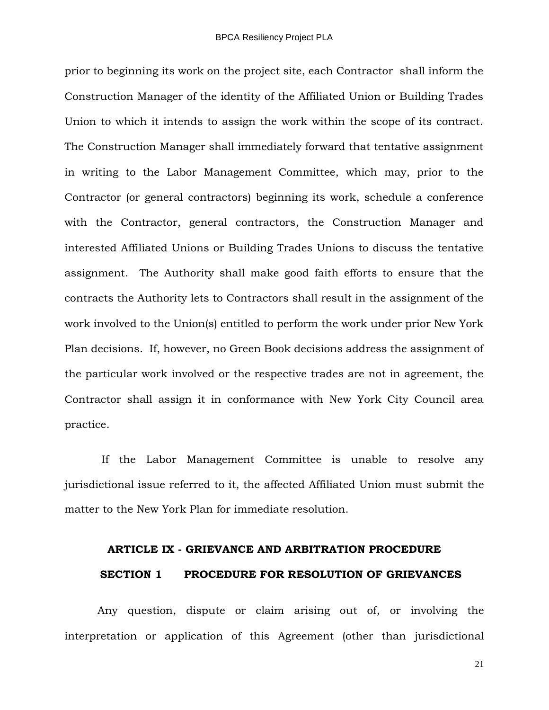prior to beginning its work on the project site, each Contractor shall inform the Construction Manager of the identity of the Affiliated Union or Building Trades Union to which it intends to assign the work within the scope of its contract. The Construction Manager shall immediately forward that tentative assignment in writing to the Labor Management Committee, which may, prior to the Contractor (or general contractors) beginning its work, schedule a conference with the Contractor, general contractors, the Construction Manager and interested Affiliated Unions or Building Trades Unions to discuss the tentative assignment. The Authority shall make good faith efforts to ensure that the contracts the Authority lets to Contractors shall result in the assignment of the work involved to the Union(s) entitled to perform the work under prior New York Plan decisions. If, however, no Green Book decisions address the assignment of the particular work involved or the respective trades are not in agreement, the Contractor shall assign it in conformance with New York City Council area practice.

If the Labor Management Committee is unable to resolve any jurisdictional issue referred to it, the affected Affiliated Union must submit the matter to the New York Plan for immediate resolution.

# <span id="page-103-0"></span>**ARTICLE IX - GRIEVANCE AND ARBITRATION PROCEDURE SECTION 1 PROCEDURE FOR RESOLUTION OF GRIEVANCES**

<span id="page-103-1"></span>Any question, dispute or claim arising out of, or involving the interpretation or application of this Agreement (other than jurisdictional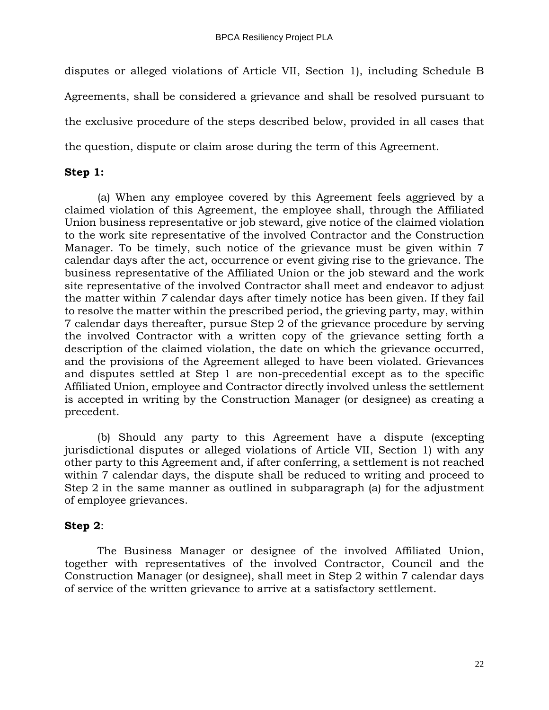disputes or alleged violations of Article VII, Section 1), including Schedule B Agreements, shall be considered a grievance and shall be resolved pursuant to the exclusive procedure of the steps described below, provided in all cases that the question, dispute or claim arose during the term of this Agreement.

# **Step 1:**

(a) When any employee covered by this Agreement feels aggrieved by a claimed violation of this Agreement, the employee shall, through the Affiliated Union business representative or job steward, give notice of the claimed violation to the work site representative of the involved Contractor and the Construction Manager. To be timely, such notice of the grievance must be given within 7 calendar days after the act, occurrence or event giving rise to the grievance. The business representative of the Affiliated Union or the job steward and the work site representative of the involved Contractor shall meet and endeavor to adjust the matter within *7* calendar days after timely notice has been given. If they fail to resolve the matter within the prescribed period, the grieving party, may, within 7 calendar days thereafter, pursue Step 2 of the grievance procedure by serving the involved Contractor with a written copy of the grievance setting forth a description of the claimed violation, the date on which the grievance occurred, and the provisions of the Agreement alleged to have been violated. Grievances and disputes settled at Step 1 are non-precedential except as to the specific Affiliated Union, employee and Contractor directly involved unless the settlement is accepted in writing by the Construction Manager (or designee) as creating a precedent.

(b) Should any party to this Agreement have a dispute (excepting jurisdictional disputes or alleged violations of Article VII, Section 1) with any other party to this Agreement and, if after conferring, a settlement is not reached within 7 calendar days, the dispute shall be reduced to writing and proceed to Step 2 in the same manner as outlined in subparagraph (a) for the adjustment of employee grievances.

# **Step 2**:

The Business Manager or designee of the involved Affiliated Union, together with representatives of the involved Contractor, Council and the Construction Manager (or designee), shall meet in Step 2 within 7 calendar days of service of the written grievance to arrive at a satisfactory settlement.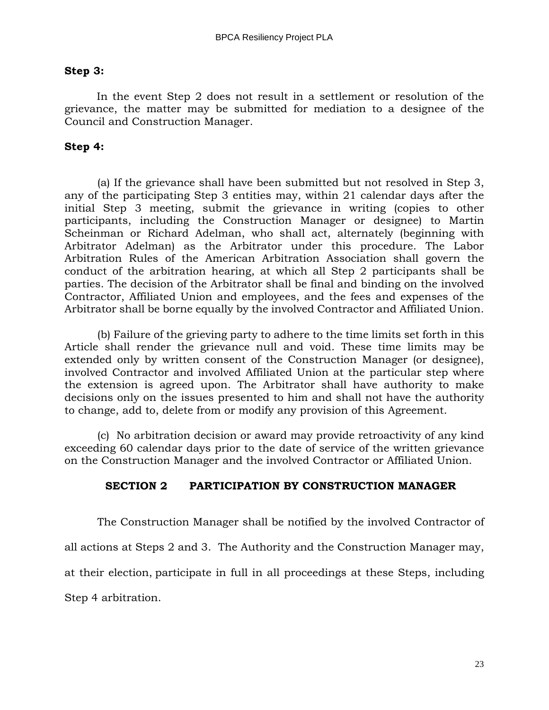## **Step 3:**

In the event Step 2 does not result in a settlement or resolution of the grievance, the matter may be submitted for mediation to a designee of the Council and Construction Manager.

# **Step 4:**

(a) If the grievance shall have been submitted but not resolved in Step 3, any of the participating Step 3 entities may, within 21 calendar days after the initial Step 3 meeting, submit the grievance in writing (copies to other participants, including the Construction Manager or designee) to Martin Scheinman or Richard Adelman, who shall act, alternately (beginning with Arbitrator Adelman) as the Arbitrator under this procedure. The Labor Arbitration Rules of the American Arbitration Association shall govern the conduct of the arbitration hearing, at which all Step 2 participants shall be parties. The decision of the Arbitrator shall be final and binding on the involved Contractor, Affiliated Union and employees, and the fees and expenses of the Arbitrator shall be borne equally by the involved Contractor and Affiliated Union.

(b) Failure of the grieving party to adhere to the time limits set forth in this Article shall render the grievance null and void. These time limits may be extended only by written consent of the Construction Manager (or designee), involved Contractor and involved Affiliated Union at the particular step where the extension is agreed upon. The Arbitrator shall have authority to make decisions only on the issues presented to him and shall not have the authority to change, add to, delete from or modify any provision of this Agreement.

(c) No arbitration decision or award may provide retroactivity of any kind exceeding 60 calendar days prior to the date of service of the written grievance on the Construction Manager and the involved Contractor or Affiliated Union.

# **SECTION 2 PARTICIPATION BY CONSTRUCTION MANAGER**

<span id="page-105-1"></span><span id="page-105-0"></span>The Construction Manager shall be notified by the involved Contractor of all actions at Steps 2 and 3. The Authority and the Construction Manager may, at their election, participate in full in all proceedings at these Steps, including Step 4 arbitration.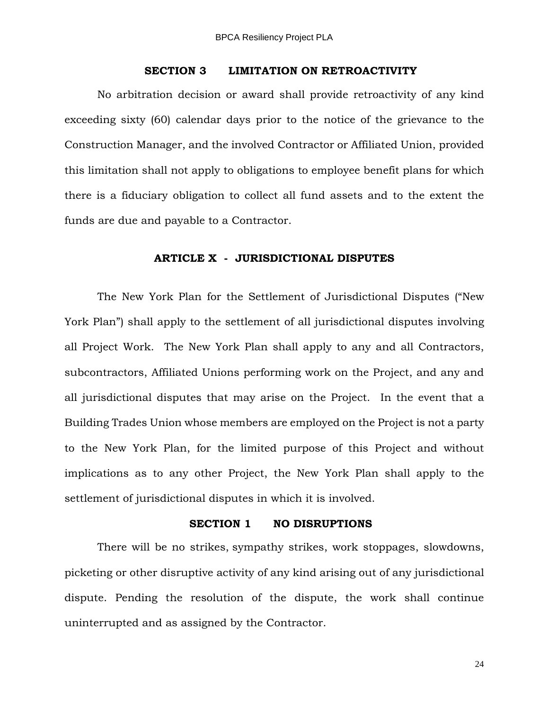## **SECTION 3 LIMITATION ON RETROACTIVITY**

No arbitration decision or award shall provide retroactivity of any kind exceeding sixty (60) calendar days prior to the notice of the grievance to the Construction Manager, and the involved Contractor or Affiliated Union, provided this limitation shall not apply to obligations to employee benefit plans for which there is a fiduciary obligation to collect all fund assets and to the extent the funds are due and payable to a Contractor.

#### **ARTICLE X - JURISDICTIONAL DISPUTES**

<span id="page-106-0"></span>The New York Plan for the Settlement of Jurisdictional Disputes ("New York Plan") shall apply to the settlement of all jurisdictional disputes involving all Project Work. The New York Plan shall apply to any and all Contractors, subcontractors, Affiliated Unions performing work on the Project, and any and all jurisdictional disputes that may arise on the Project. In the event that a Building Trades Union whose members are employed on the Project is not a party to the New York Plan, for the limited purpose of this Project and without implications as to any other Project, the New York Plan shall apply to the settlement of jurisdictional disputes in which it is involved.

### **SECTION 1 NO DISRUPTIONS**

<span id="page-106-1"></span>There will be no strikes, sympathy strikes, work stoppages, slowdowns, picketing or other disruptive activity of any kind arising out of any jurisdictional dispute. Pending the resolution of the dispute, the work shall continue uninterrupted and as assigned by the Contractor.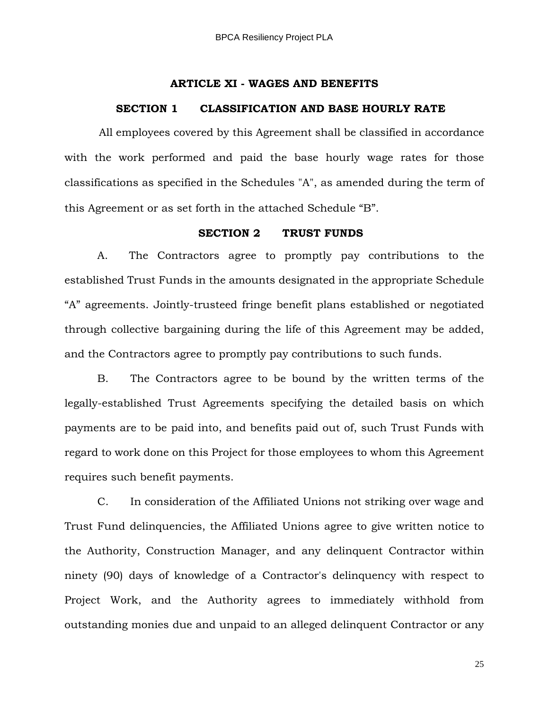### **ARTICLE XI - WAGES AND BENEFITS**

# **SECTION 1 CLASSIFICATION AND BASE HOURLY RATE**

<span id="page-107-1"></span><span id="page-107-0"></span> All employees covered by this Agreement shall be classified in accordance with the work performed and paid the base hourly wage rates for those classifications as specified in the Schedules "A", as amended during the term of this Agreement or as set forth in the attached Schedule "B".

#### **SECTION 2 TRUST FUNDS**

<span id="page-107-2"></span>A. The Contractors agree to promptly pay contributions to the established Trust Funds in the amounts designated in the appropriate Schedule "A" agreements. Jointly-trusteed fringe benefit plans established or negotiated through collective bargaining during the life of this Agreement may be added, and the Contractors agree to promptly pay contributions to such funds.

B. The Contractors agree to be bound by the written terms of the legally-established Trust Agreements specifying the detailed basis on which payments are to be paid into, and benefits paid out of, such Trust Funds with regard to work done on this Project for those employees to whom this Agreement requires such benefit payments.

C. In consideration of the Affiliated Unions not striking over wage and Trust Fund delinquencies, the Affiliated Unions agree to give written notice to the Authority, Construction Manager, and any delinquent Contractor within ninety (90) days of knowledge of a Contractor's delinquency with respect to Project Work, and the Authority agrees to immediately withhold from outstanding monies due and unpaid to an alleged delinquent Contractor or any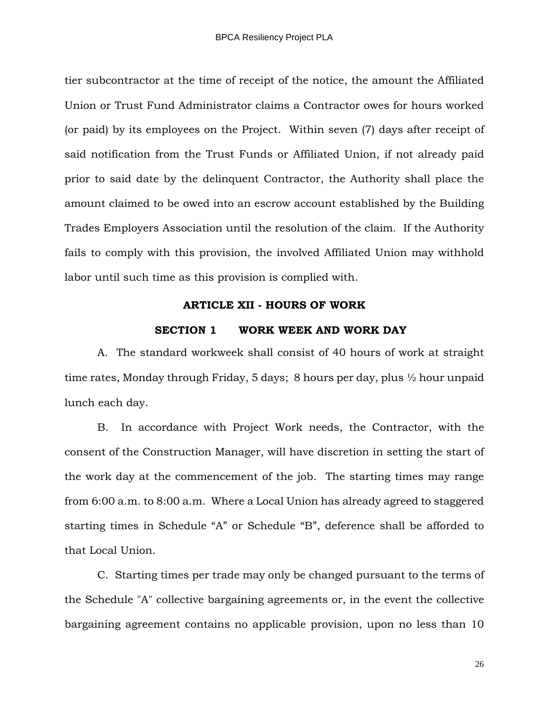tier subcontractor at the time of receipt of the notice, the amount the Affiliated Union or Trust Fund Administrator claims a Contractor owes for hours worked (or paid) by its employees on the Project. Within seven (7) days after receipt of said notification from the Trust Funds or Affiliated Union, if not already paid prior to said date by the delinquent Contractor, the Authority shall place the amount claimed to be owed into an escrow account established by the Building Trades Employers Association until the resolution of the claim. If the Authority fails to comply with this provision, the involved Affiliated Union may withhold labor until such time as this provision is complied with.

#### **ARTICLE XII - HOURS OF WORK**

#### **SECTION 1 WORK WEEK AND WORK DAY**

A. The standard workweek shall consist of 40 hours of work at straight time rates, Monday through Friday, 5 days; 8 hours per day, plus ½ hour unpaid lunch each day.

B. In accordance with Project Work needs, the Contractor, with the consent of the Construction Manager, will have discretion in setting the start of the work day at the commencement of the job. The starting times may range from 6:00 a.m. to 8:00 a.m. Where a Local Union has already agreed to staggered starting times in Schedule "A" or Schedule "B", deference shall be afforded to that Local Union.

C. Starting times per trade may only be changed pursuant to the terms of the Schedule "A" collective bargaining agreements or, in the event the collective bargaining agreement contains no applicable provision, upon no less than 10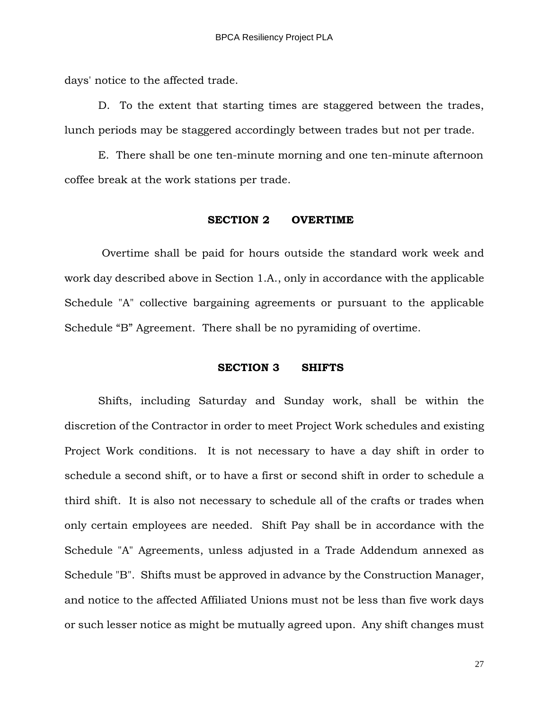days' notice to the affected trade.

D. To the extent that starting times are staggered between the trades, lunch periods may be staggered accordingly between trades but not per trade.

E. There shall be one ten-minute morning and one ten-minute afternoon coffee break at the work stations per trade.

#### **SECTION 2 OVERTIME**

Overtime shall be paid for hours outside the standard work week and work day described above in Section 1.A., only in accordance with the applicable Schedule "A" collective bargaining agreements or pursuant to the applicable Schedule "B" Agreement. There shall be no pyramiding of overtime.

#### **SECTION 3 SHIFTS**

Shifts, including Saturday and Sunday work, shall be within the discretion of the Contractor in order to meet Project Work schedules and existing Project Work conditions. It is not necessary to have a day shift in order to schedule a second shift, or to have a first or second shift in order to schedule a third shift. It is also not necessary to schedule all of the crafts or trades when only certain employees are needed. Shift Pay shall be in accordance with the Schedule "A" Agreements, unless adjusted in a Trade Addendum annexed as Schedule "B". Shifts must be approved in advance by the Construction Manager, and notice to the affected Affiliated Unions must not be less than five work days or such lesser notice as might be mutually agreed upon. Any shift changes must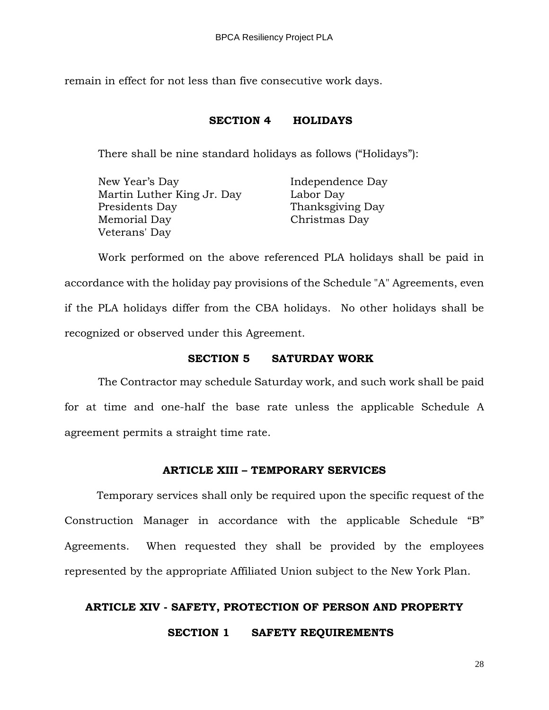remain in effect for not less than five consecutive work days.

#### **SECTION 4 HOLIDAYS**

There shall be nine standard holidays as follows ("Holidays"):

| New Year's Day             | Independence Day |
|----------------------------|------------------|
| Martin Luther King Jr. Day | Labor Day        |
| Presidents Day             | Thanksgiving Day |
| Memorial Day               | Christmas Day    |
| Veterans' Day              |                  |

Work performed on the above referenced PLA holidays shall be paid in accordance with the holiday pay provisions of the Schedule "A" Agreements, even if the PLA holidays differ from the CBA holidays. No other holidays shall be recognized or observed under this Agreement.

#### **SECTION 5 SATURDAY WORK**

The Contractor may schedule Saturday work, and such work shall be paid for at time and one-half the base rate unless the applicable Schedule A agreement permits a straight time rate.

#### **ARTICLE XIII – TEMPORARY SERVICES**

Temporary services shall only be required upon the specific request of the Construction Manager in accordance with the applicable Schedule "B" Agreements. When requested they shall be provided by the employees represented by the appropriate Affiliated Union subject to the New York Plan.

# **ARTICLE XIV - SAFETY, PROTECTION OF PERSON AND PROPERTY SECTION 1 SAFETY REQUIREMENTS**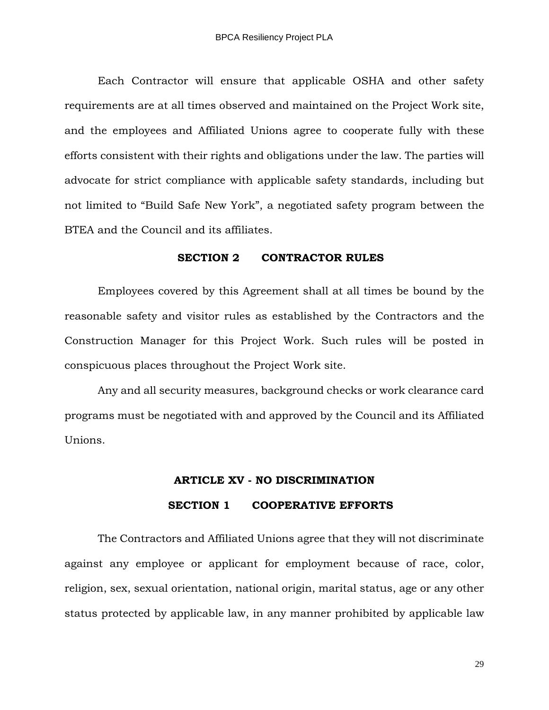Each Contractor will ensure that applicable OSHA and other safety requirements are at all times observed and maintained on the Project Work site, and the employees and Affiliated Unions agree to cooperate fully with these efforts consistent with their rights and obligations under the law. The parties will advocate for strict compliance with applicable safety standards, including but not limited to "Build Safe New York", a negotiated safety program between the BTEA and the Council and its affiliates.

#### **SECTION 2 CONTRACTOR RULES**

Employees covered by this Agreement shall at all times be bound by the reasonable safety and visitor rules as established by the Contractors and the Construction Manager for this Project Work. Such rules will be posted in conspicuous places throughout the Project Work site.

Any and all security measures, background checks or work clearance card programs must be negotiated with and approved by the Council and its Affiliated Unions.

# **ARTICLE XV - NO DISCRIMINATION SECTION 1 COOPERATIVE EFFORTS**

The Contractors and Affiliated Unions agree that they will not discriminate against any employee or applicant for employment because of race, color, religion, sex, sexual orientation, national origin, marital status, age or any other status protected by applicable law, in any manner prohibited by applicable law

29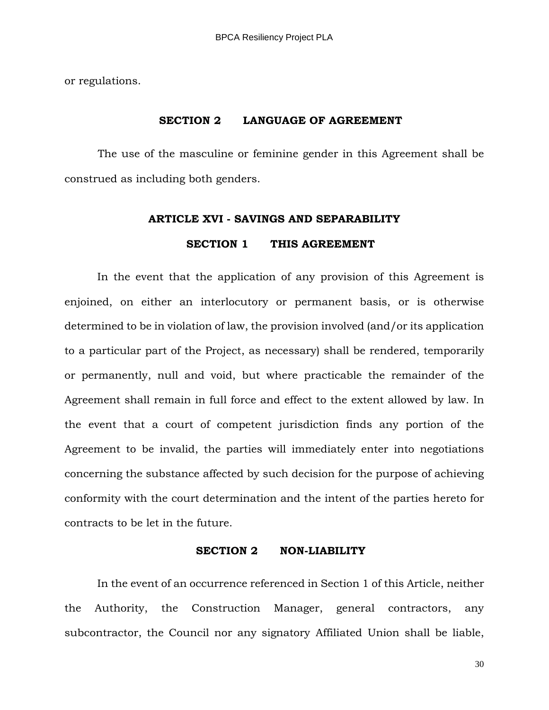or regulations.

#### **SECTION 2 LANGUAGE OF AGREEMENT**

The use of the masculine or feminine gender in this Agreement shall be construed as including both genders.

# **ARTICLE XVI - SAVINGS AND SEPARABILITY SECTION 1 THIS AGREEMENT**

In the event that the application of any provision of this Agreement is enjoined, on either an interlocutory or permanent basis, or is otherwise determined to be in violation of law, the provision involved (and/or its application to a particular part of the Project, as necessary) shall be rendered, temporarily or permanently, null and void, but where practicable the remainder of the Agreement shall remain in full force and effect to the extent allowed by law. In the event that a court of competent jurisdiction finds any portion of the Agreement to be invalid, the parties will immediately enter into negotiations concerning the substance affected by such decision for the purpose of achieving conformity with the court determination and the intent of the parties hereto for contracts to be let in the future.

#### **SECTION 2 NON-LIABILITY**

In the event of an occurrence referenced in Section 1 of this Article, neither the Authority, the Construction Manager, general contractors, any subcontractor, the Council nor any signatory Affiliated Union shall be liable,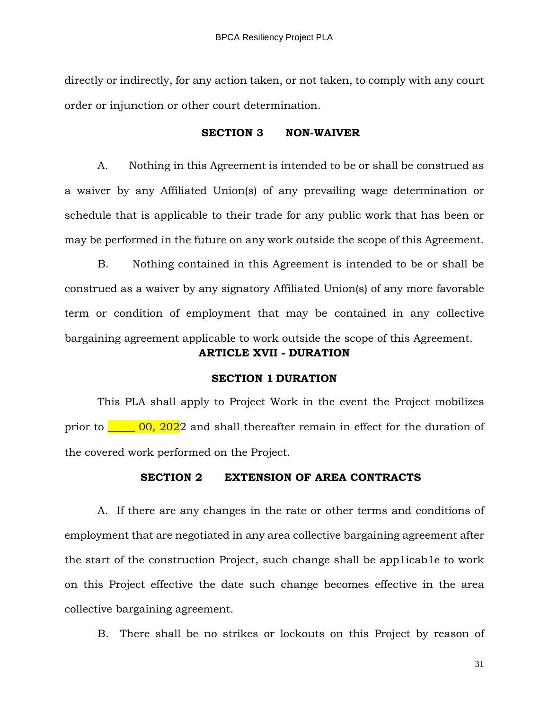directly or indirectly, for any action taken, or not taken, to comply with any court order or injunction or other court determination.

#### **SECTION 3 NON-WAIVER**

A. Nothing in this Agreement is intended to be or shall be construed as a waiver by any Affiliated Union(s) of any prevailing wage determination or schedule that is applicable to their trade for any public work that has been or may be performed in the future on any work outside the scope of this Agreement.

B. Nothing contained in this Agreement is intended to be or shall be construed as a waiver by any signatory Affiliated Union(s) of any more favorable term or condition of employment that may be contained in any collective bargaining agreement applicable to work outside the scope of this Agreement.

#### **ARTICLE XVII - DURATION**

### **SECTION 1 DURATION**

This PLA shall apply to Project Work in the event the Project mobilizes prior to  $\frac{1}{\sqrt{1-\frac{1}{\sqrt{1-\frac{1}{\sqrt{1-\frac{1}{\sqrt{1-\frac{1}{\sqrt{1-\frac{1}{\sqrt{1-\frac{1}{\sqrt{1-\frac{1}{\sqrt{1-\frac{1}{\sqrt{1-\frac{1}{\sqrt{1-\frac{1}{\sqrt{1-\frac{1}{\sqrt{1-\frac{1}{\sqrt{1-\frac{1}{\sqrt{1-\frac{1}{\sqrt{1-\frac{1}{\sqrt{1-\frac{1}{\sqrt{1-\frac{1}{\sqrt{1-\frac{1}{\sqrt{1-\frac{1}{\sqrt{1-\frac{1}{\sqrt{1-\frac{1}{\sqrt{1-\frac{1}{\sqrt{1-\frac{1$ the covered work performed on the Project.

### **SECTION 2 EXTENSION OF AREA CONTRACTS**

A. If there are any changes in the rate or other terms and conditions of employment that are negotiated in any area collective bargaining agreement after the start of the construction Project, such change shall be app1icab1e to work on this Project effective the date such change becomes effective in the area collective bargaining agreement.

B. There shall be no strikes or lockouts on this Project by reason of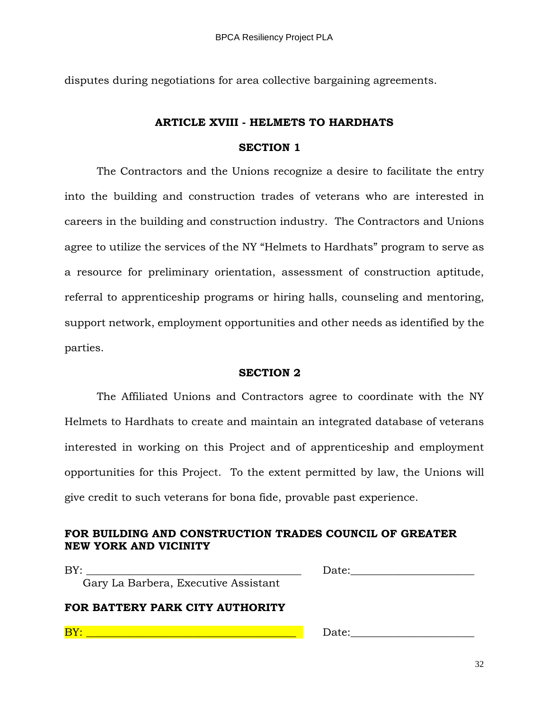disputes during negotiations for area collective bargaining agreements.

# **ARTICLE XVIII - HELMETS TO HARDHATS**

#### **SECTION 1**

The Contractors and the Unions recognize a desire to facilitate the entry into the building and construction trades of veterans who are interested in careers in the building and construction industry. The Contractors and Unions agree to utilize the services of the NY "Helmets to Hardhats" program to serve as a resource for preliminary orientation, assessment of construction aptitude, referral to apprenticeship programs or hiring halls, counseling and mentoring, support network, employment opportunities and other needs as identified by the parties.

#### **SECTION 2**

The Affiliated Unions and Contractors agree to coordinate with the NY Helmets to Hardhats to create and maintain an integrated database of veterans interested in working on this Project and of apprenticeship and employment opportunities for this Project. To the extent permitted by law, the Unions will give credit to such veterans for bona fide, provable past experience.

#### **FOR BUILDING AND CONSTRUCTION TRADES COUNCIL OF GREATER NEW YORK AND VICINITY**

BY: \_\_\_\_\_\_\_\_\_\_\_\_\_\_\_\_\_\_\_\_\_\_\_\_\_\_\_\_\_\_\_\_\_\_\_\_\_\_\_\_ Date:\_\_\_\_\_\_\_\_\_\_\_\_\_\_\_\_\_\_\_\_\_\_\_

Gary La Barbera, Executive Assistant

### **FOR BATTERY PARK CITY AUTHORITY**

BY: External problems of the second contract of the second contract  $\sim$  Date: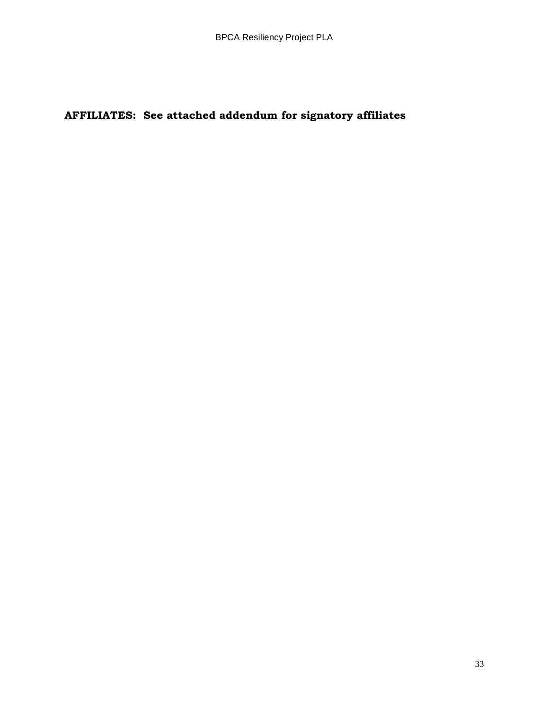# **AFFILIATES: See attached addendum for signatory affiliates**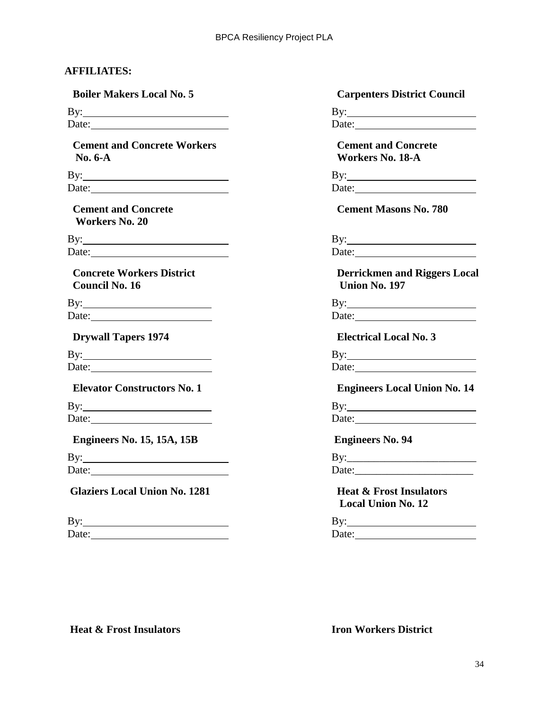#### **AFFILIATES:**

 **Boiler Makers Local No. 5** 

Date: Date: Date:

 **Cement and Concrete Workers No. 6-A**

 **Cement and Concrete Workers No. 20** 

Date: Date:

 **Concrete Workers District Council No. 16**

By: By: Date: Date:

By: By: By: Date: Date:

By: By: Date: Date: Date:

**Engineers No. 15, 15A, 15B** Engineers No. 94

By: By:\_\_\_\_\_\_\_\_\_\_\_\_\_\_\_\_\_\_\_\_\_\_\_\_ Date: Date:\_\_\_\_\_\_\_\_\_\_\_\_\_\_\_\_\_\_\_\_\_\_

Glaziers Local Union No. 1281 **Heat & Frost Insulators** 

| Bv:   |       |  |
|-------|-------|--|
| Date: | )ate: |  |

| <b>Carpenters District Council</b> |
|------------------------------------|
|------------------------------------|

By: By:

 **Cement and Concrete Workers No. 18-A**

By: By: Date: Date:

 **Cement Masons No. 780**

By: By:

 **Derrickmen and Riggers Local Union No. 197**

 **Drywall Tapers 1974 Electrical Local No. 3** 

### **Elevator Constructors No. 1** Engineers Local Union No. 14

 **Local Union No. 12**

**Heat & Frost Insulators** 

#### **Iron Workers District**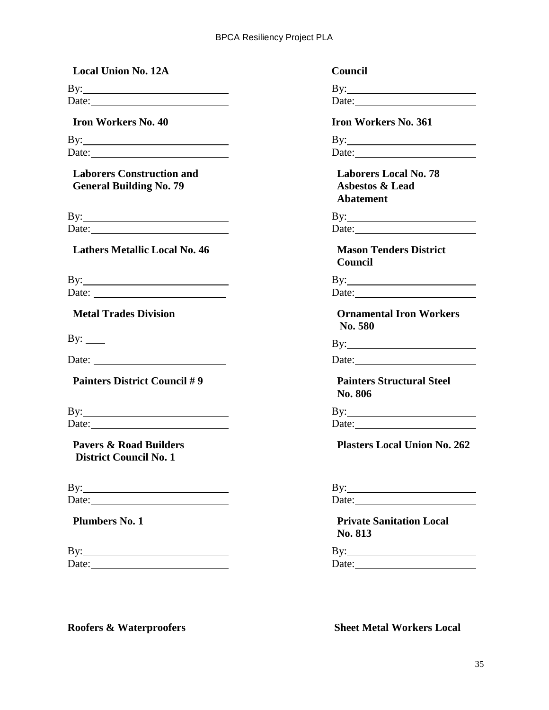#### BPCA Resiliency Project PLA

 **Local Union No. 12A** Council

By: By: Date: Date: Date:

 **Laborers Construction and General Building No. 79**

By: By: Date: Date: Date:

**Lathers Metallic Local No. 46 Mason Tenders District**  Mason Tenders District

By: By: Date: Date:

 $\mathbf{B} \mathbf{y}$ :  $\qquad \qquad \mathbf{By:}$ 

**Painters District Council # 9 Painters Structural Steel** 

By: By: Date: Date:

 **Pavers & Road Builders District Council No. 1**

By: By: Date: Date: Date:

 **Plumbers No. 1** 

| By:   |       |
|-------|-------|
| Date: | )ate: |

By: By: Date: Date: Date:

 **Iron Workers No. 40 Iron Workers No. 361** 

 **Laborers Local No. 78 Asbestos & Lead Abatement**

 **Council**

 **Metal Trades Division Ornamental Iron Workers No. 580**

Date: Date:

 **No. 806** 

 **Plasters Local Union No. 262** 

 **Private Sanitation Local No. 813**

**Roofers & Waterproofers Sheet Metal Workers Local**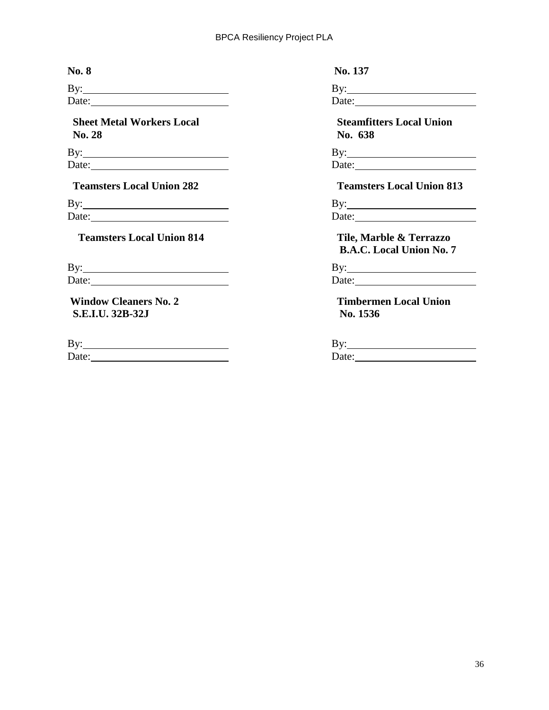# BPCA Resiliency Project PLA

| <b>No. 8</b>                                            | No. 137                                                    |
|---------------------------------------------------------|------------------------------------------------------------|
| $\mathbf{By:}\_\_\_\_\_\_\$                             | By: $\frac{1}{\sqrt{2\pi}}$                                |
|                                                         | Date:                                                      |
| <b>Sheet Metal Workers Local</b><br><b>No. 28</b>       | <b>Steamfitters Local Union</b><br>No. 638                 |
| By: $\qquad \qquad$                                     | $\mathbf{By:}\_\_\_\_\_\_\_\$                              |
| Date: $\qquad \qquad$                                   |                                                            |
| <b>Teamsters Local Union 282</b>                        | <b>Teamsters Local Union 813</b>                           |
|                                                         | By: $\frac{1}{\sqrt{2\pi}}$                                |
| Date: $\qquad \qquad$                                   | Date:                                                      |
| <b>Teamsters Local Union 814</b>                        | Tile, Marble & Terrazzo<br><b>B.A.C.</b> Local Union No. 7 |
| By: $\qquad \qquad$                                     | $\mathbf{By:}\_\_\_\_\_\_\$                                |
| Date: $\qquad \qquad$                                   | Date:                                                      |
| <b>Window Cleaners No. 2</b><br><b>S.E.I.U. 32B-32J</b> | <b>Timbermen Local Union</b><br>No. 1536                   |
| By: $\qquad \qquad$                                     | By: $\qquad \qquad$                                        |

Date: Date: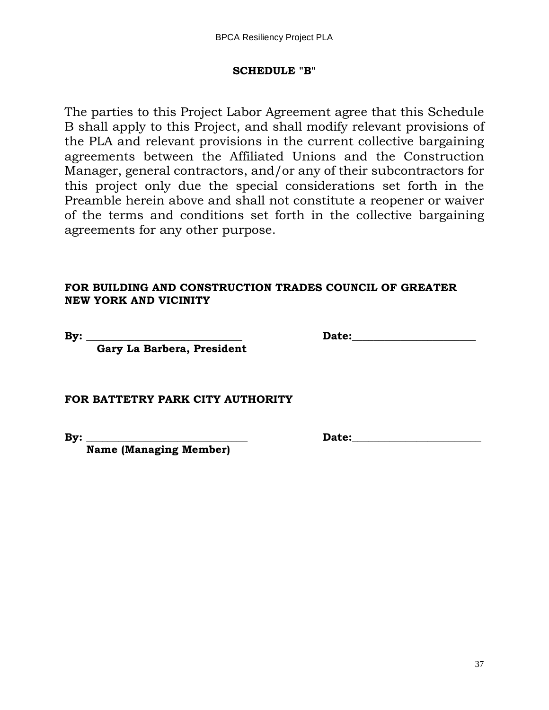# **SCHEDULE "B"**

The parties to this Project Labor Agreement agree that this Schedule B shall apply to this Project, and shall modify relevant provisions of the PLA and relevant provisions in the current collective bargaining agreements between the Affiliated Unions and the Construction Manager, general contractors, and/or any of their subcontractors for this project only due the special considerations set forth in the Preamble herein above and shall not constitute a reopener or waiver of the terms and conditions set forth in the collective bargaining agreements for any other purpose.

### **FOR BUILDING AND CONSTRUCTION TRADES COUNCIL OF GREATER NEW YORK AND VICINITY**

**By: \_\_\_\_\_\_\_\_\_\_\_\_\_\_\_\_\_\_\_\_\_\_\_\_\_\_\_\_\_ Date:\_\_\_\_\_\_\_\_\_\_\_\_\_\_\_\_\_\_\_\_\_\_\_**

**Gary La Barbera, President** 

# **FOR BATTETRY PARK CITY AUTHORITY**

 **Name (Managing Member)**

**By: \_\_\_\_\_\_\_\_\_\_\_\_\_\_\_\_\_\_\_\_\_\_\_\_\_\_\_\_\_\_ Date:\_\_\_\_\_\_\_\_\_\_\_\_\_\_\_\_\_\_\_\_\_\_\_\_**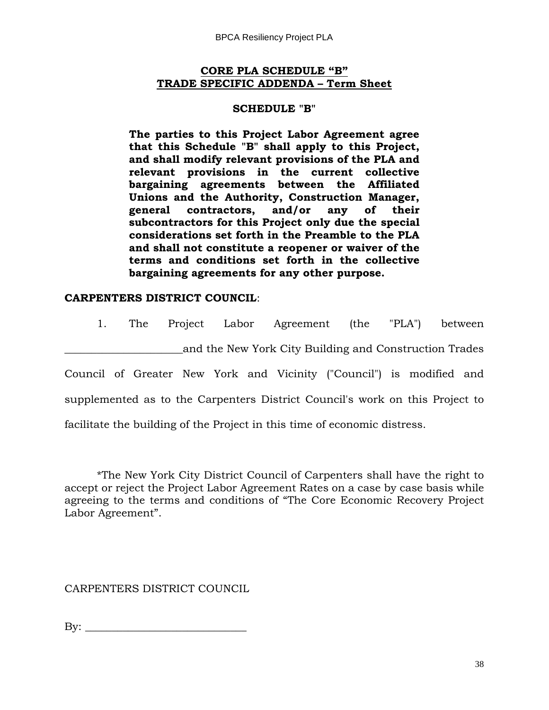#### **SCHEDULE "B"**

**The parties to this Project Labor Agreement agree that this Schedule "B" shall apply to this Project, and shall modify relevant provisions of the PLA and relevant provisions in the current collective bargaining agreements between the Affiliated Unions and the Authority, Construction Manager, general contractors, and/or any of their subcontractors for this Project only due the special considerations set forth in the Preamble to the PLA and shall not constitute a reopener or waiver of the terms and conditions set forth in the collective bargaining agreements for any other purpose.**

### **CARPENTERS DISTRICT COUNCIL**:

1. The Project Labor Agreement (the "PLA") between \_\_\_\_\_\_\_\_\_\_\_\_\_\_\_\_\_\_\_\_\_\_and the New York City Building and Construction Trades

Council of Greater New York and Vicinity ("Council") is modified and supplemented as to the Carpenters District Council's work on this Project to facilitate the building of the Project in this time of economic distress.

\*The New York City District Council of Carpenters shall have the right to accept or reject the Project Labor Agreement Rates on a case by case basis while agreeing to the terms and conditions of "The Core Economic Recovery Project Labor Agreement".

CARPENTERS DISTRICT COUNCIL

 $\rm Bv:$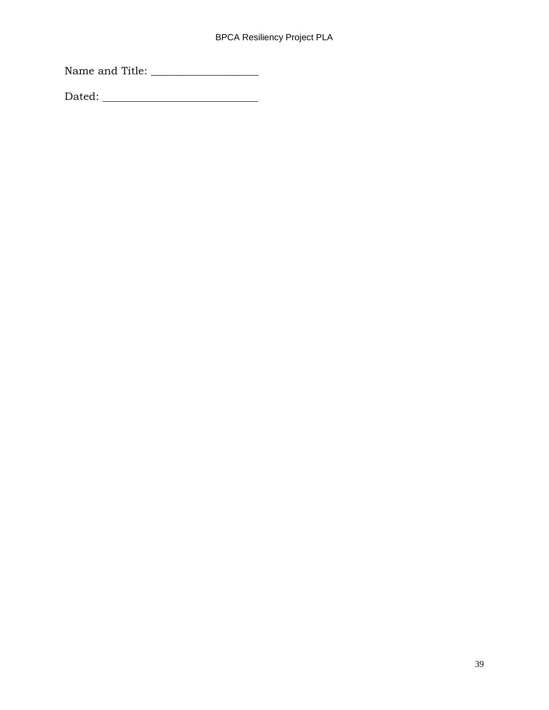# BPCA Resiliency Project PLA

Name and Title: \_\_\_\_\_\_\_\_\_\_\_\_\_\_\_\_\_\_\_\_

Dated: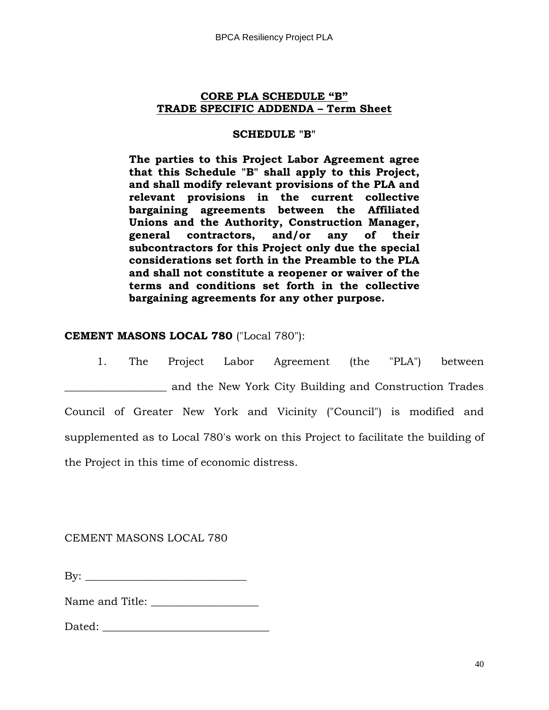#### **SCHEDULE "B"**

**The parties to this Project Labor Agreement agree that this Schedule "B" shall apply to this Project, and shall modify relevant provisions of the PLA and relevant provisions in the current collective bargaining agreements between the Affiliated Unions and the Authority, Construction Manager, general contractors, and/or any of their subcontractors for this Project only due the special considerations set forth in the Preamble to the PLA and shall not constitute a reopener or waiver of the terms and conditions set forth in the collective bargaining agreements for any other purpose.**

# **CEMENT MASONS LOCAL 780** ("Local 780"):

1. The Project Labor Agreement (the "PLA") between **Example 2018** and the New York City Building and Construction Trades Council of Greater New York and Vicinity ("Council") is modified and supplemented as to Local 780's work on this Project to facilitate the building of the Project in this time of economic distress.

CEMENT MASONS LOCAL 780

By:  $\_\_$ 

Name and Title: \_\_\_\_\_\_\_\_\_\_\_\_\_\_\_\_\_\_\_\_

Dated: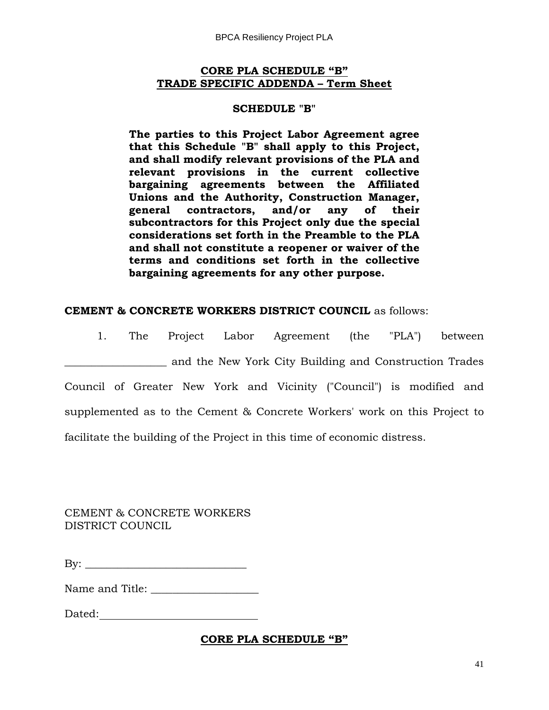#### **SCHEDULE "B"**

**The parties to this Project Labor Agreement agree that this Schedule "B" shall apply to this Project, and shall modify relevant provisions of the PLA and relevant provisions in the current collective bargaining agreements between the Affiliated Unions and the Authority, Construction Manager, general contractors, and/or any of their subcontractors for this Project only due the special considerations set forth in the Preamble to the PLA and shall not constitute a reopener or waiver of the terms and conditions set forth in the collective bargaining agreements for any other purpose.**

#### **CEMENT & CONCRETE WORKERS DISTRICT COUNCIL** as follows:

1. The Project Labor Agreement (the "PLA") between \_\_\_\_\_\_\_\_\_\_\_\_\_\_\_\_\_\_\_ and the New York City Building and Construction Trades Council of Greater New York and Vicinity ("Council") is modified and supplemented as to the Cement & Concrete Workers' work on this Project to facilitate the building of the Project in this time of economic distress.

CEMENT & CONCRETE WORKERS DISTRICT COUNCIL

 $\mathbf{B} \mathbf{y}$ :

Name and Title: \_\_\_\_\_\_\_\_\_\_\_\_\_\_\_\_\_\_\_\_

### **CORE PLA SCHEDULE "B"**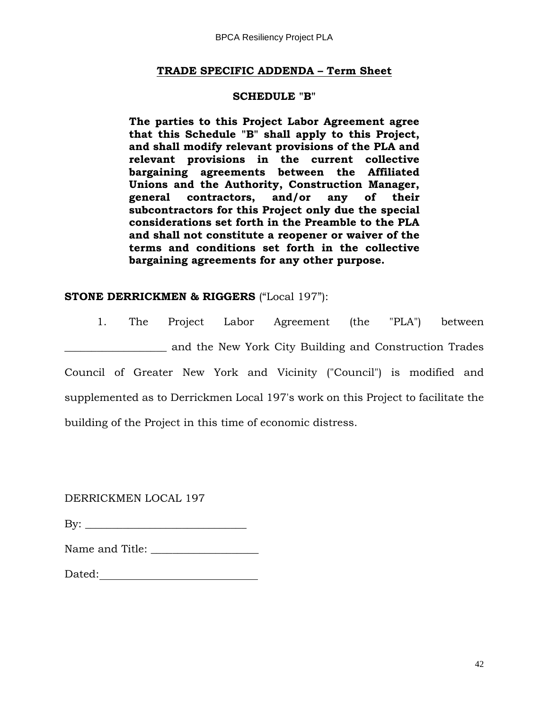#### **TRADE SPECIFIC ADDENDA – Term Sheet**

#### **SCHEDULE "B"**

**The parties to this Project Labor Agreement agree that this Schedule "B" shall apply to this Project, and shall modify relevant provisions of the PLA and relevant provisions in the current collective bargaining agreements between the Affiliated Unions and the Authority, Construction Manager, general contractors, and/or any of their subcontractors for this Project only due the special considerations set forth in the Preamble to the PLA and shall not constitute a reopener or waiver of the terms and conditions set forth in the collective bargaining agreements for any other purpose.**

### **STONE DERRICKMEN & RIGGERS** ("Local 197"):

1. The Project Labor Agreement (the "PLA") between

\_\_\_\_\_\_\_\_\_\_\_\_\_\_\_\_\_\_\_ and the New York City Building and Construction Trades

Council of Greater New York and Vicinity ("Council") is modified and supplemented as to Derrickmen Local 197's work on this Project to facilitate the building of the Project in this time of economic distress.

### DERRICKMEN LOCAL 197

| F<br>ப |  |  |  |
|--------|--|--|--|
|        |  |  |  |
|        |  |  |  |

| Name and Title: |  |
|-----------------|--|
|-----------------|--|

Dated: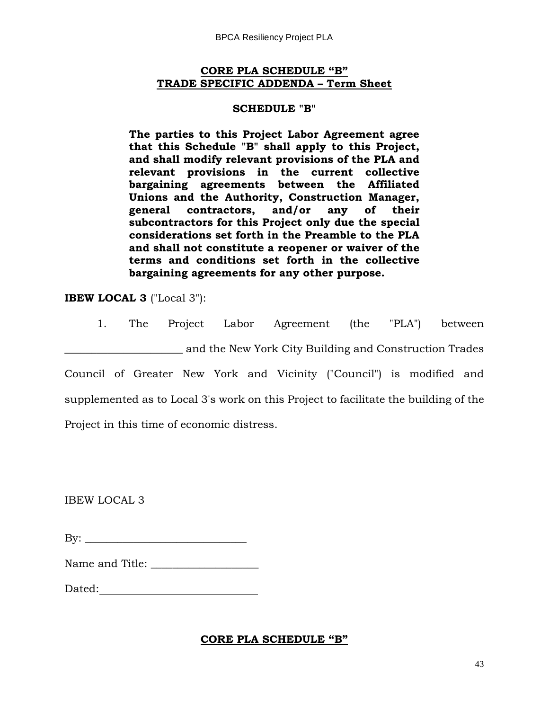#### **SCHEDULE "B"**

**The parties to this Project Labor Agreement agree that this Schedule "B" shall apply to this Project, and shall modify relevant provisions of the PLA and relevant provisions in the current collective bargaining agreements between the Affiliated Unions and the Authority, Construction Manager, general contractors, and/or any of their subcontractors for this Project only due the special considerations set forth in the Preamble to the PLA and shall not constitute a reopener or waiver of the terms and conditions set forth in the collective bargaining agreements for any other purpose.**

**IBEW LOCAL 3** ("Local 3"):

1. The Project Labor Agreement (the "PLA") between \_\_\_\_\_\_\_\_\_\_\_\_\_\_\_\_\_\_\_\_\_\_ and the New York City Building and Construction Trades

Council of Greater New York and Vicinity ("Council") is modified and supplemented as to Local 3's work on this Project to facilitate the building of the Project in this time of economic distress.

IBEW LOCAL 3

| $\mathbf{D}_{\tau}$<br>---<br>D'<br>- |  |
|---------------------------------------|--|
|                                       |  |

| Name and Title: |  |
|-----------------|--|
|                 |  |

| Dated: |  |
|--------|--|
|        |  |

### **CORE PLA SCHEDULE "B"**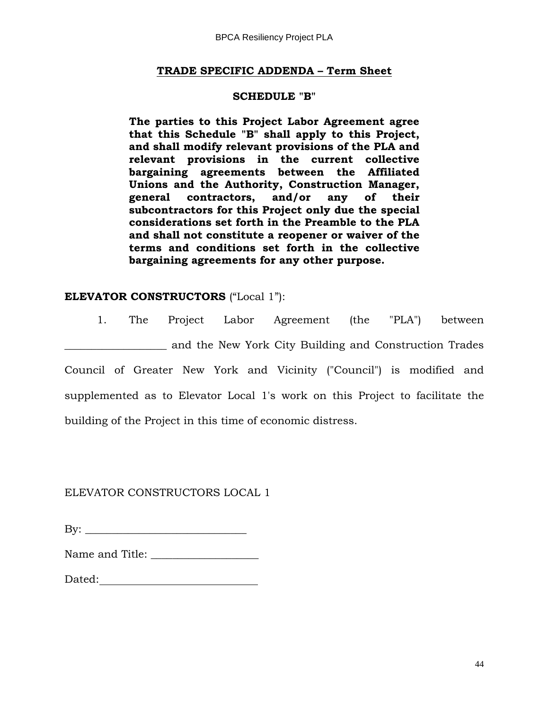#### **TRADE SPECIFIC ADDENDA – Term Sheet**

#### **SCHEDULE "B"**

**The parties to this Project Labor Agreement agree that this Schedule "B" shall apply to this Project, and shall modify relevant provisions of the PLA and relevant provisions in the current collective bargaining agreements between the Affiliated Unions and the Authority, Construction Manager, general contractors, and/or any of their subcontractors for this Project only due the special considerations set forth in the Preamble to the PLA and shall not constitute a reopener or waiver of the terms and conditions set forth in the collective bargaining agreements for any other purpose.**

### **ELEVATOR CONSTRUCTORS** ("Local 1"):

1. The Project Labor Agreement (the "PLA") between and the New York City Building and Construction Trades Council of Greater New York and Vicinity ("Council") is modified and supplemented as to Elevator Local 1's work on this Project to facilitate the building of the Project in this time of economic distress.

# ELEVATOR CONSTRUCTORS LOCAL 1

|--|

Dated: <u>Dated: All Dates of the Second Second Second Second Second Second Second Second Second Second Second Second Second Second Second Second Second Second Second Second Second Second Second Second Second Second Second S</u>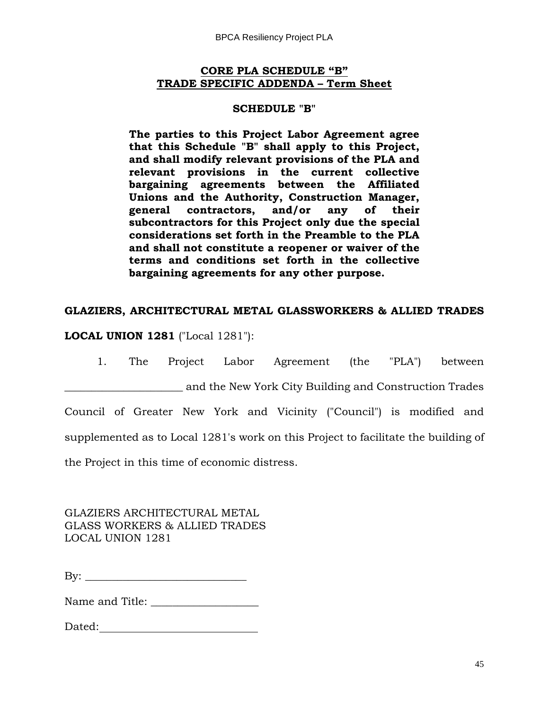#### **SCHEDULE "B"**

**The parties to this Project Labor Agreement agree that this Schedule "B" shall apply to this Project, and shall modify relevant provisions of the PLA and relevant provisions in the current collective bargaining agreements between the Affiliated Unions and the Authority, Construction Manager, general contractors, and/or any of their subcontractors for this Project only due the special considerations set forth in the Preamble to the PLA and shall not constitute a reopener or waiver of the terms and conditions set forth in the collective bargaining agreements for any other purpose.**

### **GLAZIERS, ARCHITECTURAL METAL GLASSWORKERS & ALLIED TRADES**

**LOCAL UNION 1281** ("Local 1281"):

1. The Project Labor Agreement (the "PLA") between \_\_\_\_\_\_\_\_\_\_\_\_\_\_\_\_\_\_\_\_\_\_ and the New York City Building and Construction Trades Council of Greater New York and Vicinity ("Council") is modified and supplemented as to Local 1281's work on this Project to facilitate the building of the Project in this time of economic distress.

GLAZIERS ARCHITECTURAL METAL GLASS WORKERS & ALLIED TRADES LOCAL UNION 1281

By:  $\_\_$ 

Name and Title: \_\_\_\_\_\_\_\_\_\_\_\_\_\_\_\_\_\_\_\_

Dated: when the contract of the contract of the contract of the contract of the contract of the contract of the contract of the contract of the contract of the contract of the contract of the contract of the contract of th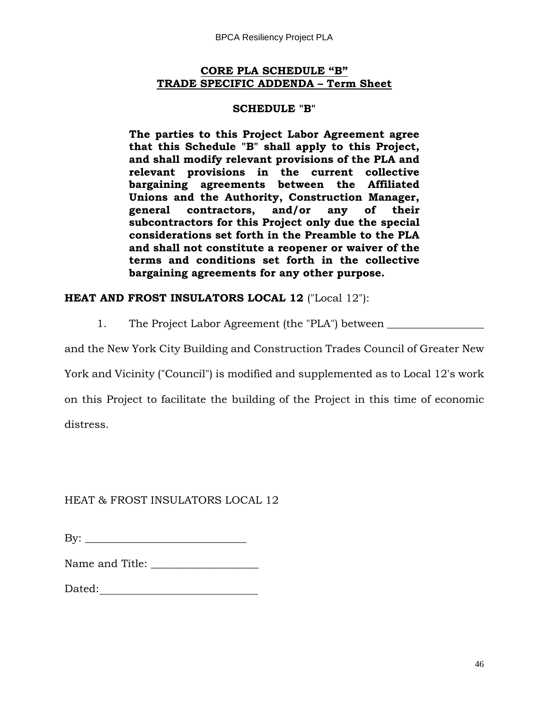#### **SCHEDULE "B"**

**The parties to this Project Labor Agreement agree that this Schedule "B" shall apply to this Project, and shall modify relevant provisions of the PLA and relevant provisions in the current collective bargaining agreements between the Affiliated Unions and the Authority, Construction Manager, general contractors, and/or any of their subcontractors for this Project only due the special considerations set forth in the Preamble to the PLA and shall not constitute a reopener or waiver of the terms and conditions set forth in the collective bargaining agreements for any other purpose.**

### **HEAT AND FROST INSULATORS LOCAL 12** ("Local 12"):

1. The Project Labor Agreement (the "PLA") between \_\_\_\_\_\_\_\_\_\_\_\_\_\_\_\_\_\_\_\_\_\_\_\_\_\_\_\_\_

and the New York City Building and Construction Trades Council of Greater New

York and Vicinity ("Council") is modified and supplemented as to Local 12's work

on this Project to facilitate the building of the Project in this time of economic distress.

# HEAT & FROST INSULATORS LOCAL 12

 $\mathbf{B} \mathbf{v}$ :

Name and Title: \_\_\_\_\_\_\_\_\_\_\_\_\_\_\_\_\_\_\_\_

Dated: when the contract of  $\mathcal{D}$  and  $\mathcal{D}$  and  $\mathcal{D}$  and  $\mathcal{D}$  are contract of  $\mathcal{D}$  and  $\mathcal{D}$  and  $\mathcal{D}$  and  $\mathcal{D}$  are contract of  $\mathcal{D}$  and  $\mathcal{D}$  are contract of  $\mathcal{D}$  and  $\mathcal{D}$  and  $\$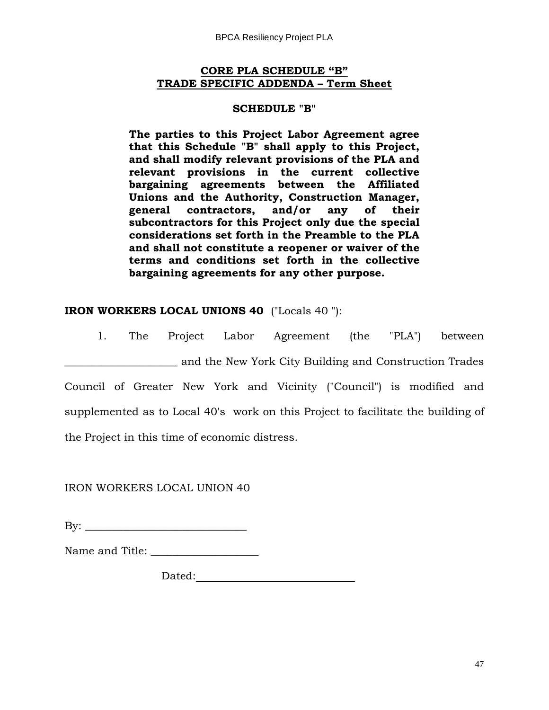#### **SCHEDULE "B"**

**The parties to this Project Labor Agreement agree that this Schedule "B" shall apply to this Project, and shall modify relevant provisions of the PLA and relevant provisions in the current collective bargaining agreements between the Affiliated Unions and the Authority, Construction Manager, general contractors, and/or any of their subcontractors for this Project only due the special considerations set forth in the Preamble to the PLA and shall not constitute a reopener or waiver of the terms and conditions set forth in the collective bargaining agreements for any other purpose.**

# **IRON WORKERS LOCAL UNIONS 40** ("Locals 40 "):

1. The Project Labor Agreement (the "PLA") between

\_\_\_\_\_\_\_\_\_\_\_\_\_\_\_\_\_\_\_\_\_ and the New York City Building and Construction Trades Council of Greater New York and Vicinity ("Council") is modified and supplemented as to Local 40's work on this Project to facilitate the building of the Project in this time of economic distress.

IRON WORKERS LOCAL UNION 40

By: \_\_\_\_\_\_\_\_\_\_\_\_\_\_\_\_\_\_\_\_\_\_\_\_\_\_\_\_\_\_

Name and Title: \_\_\_\_\_\_\_\_\_\_\_\_\_\_\_\_\_\_\_\_

Dated: when the contract of the contract of the contract of the contract of the contract of the contract of the contract of the contract of the contract of the contract of the contract of the contract of the contract of th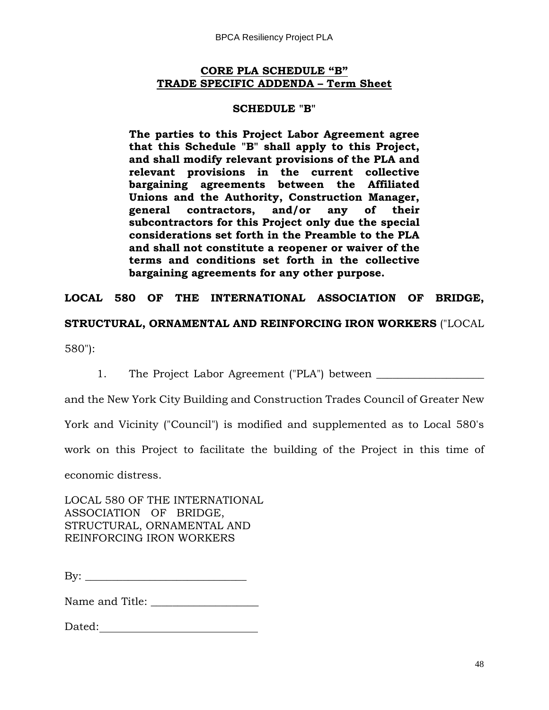### **SCHEDULE "B"**

**The parties to this Project Labor Agreement agree that this Schedule "B" shall apply to this Project, and shall modify relevant provisions of the PLA and relevant provisions in the current collective bargaining agreements between the Affiliated Unions and the Authority, Construction Manager, general contractors, and/or any of their subcontractors for this Project only due the special considerations set forth in the Preamble to the PLA and shall not constitute a reopener or waiver of the terms and conditions set forth in the collective bargaining agreements for any other purpose.**

# **LOCAL 580 OF THE INTERNATIONAL ASSOCIATION OF BRIDGE, STRUCTURAL, ORNAMENTAL AND REINFORCING IRON WORKERS** ("LOCAL 580"):

1. The Project Labor Agreement ("PLA") between \_\_\_\_\_\_\_\_\_\_\_\_\_\_\_\_\_\_\_\_\_\_\_\_\_\_\_\_\_\_\_\_\_

and the New York City Building and Construction Trades Council of Greater New York and Vicinity ("Council") is modified and supplemented as to Local 580's work on this Project to facilitate the building of the Project in this time of economic distress.

LOCAL 580 OF THE INTERNATIONAL ASSOCIATION OF BRIDGE, STRUCTURAL, ORNAMENTAL AND REINFORCING IRON WORKERS

By:  $\_\_$ 

Name and Title: \_\_\_\_\_\_\_\_\_\_\_\_\_\_\_\_\_\_\_\_

Dated: when the contract of the contract of the contract of the contract of the contract of the contract of the contract of the contract of the contract of the contract of the contract of the contract of the contract of th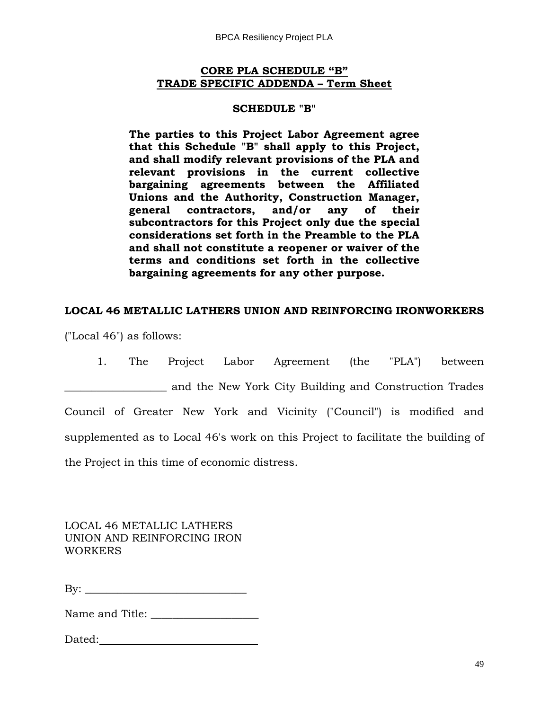#### **SCHEDULE "B"**

**The parties to this Project Labor Agreement agree that this Schedule "B" shall apply to this Project, and shall modify relevant provisions of the PLA and relevant provisions in the current collective bargaining agreements between the Affiliated Unions and the Authority, Construction Manager, general contractors, and/or any of their subcontractors for this Project only due the special considerations set forth in the Preamble to the PLA and shall not constitute a reopener or waiver of the terms and conditions set forth in the collective bargaining agreements for any other purpose.**

### **LOCAL 46 METALLIC LATHERS UNION AND REINFORCING IRONWORKERS**

("Local 46") as follows:

1. The Project Labor Agreement (the "PLA") between \_\_\_\_\_\_\_\_\_\_\_\_\_\_\_\_\_\_\_ and the New York City Building and Construction Trades Council of Greater New York and Vicinity ("Council") is modified and supplemented as to Local 46's work on this Project to facilitate the building of the Project in this time of economic distress.

LOCAL 46 METALLIC LATHERS UNION AND REINFORCING IRON **WORKERS** 

By: \_\_\_\_\_\_\_\_\_\_\_\_\_\_\_\_\_\_\_\_\_\_\_\_\_\_\_\_\_\_

Name and Title: \_\_\_\_\_\_\_\_\_\_\_\_\_\_\_\_\_\_\_\_

Dated: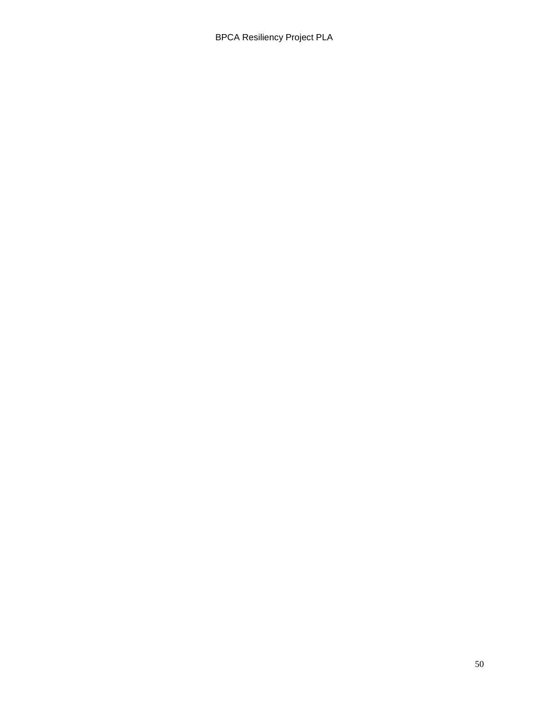BPCA Resiliency Project PLA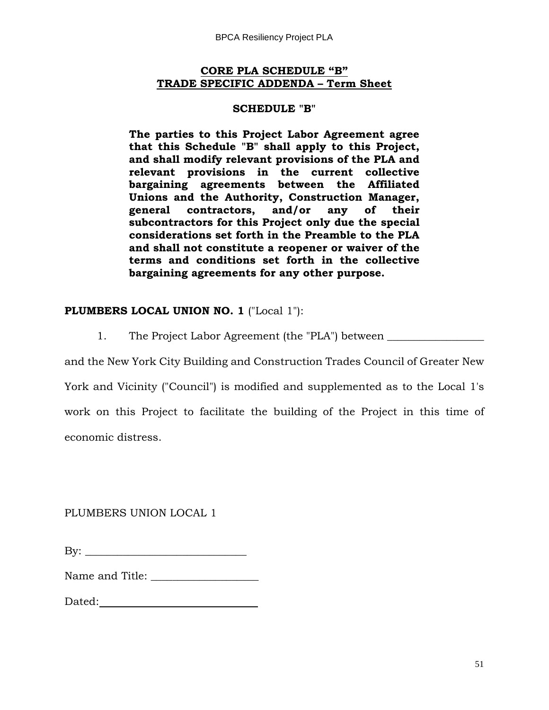### **SCHEDULE "B"**

**The parties to this Project Labor Agreement agree that this Schedule "B" shall apply to this Project, and shall modify relevant provisions of the PLA and relevant provisions in the current collective bargaining agreements between the Affiliated Unions and the Authority, Construction Manager, general contractors, and/or any of their subcontractors for this Project only due the special considerations set forth in the Preamble to the PLA and shall not constitute a reopener or waiver of the terms and conditions set forth in the collective bargaining agreements for any other purpose.**

# **PLUMBERS LOCAL UNION NO. 1** ("Local 1"):

1. The Project Labor Agreement (the "PLA") between

and the New York City Building and Construction Trades Council of Greater New

York and Vicinity ("Council") is modified and supplemented as to the Local 1's work on this Project to facilitate the building of the Project in this time of economic distress.

# PLUMBERS UNION LOCAL 1

Name and Title: \_\_\_\_\_\_\_\_\_\_\_\_\_\_\_\_\_\_\_\_

Dated: when the contract of the contract of  $\mathcal{D}$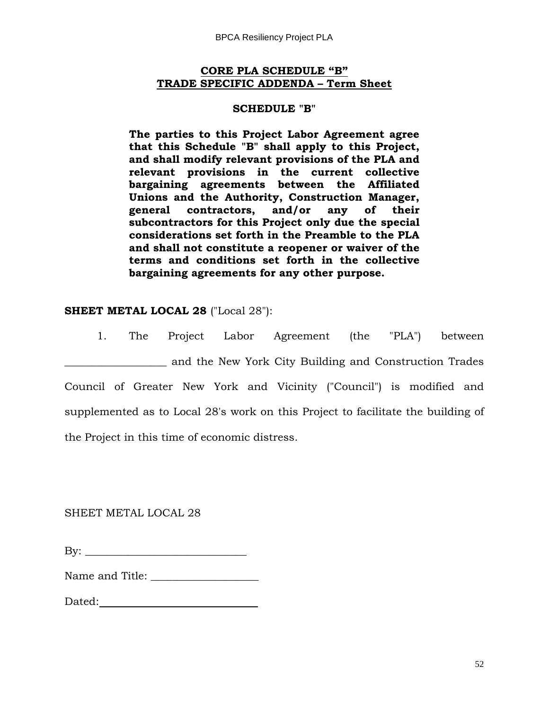#### **SCHEDULE "B"**

**The parties to this Project Labor Agreement agree that this Schedule "B" shall apply to this Project, and shall modify relevant provisions of the PLA and relevant provisions in the current collective bargaining agreements between the Affiliated Unions and the Authority, Construction Manager, general contractors, and/or any of their subcontractors for this Project only due the special considerations set forth in the Preamble to the PLA and shall not constitute a reopener or waiver of the terms and conditions set forth in the collective bargaining agreements for any other purpose.**

#### **SHEET METAL LOCAL 28** ("Local 28"):

1. The Project Labor Agreement (the "PLA") between \_\_\_\_\_\_\_\_\_\_\_\_\_\_\_\_\_\_\_ and the New York City Building and Construction Trades Council of Greater New York and Vicinity ("Council") is modified and supplemented as to Local 28's work on this Project to facilitate the building of the Project in this time of economic distress.

### SHEET METAL LOCAL 28

|--|

Name and Title: \_\_\_\_\_\_\_\_\_\_\_\_\_\_\_\_\_\_\_\_

Dated: when the contract of the contract of  $\mathcal{D}$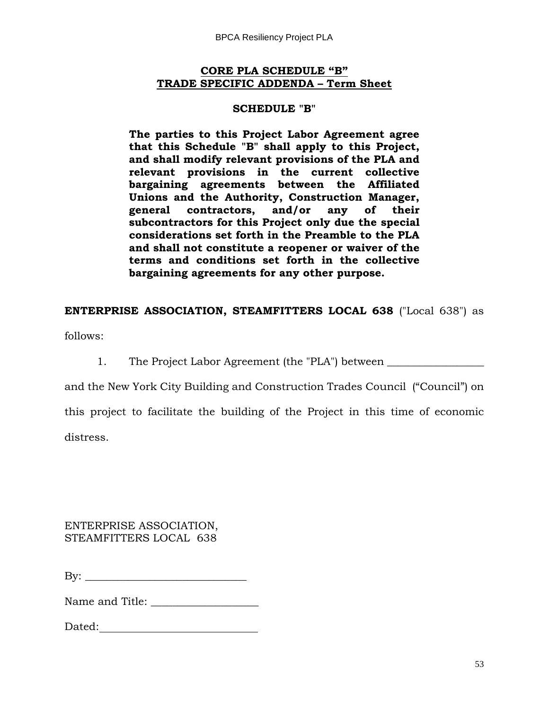#### **SCHEDULE "B"**

**The parties to this Project Labor Agreement agree that this Schedule "B" shall apply to this Project, and shall modify relevant provisions of the PLA and relevant provisions in the current collective bargaining agreements between the Affiliated Unions and the Authority, Construction Manager, general contractors, and/or any of their subcontractors for this Project only due the special considerations set forth in the Preamble to the PLA and shall not constitute a reopener or waiver of the terms and conditions set forth in the collective bargaining agreements for any other purpose.**

**ENTERPRISE ASSOCIATION, STEAMFITTERS LOCAL 638** ("Local 638") as follows:

1. The Project Labor Agreement (the "PLA") between

and the New York City Building and Construction Trades Council ("Council") on this project to facilitate the building of the Project in this time of economic distress.

ENTERPRISE ASSOCIATION, STEAMFITTERS LOCAL 638

By:  $\_\_$ 

Name and Title: \_\_\_\_\_\_\_\_\_\_\_\_\_\_\_\_\_\_\_\_

Dated: when the contract of the contract of the contract of the contract of the contract of the contract of the contract of the contract of the contract of the contract of the contract of the contract of the contract of th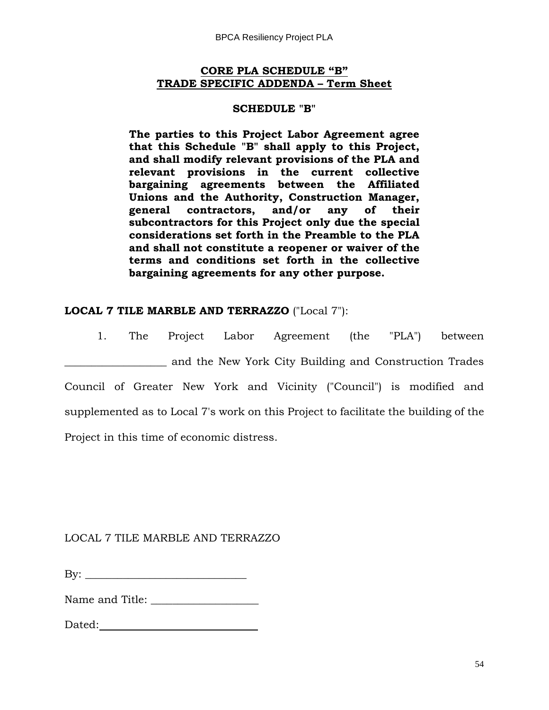#### **SCHEDULE "B"**

**The parties to this Project Labor Agreement agree that this Schedule "B" shall apply to this Project, and shall modify relevant provisions of the PLA and relevant provisions in the current collective bargaining agreements between the Affiliated Unions and the Authority, Construction Manager, general contractors, and/or any of their subcontractors for this Project only due the special considerations set forth in the Preamble to the PLA and shall not constitute a reopener or waiver of the terms and conditions set forth in the collective bargaining agreements for any other purpose.**

### **LOCAL 7 TILE MARBLE AND TERRAZZO** ("Local 7"):

1. The Project Labor Agreement (the "PLA") between \_\_\_\_\_\_\_\_\_\_\_\_\_\_\_\_\_\_\_ and the New York City Building and Construction Trades Council of Greater New York and Vicinity ("Council") is modified and supplemented as to Local 7's work on this Project to facilitate the building of the Project in this time of economic distress.

LOCAL 7 TILE MARBLE AND TERRAZZO

By: \_\_\_\_\_\_\_\_\_\_\_\_\_\_\_\_\_\_\_\_\_\_\_\_\_\_\_\_\_\_

Name and Title: \_\_\_\_\_\_\_\_\_\_\_\_\_\_\_\_\_\_\_\_

Dated: <u>Dated: Equation of the Second Second Second Second Second Second Second Second Second Second Second Second Second Second Second Second Second Second Second Second Second Second Second Second Second Second Second Se</u>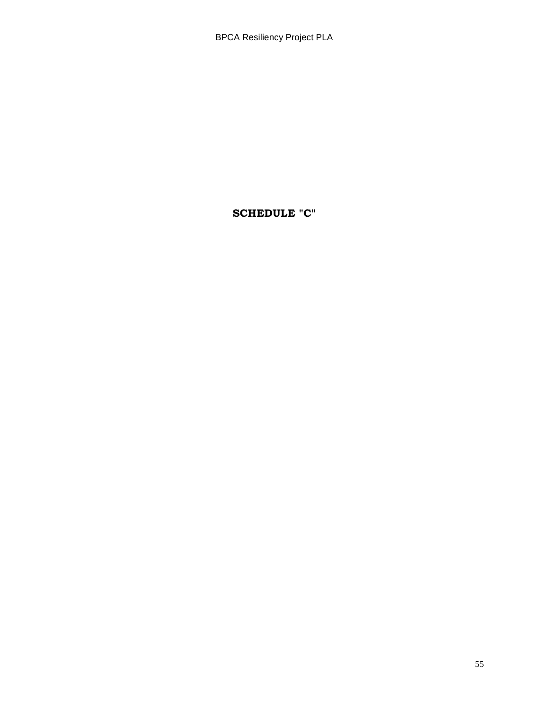# **SCHEDULE "C"**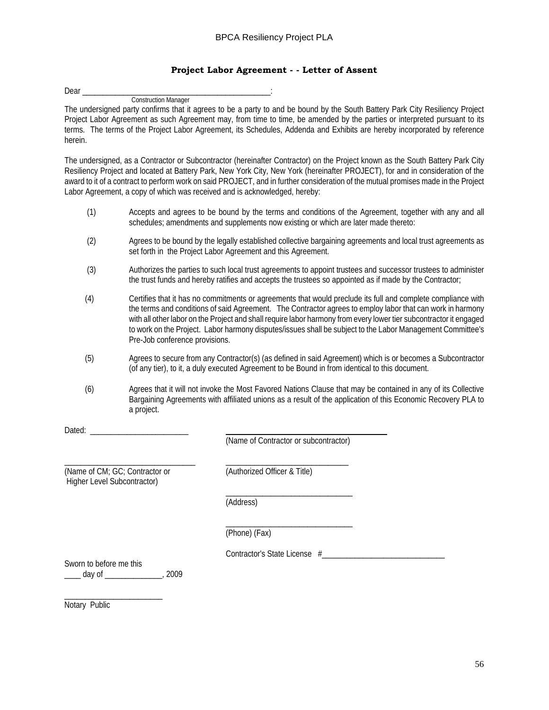#### **Project Labor Agreement - - Letter of Assent**

Dear \_\_\_\_\_\_\_\_\_\_\_\_\_\_\_\_\_\_\_\_\_\_\_\_\_\_\_\_\_\_\_\_\_\_\_\_\_\_\_\_\_\_\_\_\_\_: Construction Manager

The undersigned party confirms that it agrees to be a party to and be bound by the South Battery Park City Resiliency Project Project Labor Agreement as such Agreement may, from time to time, be amended by the parties or interpreted pursuant to its terms. The terms of the Project Labor Agreement, its Schedules, Addenda and Exhibits are hereby incorporated by reference herein.

The undersigned, as a Contractor or Subcontractor (hereinafter Contractor) on the Project known as the South Battery Park City Resiliency Project and located at Battery Park, New York City, New York (hereinafter PROJECT), for and in consideration of the award to it of a contract to perform work on said PROJECT, and in further consideration of the mutual promises made in the Project Labor Agreement, a copy of which was received and is acknowledged, hereby:

- (1) Accepts and agrees to be bound by the terms and conditions of the Agreement, together with any and all schedules; amendments and supplements now existing or which are later made thereto:
- (2) Agrees to be bound by the legally established collective bargaining agreements and local trust agreements as set forth in the Project Labor Agreement and this Agreement.
- (3) Authorizes the parties to such local trust agreements to appoint trustees and successor trustees to administer the trust funds and hereby ratifies and accepts the trustees so appointed as if made by the Contractor;
- (4) Certifies that it has no commitments or agreements that would preclude its full and complete compliance with the terms and conditions of said Agreement. The Contractor agrees to employ labor that can work in harmony with all other labor on the Project and shall require labor harmony from every lower tier subcontractor it engaged to work on the Project. Labor harmony disputes/issues shall be subject to the Labor Management Committee's Pre-Job conference provisions.
- (5) Agrees to secure from any Contractor(s) (as defined in said Agreement) which is or becomes a Subcontractor (of any tier), to it, a duly executed Agreement to be Bound in from identical to this document.
- (6) Agrees that it will not invoke the Most Favored Nations Clause that may be contained in any of its Collective Bargaining Agreements with affiliated unions as a result of the application of this Economic Recovery PLA to a project.

Dated:  $\Box$ 

(Name of Contractor or subcontractor)

\_\_\_\_\_\_\_\_\_\_\_\_\_\_\_\_\_\_\_\_\_\_\_\_\_\_\_\_\_\_\_

(Name of CM; GC; Contractor or (Authorized Officer & Title) Higher Level Subcontractor)

(Address)

\_\_\_\_\_\_\_\_\_\_\_\_\_\_\_\_\_\_\_\_\_\_\_\_\_\_\_\_\_\_\_\_ \_\_\_\_\_\_\_\_\_\_\_\_\_\_\_\_\_\_\_\_\_\_\_\_\_\_\_\_\_\_

\_\_\_\_\_\_\_\_\_\_\_\_\_\_\_\_\_\_\_\_\_\_\_\_\_\_\_\_\_\_\_ (Phone) (Fax)

Contractor's State License #\_\_\_\_\_\_\_\_\_\_\_\_\_\_\_\_\_\_\_\_\_\_\_\_\_\_\_\_\_\_

Sworn to before me this \_\_\_\_ day of \_\_\_\_\_\_\_\_\_\_\_\_\_\_, 2009

\_\_\_\_\_\_\_\_\_\_\_\_\_\_\_\_\_\_\_\_\_\_\_\_

Notary Public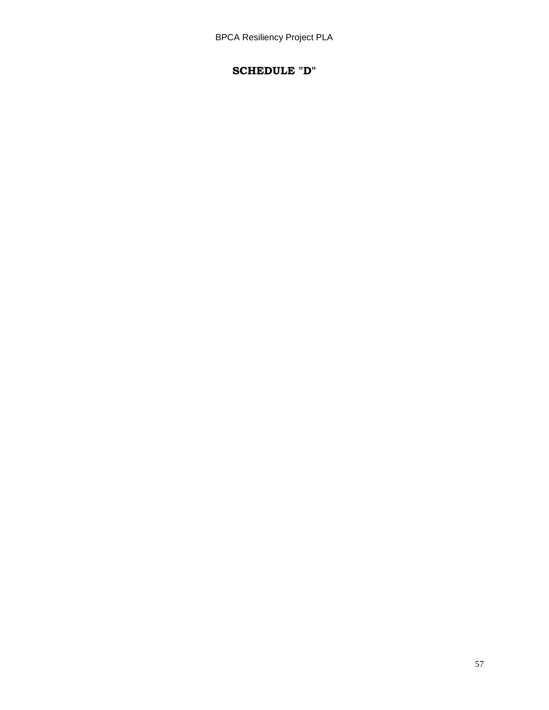# **SCHEDULE "D"**